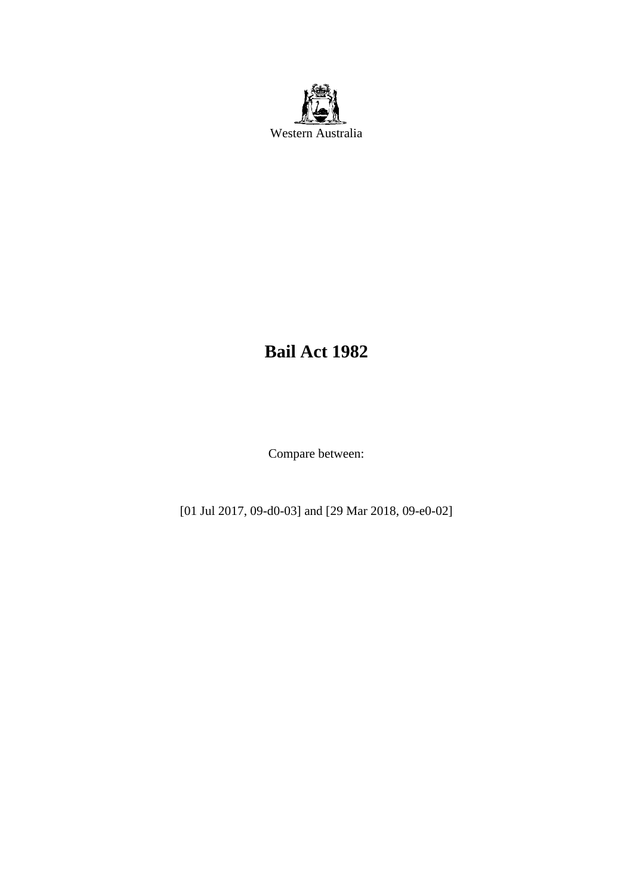

# **Bail Act 1982**

Compare between:

[01 Jul 2017, 09-d0-03] and [29 Mar 2018, 09-e0-02]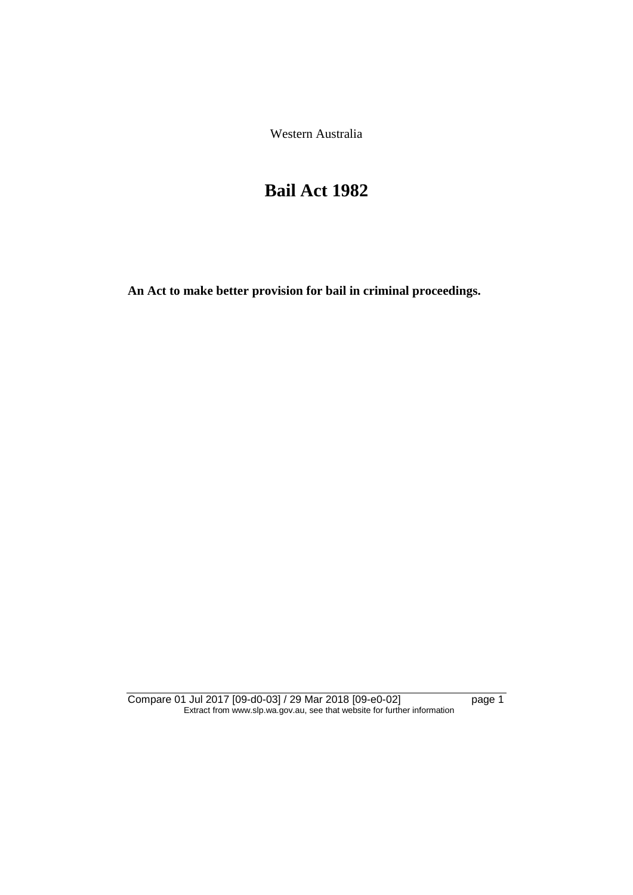Western Australia

# **Bail Act 1982**

**An Act to make better provision for bail in criminal proceedings.** 

Compare 01 Jul 2017 [09-d0-03] / 29 Mar 2018 [09-e0-02] page 1 Extract from www.slp.wa.gov.au, see that website for further information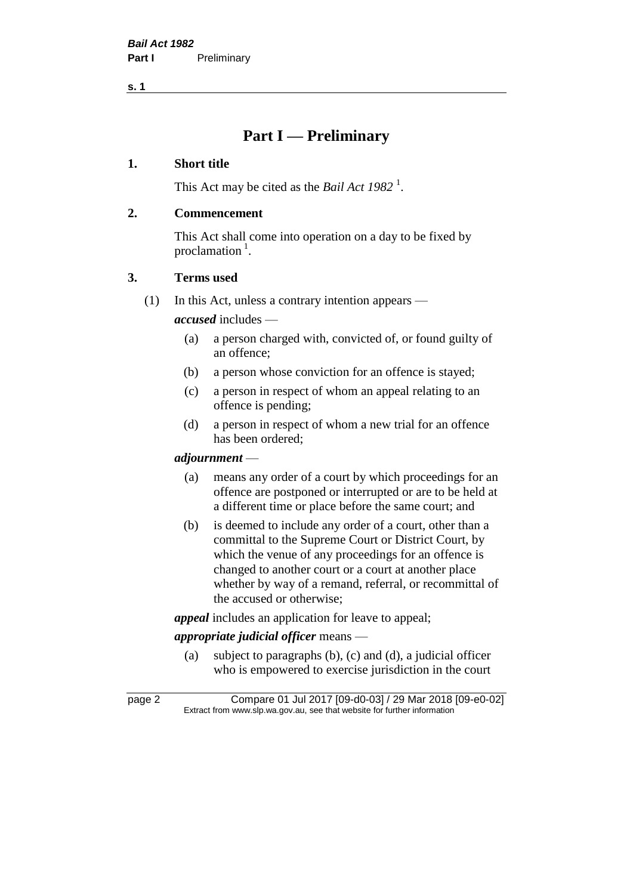# **Part I — Preliminary**

#### **1. Short title**

This Act may be cited as the *Bail Act* 1982<sup>1</sup>.

#### **2. Commencement**

This Act shall come into operation on a day to be fixed by proclamation<sup>1</sup>.

#### **3. Terms used**

(1) In this Act, unless a contrary intention appears —

*accused* includes —

- (a) a person charged with, convicted of, or found guilty of an offence;
- (b) a person whose conviction for an offence is stayed;
- (c) a person in respect of whom an appeal relating to an offence is pending;
- (d) a person in respect of whom a new trial for an offence has been ordered;

#### *adjournment* —

- (a) means any order of a court by which proceedings for an offence are postponed or interrupted or are to be held at a different time or place before the same court; and
- (b) is deemed to include any order of a court, other than a committal to the Supreme Court or District Court, by which the venue of any proceedings for an offence is changed to another court or a court at another place whether by way of a remand, referral, or recommittal of the accused or otherwise;

*appeal* includes an application for leave to appeal;

### *appropriate judicial officer* means —

(a) subject to paragraphs (b), (c) and (d), a judicial officer who is empowered to exercise jurisdiction in the court

page 2 Compare 01 Jul 2017 [09-d0-03] / 29 Mar 2018 [09-e0-02] Extract from www.slp.wa.gov.au, see that website for further information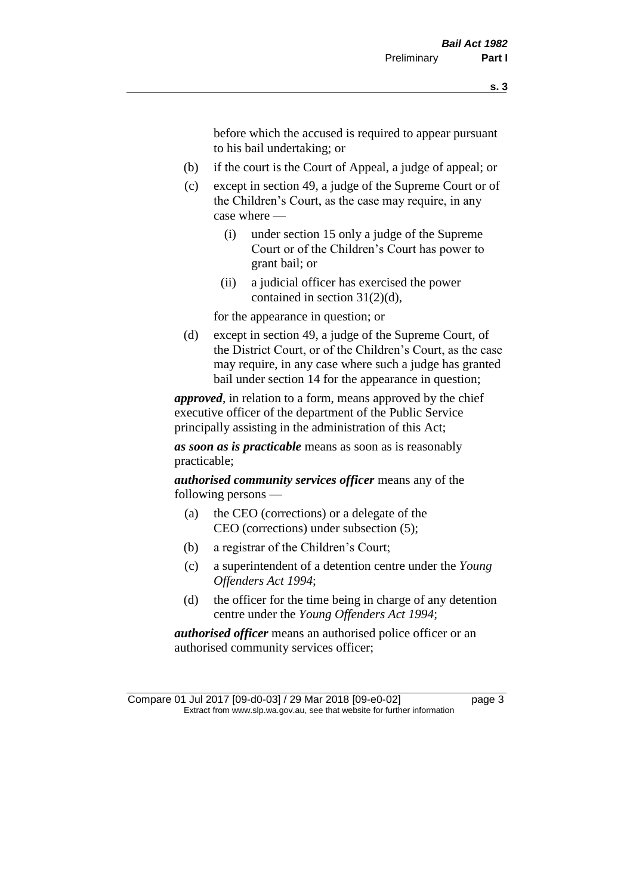before which the accused is required to appear pursuant to his bail undertaking; or

- (b) if the court is the Court of Appeal, a judge of appeal; or
- (c) except in section 49, a judge of the Supreme Court or of the Children's Court, as the case may require, in any case where —
	- (i) under section 15 only a judge of the Supreme Court or of the Children's Court has power to grant bail; or
	- (ii) a judicial officer has exercised the power contained in section 31(2)(d),

for the appearance in question; or

(d) except in section 49, a judge of the Supreme Court, of the District Court, or of the Children's Court, as the case may require, in any case where such a judge has granted bail under section 14 for the appearance in question;

*approved*, in relation to a form, means approved by the chief executive officer of the department of the Public Service principally assisting in the administration of this Act;

*as soon as is practicable* means as soon as is reasonably practicable;

*authorised community services officer* means any of the following persons —

- (a) the CEO (corrections) or a delegate of the CEO (corrections) under subsection (5);
- (b) a registrar of the Children's Court;
- (c) a superintendent of a detention centre under the *Young Offenders Act 1994*;
- (d) the officer for the time being in charge of any detention centre under the *Young Offenders Act 1994*;

*authorised officer* means an authorised police officer or an authorised community services officer;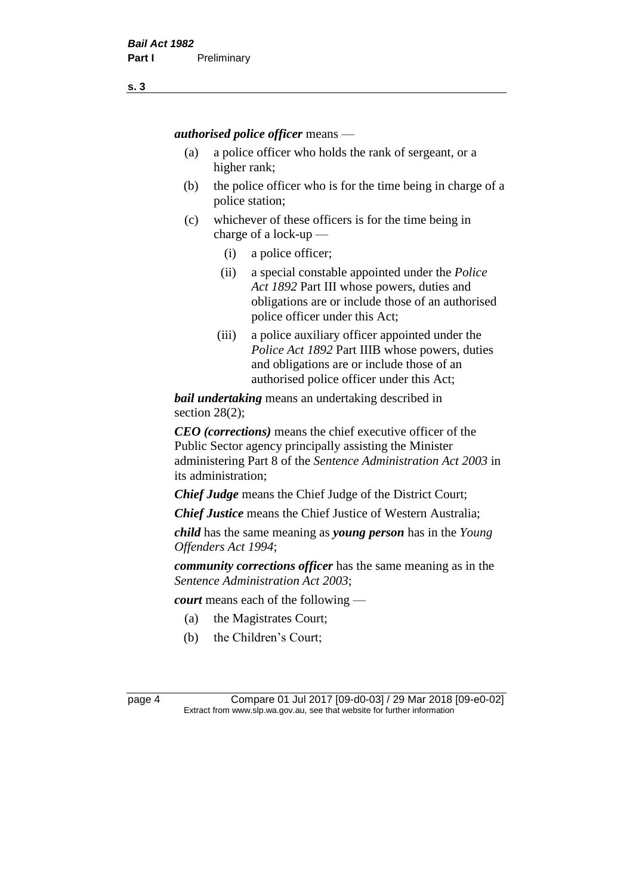*authorised police officer* means —

- (a) a police officer who holds the rank of sergeant, or a higher rank;
- (b) the police officer who is for the time being in charge of a police station;
- (c) whichever of these officers is for the time being in charge of a lock-up —
	- (i) a police officer;
	- (ii) a special constable appointed under the *Police Act 1892* Part III whose powers, duties and obligations are or include those of an authorised police officer under this Act;
	- (iii) a police auxiliary officer appointed under the *Police Act 1892* Part IIIB whose powers, duties and obligations are or include those of an authorised police officer under this Act;

*bail undertaking* means an undertaking described in section 28(2);

*CEO (corrections)* means the chief executive officer of the Public Sector agency principally assisting the Minister administering Part 8 of the *Sentence Administration Act 2003* in its administration;

*Chief Judge* means the Chief Judge of the District Court;

*Chief Justice* means the Chief Justice of Western Australia;

*child* has the same meaning as *young person* has in the *Young Offenders Act 1994*;

*community corrections officer* has the same meaning as in the *Sentence Administration Act 2003*;

*court* means each of the following —

- (a) the Magistrates Court;
- (b) the Children's Court;

page 4 Compare 01 Jul 2017 [09-d0-03] / 29 Mar 2018 [09-e0-02] Extract from www.slp.wa.gov.au, see that website for further information

**s. 3**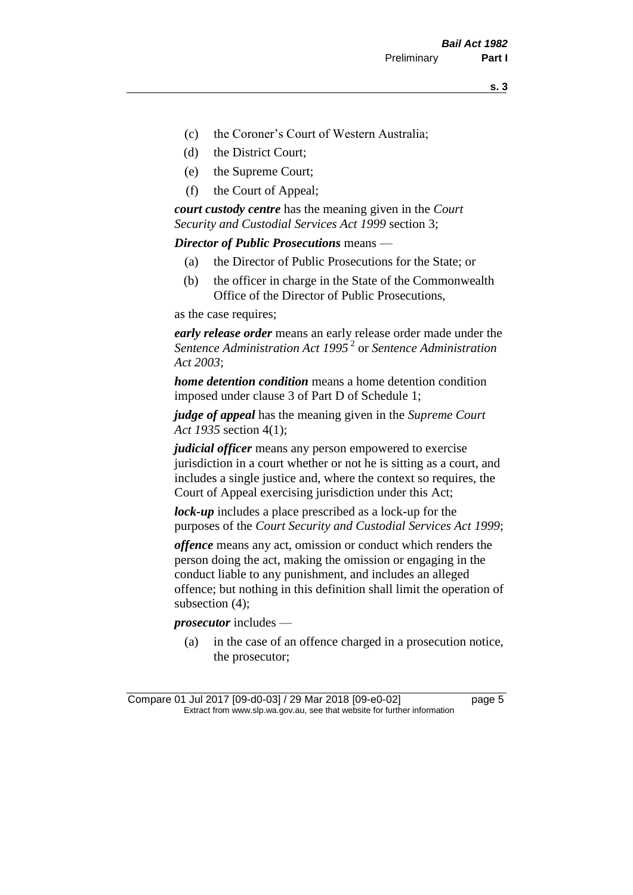- (c) the Coroner's Court of Western Australia;
- (d) the District Court;
- (e) the Supreme Court;
- (f) the Court of Appeal;

*court custody centre* has the meaning given in the *Court Security and Custodial Services Act 1999* section 3;

*Director of Public Prosecutions* means —

- (a) the Director of Public Prosecutions for the State; or
- (b) the officer in charge in the State of the Commonwealth Office of the Director of Public Prosecutions,

as the case requires;

*early release order* means an early release order made under the *Sentence Administration Act 1995* <sup>2</sup> or *Sentence Administration Act 2003*;

*home detention condition* means a home detention condition imposed under clause 3 of Part D of Schedule 1;

*judge of appeal* has the meaning given in the *Supreme Court Act 1935* section 4(1);

*judicial officer* means any person empowered to exercise jurisdiction in a court whether or not he is sitting as a court, and includes a single justice and, where the context so requires, the Court of Appeal exercising jurisdiction under this Act;

*lock-up* includes a place prescribed as a lock-up for the purposes of the *Court Security and Custodial Services Act 1999*;

*offence* means any act, omission or conduct which renders the person doing the act, making the omission or engaging in the conduct liable to any punishment, and includes an alleged offence; but nothing in this definition shall limit the operation of subsection (4);

*prosecutor* includes —

(a) in the case of an offence charged in a prosecution notice, the prosecutor;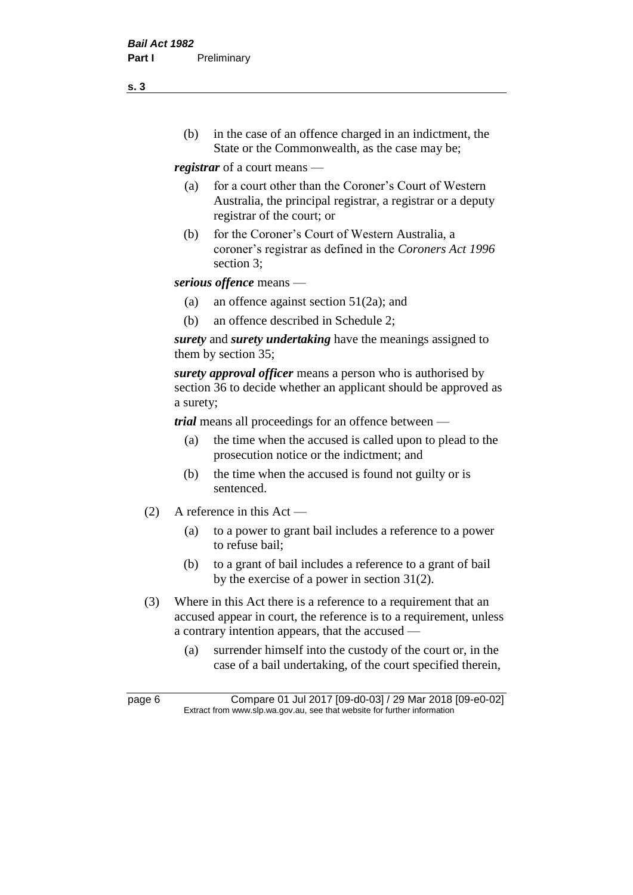(b) in the case of an offence charged in an indictment, the State or the Commonwealth, as the case may be;

*registrar* of a court means —

- (a) for a court other than the Coroner's Court of Western Australia, the principal registrar, a registrar or a deputy registrar of the court; or
- (b) for the Coroner's Court of Western Australia, a coroner's registrar as defined in the *Coroners Act 1996* section 3;

*serious offence* means —

- (a) an offence against section 51(2a); and
- (b) an offence described in Schedule 2;

*surety* and *surety undertaking* have the meanings assigned to them by section 35;

*surety approval officer* means a person who is authorised by section 36 to decide whether an applicant should be approved as a surety;

*trial* means all proceedings for an offence between —

- (a) the time when the accused is called upon to plead to the prosecution notice or the indictment; and
- (b) the time when the accused is found not guilty or is sentenced.
- (2) A reference in this Act
	- (a) to a power to grant bail includes a reference to a power to refuse bail;
	- (b) to a grant of bail includes a reference to a grant of bail by the exercise of a power in section 31(2).
- (3) Where in this Act there is a reference to a requirement that an accused appear in court, the reference is to a requirement, unless a contrary intention appears, that the accused —
	- (a) surrender himself into the custody of the court or, in the case of a bail undertaking, of the court specified therein,

**s. 3**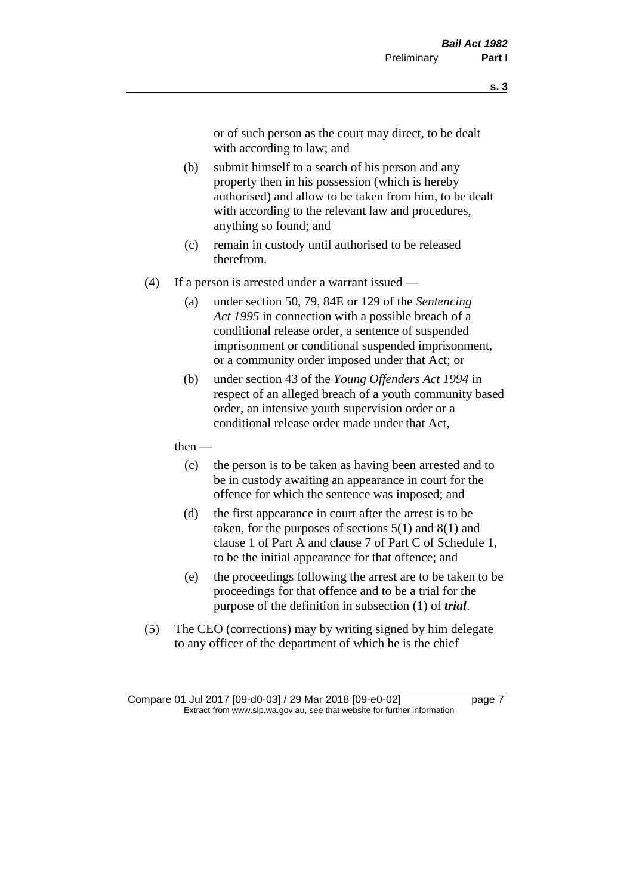or of such person as the court may direct, to be dealt with according to law; and

- (b) submit himself to a search of his person and any property then in his possession (which is hereby authorised) and allow to be taken from him, to be dealt with according to the relevant law and procedures, anything so found; and
- (c) remain in custody until authorised to be released therefrom.
- (4) If a person is arrested under a warrant issued
	- (a) under section 50, 79, 84E or 129 of the *Sentencing Act 1995* in connection with a possible breach of a conditional release order, a sentence of suspended imprisonment or conditional suspended imprisonment, or a community order imposed under that Act; or
	- (b) under section 43 of the *Young Offenders Act 1994* in respect of an alleged breach of a youth community based order, an intensive youth supervision order or a conditional release order made under that Act,
	- then
		- (c) the person is to be taken as having been arrested and to be in custody awaiting an appearance in court for the offence for which the sentence was imposed; and
		- (d) the first appearance in court after the arrest is to be taken, for the purposes of sections  $5(1)$  and  $8(1)$  and clause 1 of Part A and clause 7 of Part C of Schedule 1, to be the initial appearance for that offence; and
		- (e) the proceedings following the arrest are to be taken to be proceedings for that offence and to be a trial for the purpose of the definition in subsection (1) of *trial*.
- (5) The CEO (corrections) may by writing signed by him delegate to any officer of the department of which he is the chief

Compare 01 Jul 2017 [09-d0-03] / 29 Mar 2018 [09-e0-02] page 7 Extract from www.slp.wa.gov.au, see that website for further information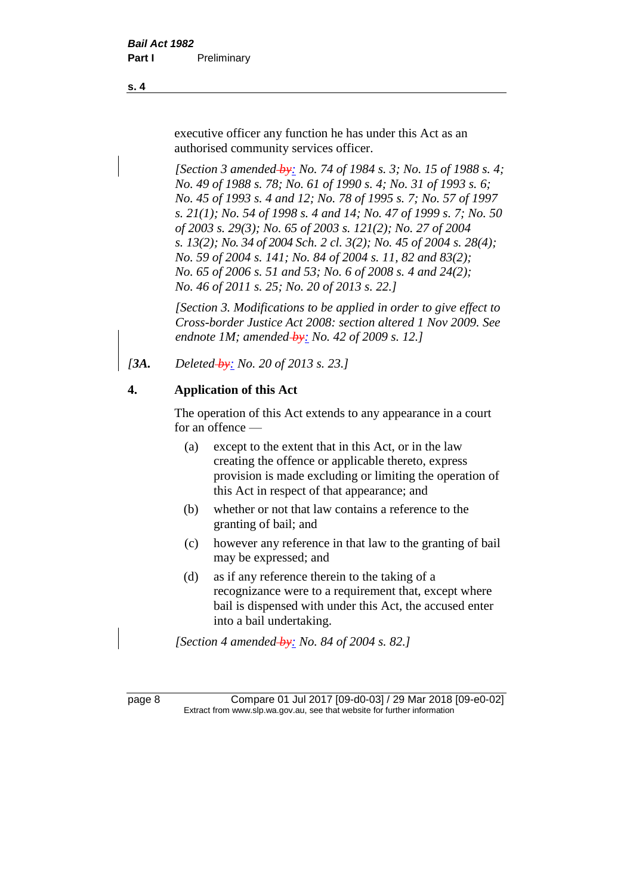executive officer any function he has under this Act as an authorised community services officer.

*[Section 3 amended by: No. 74 of 1984 s. 3; No. 15 of 1988 s. 4; No. 49 of 1988 s. 78; No. 61 of 1990 s. 4; No. 31 of 1993 s. 6; No. 45 of 1993 s. 4 and 12; No. 78 of 1995 s. 7; No. 57 of 1997 s. 21(1); No. 54 of 1998 s. 4 and 14; No. 47 of 1999 s. 7; No. 50 of 2003 s. 29(3); No. 65 of 2003 s. 121(2); No. 27 of 2004 s. 13(2); No. 34 of 2004 Sch. 2 cl. 3(2); No. 45 of 2004 s. 28(4); No. 59 of 2004 s. 141; No. 84 of 2004 s. 11, 82 and 83(2); No. 65 of 2006 s. 51 and 53; No. 6 of 2008 s. 4 and 24(2); No. 46 of 2011 s. 25; No. 20 of 2013 s. 22.]* 

*[Section 3. Modifications to be applied in order to give effect to Cross-border Justice Act 2008: section altered 1 Nov 2009. See endnote 1M; amended by: No. 42 of 2009 s. 12.]*

*[3A. Deleted by: No. 20 of 2013 s. 23.]*

### **4. Application of this Act**

The operation of this Act extends to any appearance in a court for an offence —

- (a) except to the extent that in this Act, or in the law creating the offence or applicable thereto, express provision is made excluding or limiting the operation of this Act in respect of that appearance; and
- (b) whether or not that law contains a reference to the granting of bail; and
- (c) however any reference in that law to the granting of bail may be expressed; and
- (d) as if any reference therein to the taking of a recognizance were to a requirement that, except where bail is dispensed with under this Act, the accused enter into a bail undertaking.

*[Section 4 amended by: No. 84 of 2004 s. 82.]*

page 8 Compare 01 Jul 2017 [09-d0-03] / 29 Mar 2018 [09-e0-02] Extract from www.slp.wa.gov.au, see that website for further information

**s. 4**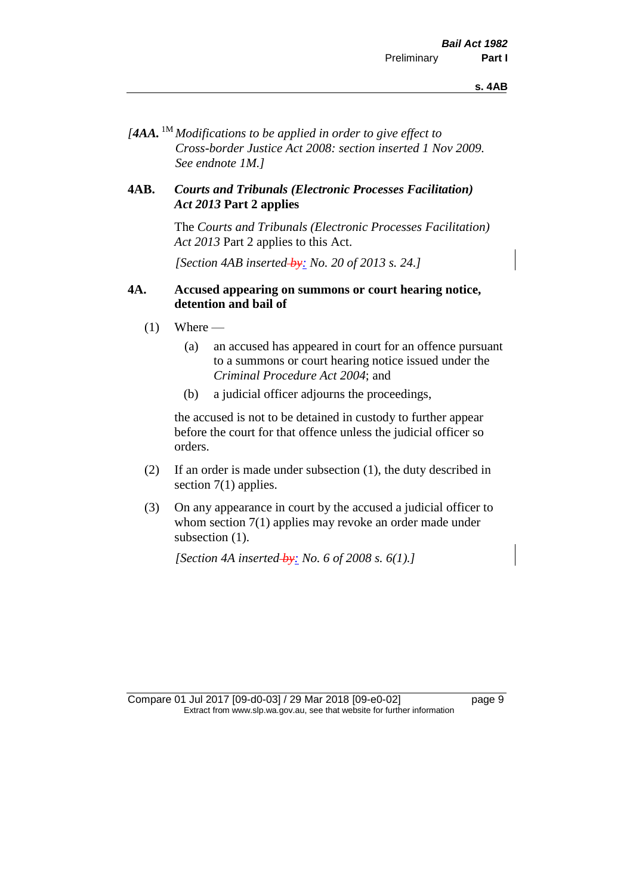*[4AA.* 1M *Modifications to be applied in order to give effect to Cross-border Justice Act 2008: section inserted 1 Nov 2009. See endnote 1M.]*

#### **4AB.** *Courts and Tribunals (Electronic Processes Facilitation) Act 2013* **Part 2 applies**

The *Courts and Tribunals (Electronic Processes Facilitation) Act 2013* Part 2 applies to this Act.

*[Section 4AB inserted by: No. 20 of 2013 s. 24.]*

#### **4A. Accused appearing on summons or court hearing notice, detention and bail of**

- $(1)$  Where
	- (a) an accused has appeared in court for an offence pursuant to a summons or court hearing notice issued under the *Criminal Procedure Act 2004*; and
	- (b) a judicial officer adjourns the proceedings,

the accused is not to be detained in custody to further appear before the court for that offence unless the judicial officer so orders.

- (2) If an order is made under subsection (1), the duty described in section 7(1) applies.
- (3) On any appearance in court by the accused a judicial officer to whom section 7(1) applies may revoke an order made under subsection  $(1)$ .

*[Section 4A inserted by: No. 6 of 2008 s. 6(1).]*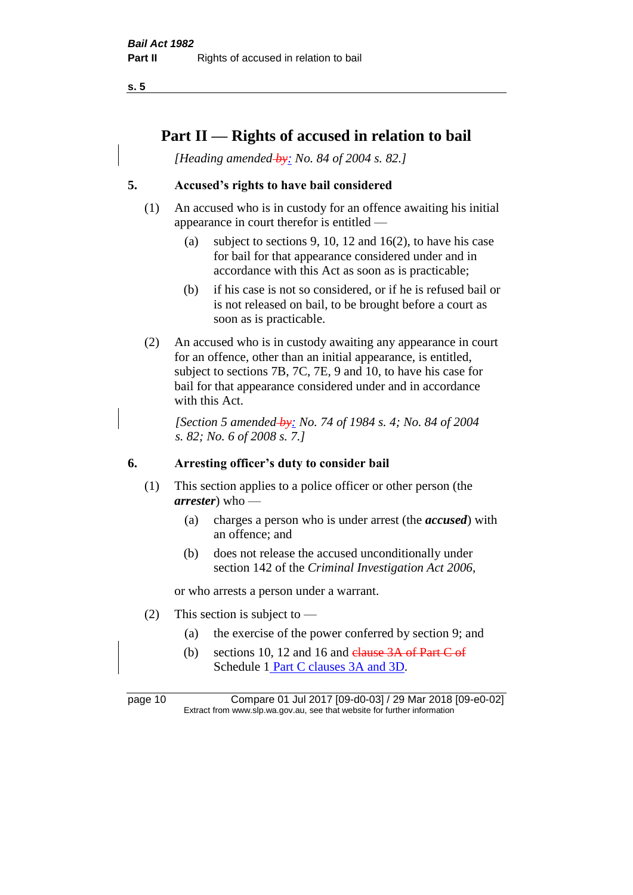## **Part II — Rights of accused in relation to bail**

*[Heading amended by: No. 84 of 2004 s. 82.]* 

#### **5. Accused's rights to have bail considered**

- (1) An accused who is in custody for an offence awaiting his initial appearance in court therefor is entitled —
	- (a) subject to sections 9, 10, 12 and 16(2), to have his case for bail for that appearance considered under and in accordance with this Act as soon as is practicable;
	- (b) if his case is not so considered, or if he is refused bail or is not released on bail, to be brought before a court as soon as is practicable.
- (2) An accused who is in custody awaiting any appearance in court for an offence, other than an initial appearance, is entitled, subject to sections 7B, 7C, 7E, 9 and 10, to have his case for bail for that appearance considered under and in accordance with this Act.

*[Section 5 amended by: No. 74 of 1984 s. 4; No. 84 of 2004 s. 82; No. 6 of 2008 s. 7.]* 

#### **6. Arresting officer's duty to consider bail**

- (1) This section applies to a police officer or other person (the *arrester*) who —
	- (a) charges a person who is under arrest (the *accused*) with an offence; and
	- (b) does not release the accused unconditionally under section 142 of the *Criminal Investigation Act 2006*,

or who arrests a person under a warrant.

- (2) This section is subject to
	- (a) the exercise of the power conferred by section 9; and
	- (b) sections 10, 12 and 16 and  $_{\text{e}}$  elause 3A of Part C of Schedule 1 Part C clauses 3A and 3D.

page 10 Compare 01 Jul 2017 [09-d0-03] / 29 Mar 2018 [09-e0-02] Extract from www.slp.wa.gov.au, see that website for further information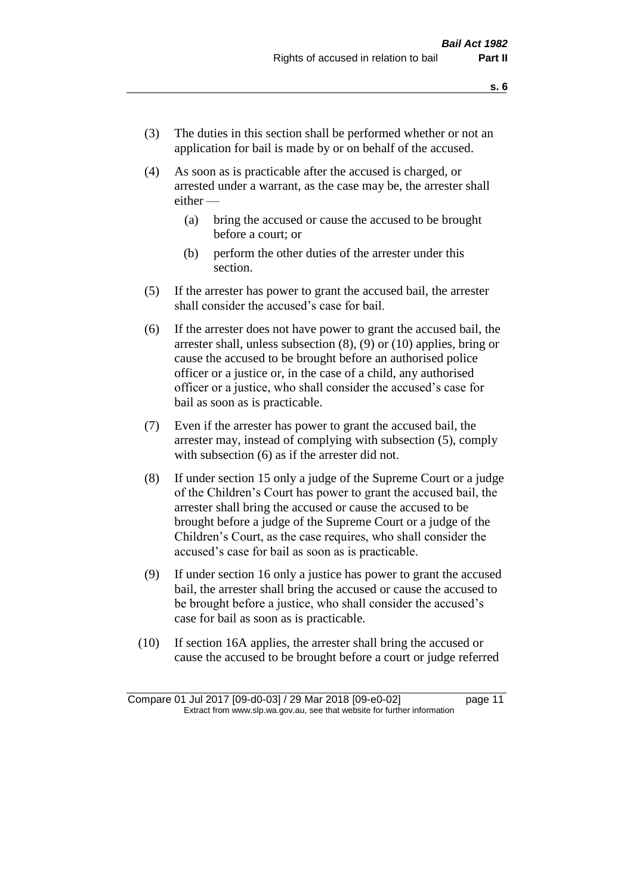- (3) The duties in this section shall be performed whether or not an application for bail is made by or on behalf of the accused.
- (4) As soon as is practicable after the accused is charged, or arrested under a warrant, as the case may be, the arrester shall either —
	- (a) bring the accused or cause the accused to be brought before a court; or
	- (b) perform the other duties of the arrester under this section.
- (5) If the arrester has power to grant the accused bail, the arrester shall consider the accused's case for bail.
- (6) If the arrester does not have power to grant the accused bail, the arrester shall, unless subsection (8), (9) or (10) applies, bring or cause the accused to be brought before an authorised police officer or a justice or, in the case of a child, any authorised officer or a justice, who shall consider the accused's case for bail as soon as is practicable.
- (7) Even if the arrester has power to grant the accused bail, the arrester may, instead of complying with subsection (5), comply with subsection  $(6)$  as if the arrester did not.
- (8) If under section 15 only a judge of the Supreme Court or a judge of the Children's Court has power to grant the accused bail, the arrester shall bring the accused or cause the accused to be brought before a judge of the Supreme Court or a judge of the Children's Court, as the case requires, who shall consider the accused's case for bail as soon as is practicable.
- (9) If under section 16 only a justice has power to grant the accused bail, the arrester shall bring the accused or cause the accused to be brought before a justice, who shall consider the accused's case for bail as soon as is practicable.
- (10) If section 16A applies, the arrester shall bring the accused or cause the accused to be brought before a court or judge referred

Compare 01 Jul 2017 [09-d0-03] / 29 Mar 2018 [09-e0-02] page 11 Extract from www.slp.wa.gov.au, see that website for further information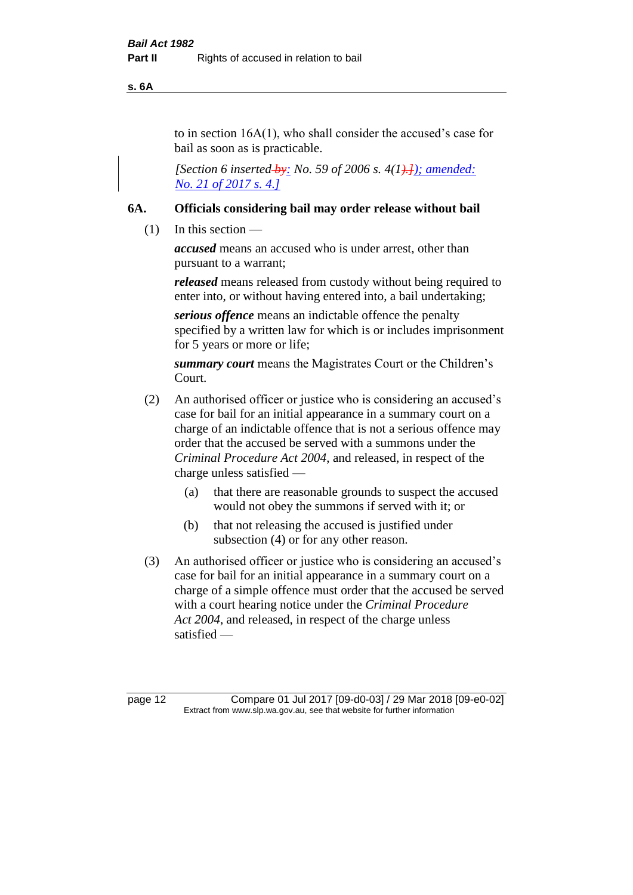**s. 6A**

to in section 16A(1), who shall consider the accused's case for bail as soon as is practicable.

*[Section 6 inserted by: No. 59 of 2006 s. 4(1).]); amended: No. 21 of 2017 s. 4.]*

#### **6A. Officials considering bail may order release without bail**

(1) In this section —

*accused* means an accused who is under arrest, other than pursuant to a warrant;

*released* means released from custody without being required to enter into, or without having entered into, a bail undertaking;

*serious offence* means an indictable offence the penalty specified by a written law for which is or includes imprisonment for 5 years or more or life;

*summary court* means the Magistrates Court or the Children's Court.

- (2) An authorised officer or justice who is considering an accused's case for bail for an initial appearance in a summary court on a charge of an indictable offence that is not a serious offence may order that the accused be served with a summons under the *Criminal Procedure Act 2004*, and released, in respect of the charge unless satisfied —
	- (a) that there are reasonable grounds to suspect the accused would not obey the summons if served with it; or
	- (b) that not releasing the accused is justified under subsection (4) or for any other reason.
- (3) An authorised officer or justice who is considering an accused's case for bail for an initial appearance in a summary court on a charge of a simple offence must order that the accused be served with a court hearing notice under the *Criminal Procedure Act 2004*, and released, in respect of the charge unless satisfied —

page 12 Compare 01 Jul 2017 [09-d0-03] / 29 Mar 2018 [09-e0-02] Extract from www.slp.wa.gov.au, see that website for further information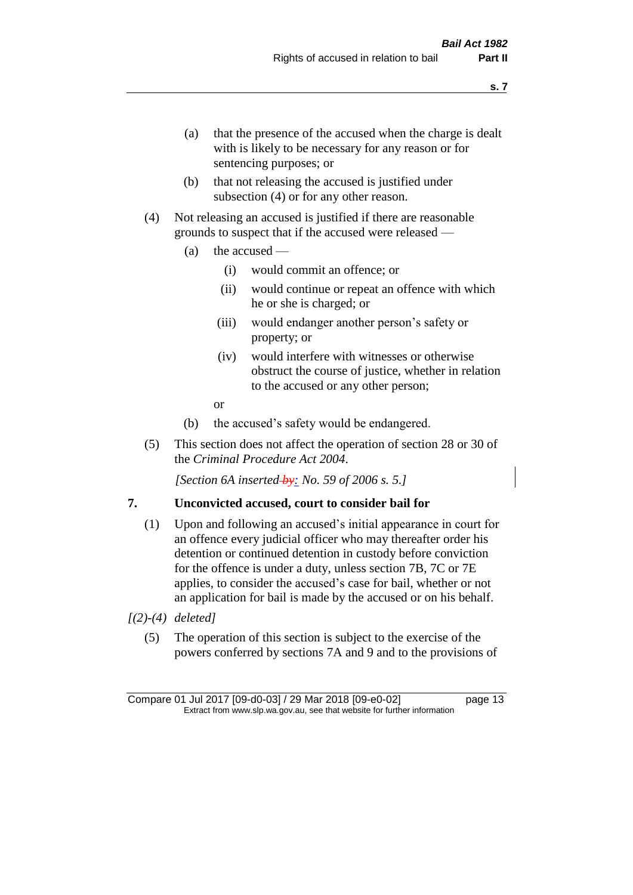- (a) that the presence of the accused when the charge is dealt with is likely to be necessary for any reason or for sentencing purposes; or
- (b) that not releasing the accused is justified under subsection (4) or for any other reason.
- (4) Not releasing an accused is justified if there are reasonable grounds to suspect that if the accused were released —
	- (a) the accused
		- (i) would commit an offence; or
		- (ii) would continue or repeat an offence with which he or she is charged; or
		- (iii) would endanger another person's safety or property; or
		- (iv) would interfere with witnesses or otherwise obstruct the course of justice, whether in relation to the accused or any other person;
		- or
	- (b) the accused's safety would be endangered.
- (5) This section does not affect the operation of section 28 or 30 of the *Criminal Procedure Act 2004*.

*[Section 6A inserted by: No. 59 of 2006 s. 5.]* 

#### **7. Unconvicted accused, court to consider bail for**

- (1) Upon and following an accused's initial appearance in court for an offence every judicial officer who may thereafter order his detention or continued detention in custody before conviction for the offence is under a duty, unless section 7B, 7C or 7E applies, to consider the accused's case for bail, whether or not an application for bail is made by the accused or on his behalf.
- *[(2)-(4) deleted]*
	- (5) The operation of this section is subject to the exercise of the powers conferred by sections 7A and 9 and to the provisions of

**s. 7**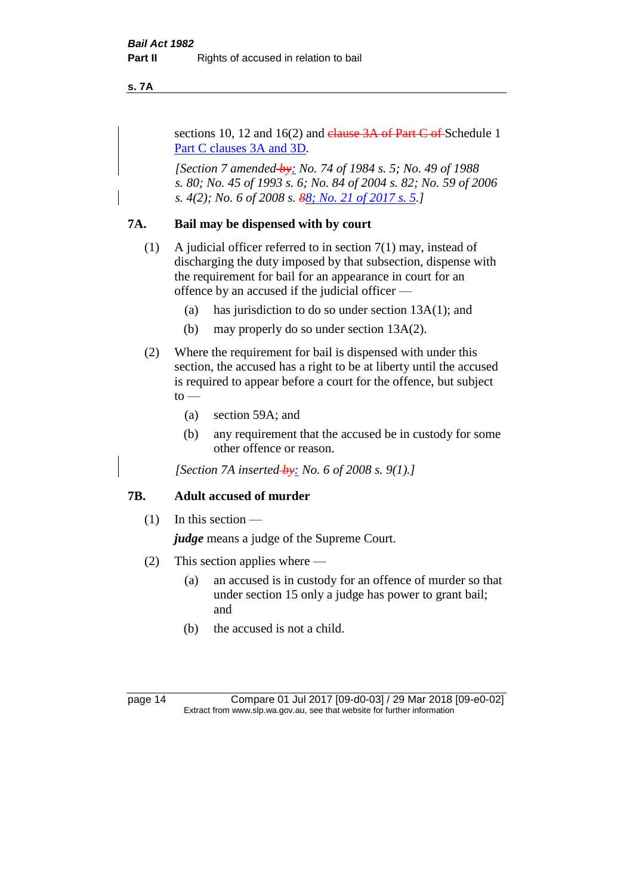**s. 7A**

sections 10, 12 and 16(2) and  $elause 3A$  of Part C of Schedule 1 Part C clauses 3A and 3D.

*[Section 7 amended by: No. 74 of 1984 s. 5; No. 49 of 1988 s. 80; No. 45 of 1993 s. 6; No. 84 of 2004 s. 82; No. 59 of 2006 s. 4(2); No. 6 of 2008 s. 88; No. 21 of 2017 s. 5.]* 

#### **7A. Bail may be dispensed with by court**

- (1) A judicial officer referred to in section 7(1) may, instead of discharging the duty imposed by that subsection, dispense with the requirement for bail for an appearance in court for an offence by an accused if the judicial officer —
	- (a) has jurisdiction to do so under section 13A(1); and
	- (b) may properly do so under section 13A(2).
- (2) Where the requirement for bail is dispensed with under this section, the accused has a right to be at liberty until the accused is required to appear before a court for the offence, but subject  $to -$ 
	- (a) section 59A; and
	- (b) any requirement that the accused be in custody for some other offence or reason.

*[Section 7A inserted by: No. 6 of 2008 s. 9(1).]*

#### **7B. Adult accused of murder**

 $(1)$  In this section —

*judge* means a judge of the Supreme Court.

- (2) This section applies where
	- (a) an accused is in custody for an offence of murder so that under section 15 only a judge has power to grant bail; and
	- (b) the accused is not a child.

page 14 Compare 01 Jul 2017 [09-d0-03] / 29 Mar 2018 [09-e0-02] Extract from www.slp.wa.gov.au, see that website for further information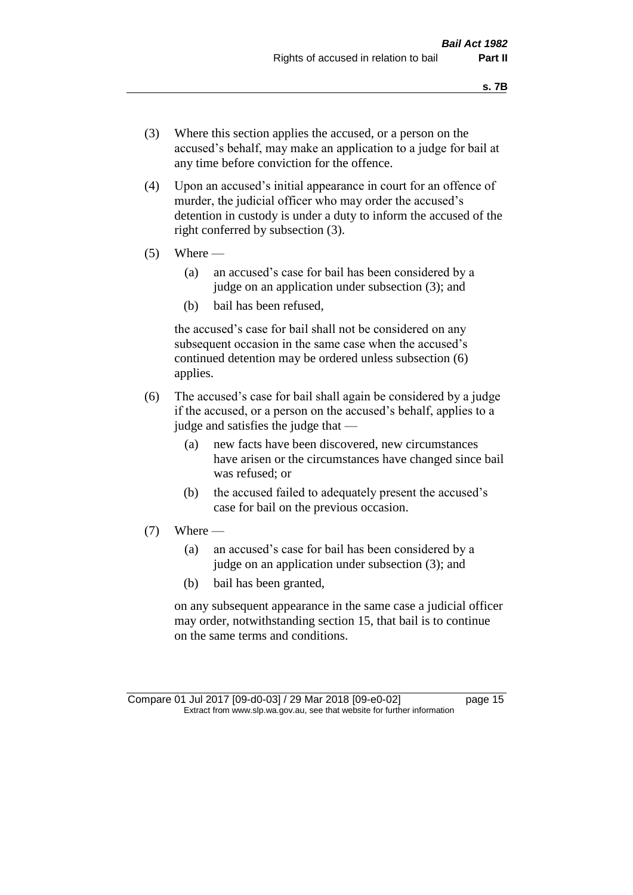- (3) Where this section applies the accused, or a person on the accused's behalf, may make an application to a judge for bail at any time before conviction for the offence.
- (4) Upon an accused's initial appearance in court for an offence of murder, the judicial officer who may order the accused's detention in custody is under a duty to inform the accused of the right conferred by subsection (3).
- $(5)$  Where
	- (a) an accused's case for bail has been considered by a judge on an application under subsection (3); and
	- (b) bail has been refused,

the accused's case for bail shall not be considered on any subsequent occasion in the same case when the accused's continued detention may be ordered unless subsection (6) applies.

- (6) The accused's case for bail shall again be considered by a judge if the accused, or a person on the accused's behalf, applies to a judge and satisfies the judge that —
	- (a) new facts have been discovered, new circumstances have arisen or the circumstances have changed since bail was refused; or
	- (b) the accused failed to adequately present the accused's case for bail on the previous occasion.
- $(7)$  Where
	- (a) an accused's case for bail has been considered by a judge on an application under subsection (3); and
	- (b) bail has been granted,

on any subsequent appearance in the same case a judicial officer may order, notwithstanding section 15, that bail is to continue on the same terms and conditions.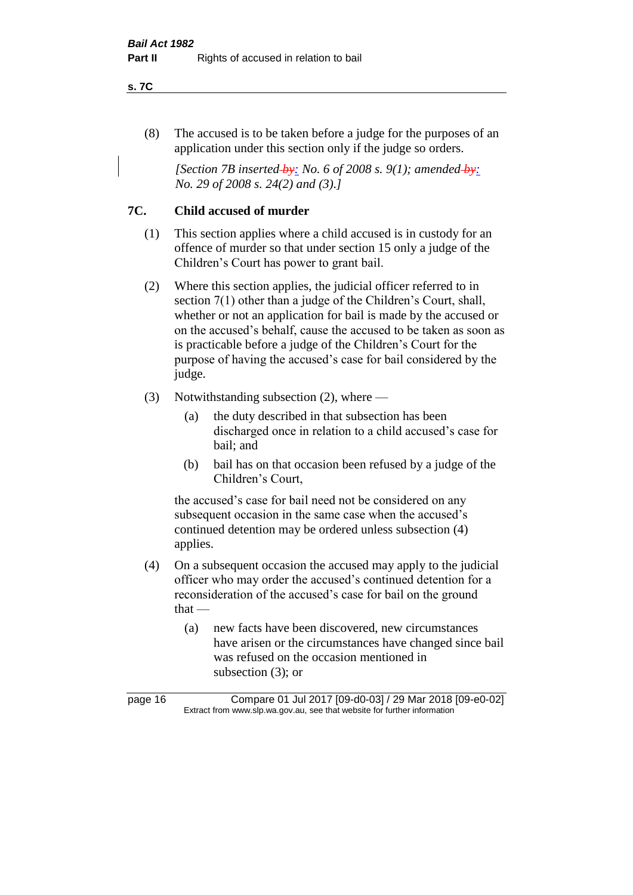**s. 7C**

(8) The accused is to be taken before a judge for the purposes of an application under this section only if the judge so orders.

*[Section 7B inserted-by: No. 6 of 2008 s. 9(1); amended-by: No. 29 of 2008 s. 24(2) and (3).]*

### **7C. Child accused of murder**

- (1) This section applies where a child accused is in custody for an offence of murder so that under section 15 only a judge of the Children's Court has power to grant bail.
- (2) Where this section applies, the judicial officer referred to in section 7(1) other than a judge of the Children's Court, shall, whether or not an application for bail is made by the accused or on the accused's behalf, cause the accused to be taken as soon as is practicable before a judge of the Children's Court for the purpose of having the accused's case for bail considered by the judge.
- (3) Notwithstanding subsection (2), where
	- (a) the duty described in that subsection has been discharged once in relation to a child accused's case for bail; and
	- (b) bail has on that occasion been refused by a judge of the Children's Court,

the accused's case for bail need not be considered on any subsequent occasion in the same case when the accused's continued detention may be ordered unless subsection (4) applies.

- (4) On a subsequent occasion the accused may apply to the judicial officer who may order the accused's continued detention for a reconsideration of the accused's case for bail on the ground that —
	- (a) new facts have been discovered, new circumstances have arisen or the circumstances have changed since bail was refused on the occasion mentioned in subsection (3); or

page 16 Compare 01 Jul 2017 [09-d0-03] / 29 Mar 2018 [09-e0-02] Extract from www.slp.wa.gov.au, see that website for further information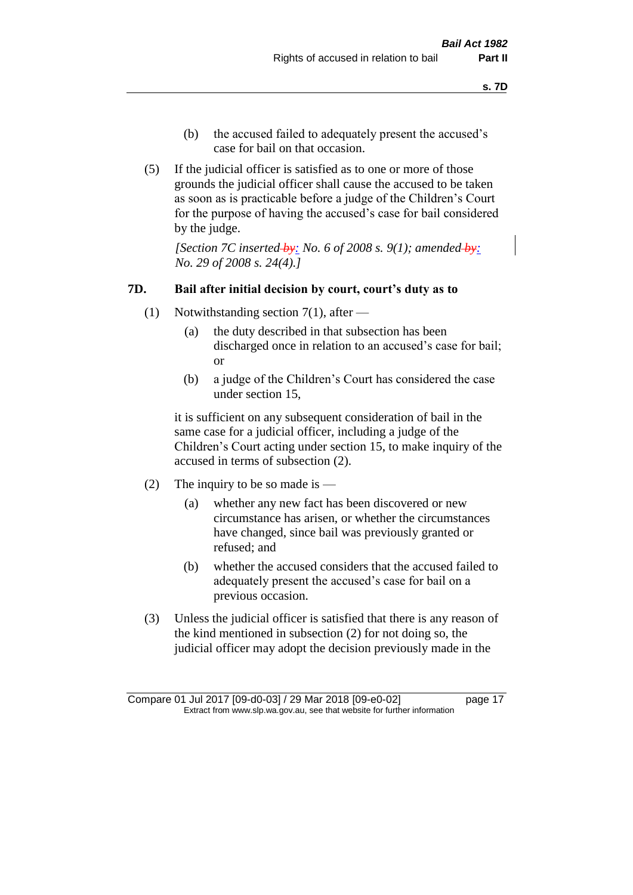- (b) the accused failed to adequately present the accused's case for bail on that occasion.
- (5) If the judicial officer is satisfied as to one or more of those grounds the judicial officer shall cause the accused to be taken as soon as is practicable before a judge of the Children's Court for the purpose of having the accused's case for bail considered by the judge.

*[Section 7C inserted by: No. 6 of 2008 s. 9(1); amended by: No. 29 of 2008 s. 24(4).]*

#### **7D. Bail after initial decision by court, court's duty as to**

- (1) Notwithstanding section 7(1), after
	- (a) the duty described in that subsection has been discharged once in relation to an accused's case for bail; or
	- (b) a judge of the Children's Court has considered the case under section 15,

it is sufficient on any subsequent consideration of bail in the same case for a judicial officer, including a judge of the Children's Court acting under section 15, to make inquiry of the accused in terms of subsection (2).

- (2) The inquiry to be so made is
	- (a) whether any new fact has been discovered or new circumstance has arisen, or whether the circumstances have changed, since bail was previously granted or refused; and
	- (b) whether the accused considers that the accused failed to adequately present the accused's case for bail on a previous occasion.
- (3) Unless the judicial officer is satisfied that there is any reason of the kind mentioned in subsection (2) for not doing so, the judicial officer may adopt the decision previously made in the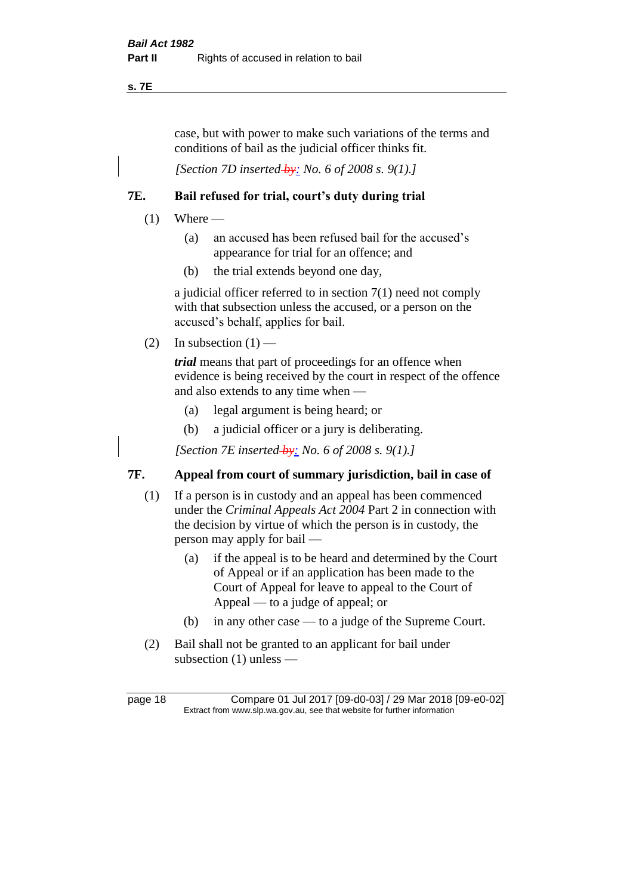**s. 7E**

case, but with power to make such variations of the terms and conditions of bail as the judicial officer thinks fit.

*[Section 7D inserted by: No. 6 of 2008 s. 9(1).]*

### **7E. Bail refused for trial, court's duty during trial**

- $(1)$  Where
	- (a) an accused has been refused bail for the accused's appearance for trial for an offence; and
	- (b) the trial extends beyond one day,

a judicial officer referred to in section 7(1) need not comply with that subsection unless the accused, or a person on the accused's behalf, applies for bail.

(2) In subsection  $(1)$  —

*trial* means that part of proceedings for an offence when evidence is being received by the court in respect of the offence and also extends to any time when —

- (a) legal argument is being heard; or
- (b) a judicial officer or a jury is deliberating.

*[Section 7E inserted by: No. 6 of 2008 s. 9(1).]*

### **7F. Appeal from court of summary jurisdiction, bail in case of**

- (1) If a person is in custody and an appeal has been commenced under the *Criminal Appeals Act 2004* Part 2 in connection with the decision by virtue of which the person is in custody, the person may apply for bail —
	- (a) if the appeal is to be heard and determined by the Court of Appeal or if an application has been made to the Court of Appeal for leave to appeal to the Court of Appeal — to a judge of appeal; or
	- (b) in any other case to a judge of the Supreme Court.
- (2) Bail shall not be granted to an applicant for bail under subsection (1) unless —

page 18 Compare 01 Jul 2017 [09-d0-03] / 29 Mar 2018 [09-e0-02] Extract from www.slp.wa.gov.au, see that website for further information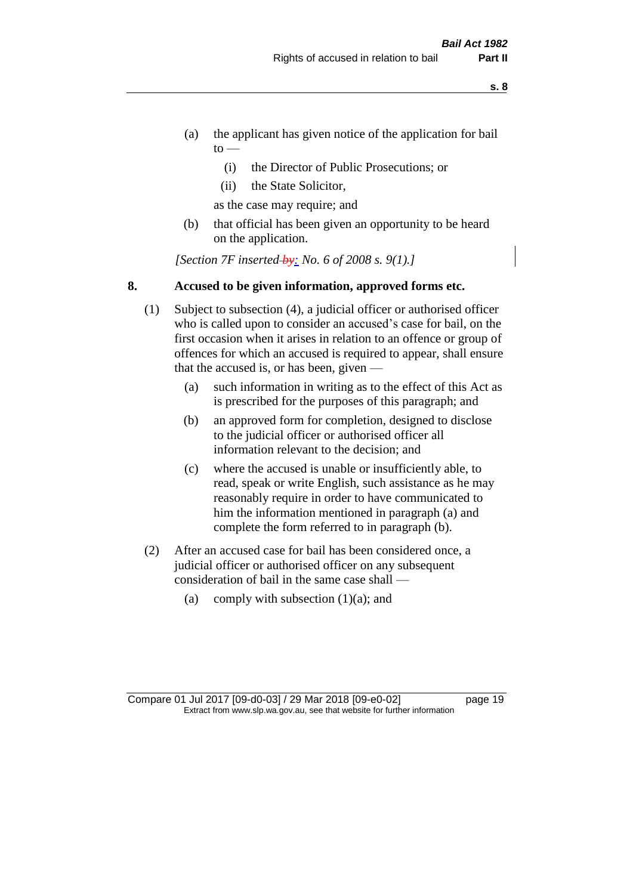- **s. 8**
- (a) the applicant has given notice of the application for bail  $\mathrm{to}$  —
	- (i) the Director of Public Prosecutions; or
	- (ii) the State Solicitor,

as the case may require; and

(b) that official has been given an opportunity to be heard on the application.

*[Section 7F inserted by: No. 6 of 2008 s. 9(1).]*

#### **8. Accused to be given information, approved forms etc.**

- (1) Subject to subsection (4), a judicial officer or authorised officer who is called upon to consider an accused's case for bail, on the first occasion when it arises in relation to an offence or group of offences for which an accused is required to appear, shall ensure that the accused is, or has been, given —
	- (a) such information in writing as to the effect of this Act as is prescribed for the purposes of this paragraph; and
	- (b) an approved form for completion, designed to disclose to the judicial officer or authorised officer all information relevant to the decision; and
	- (c) where the accused is unable or insufficiently able, to read, speak or write English, such assistance as he may reasonably require in order to have communicated to him the information mentioned in paragraph (a) and complete the form referred to in paragraph (b).
- (2) After an accused case for bail has been considered once, a judicial officer or authorised officer on any subsequent consideration of bail in the same case shall —
	- (a) comply with subsection  $(1)(a)$ ; and

Compare 01 Jul 2017 [09-d0-03] / 29 Mar 2018 [09-e0-02] page 19 Extract from www.slp.wa.gov.au, see that website for further information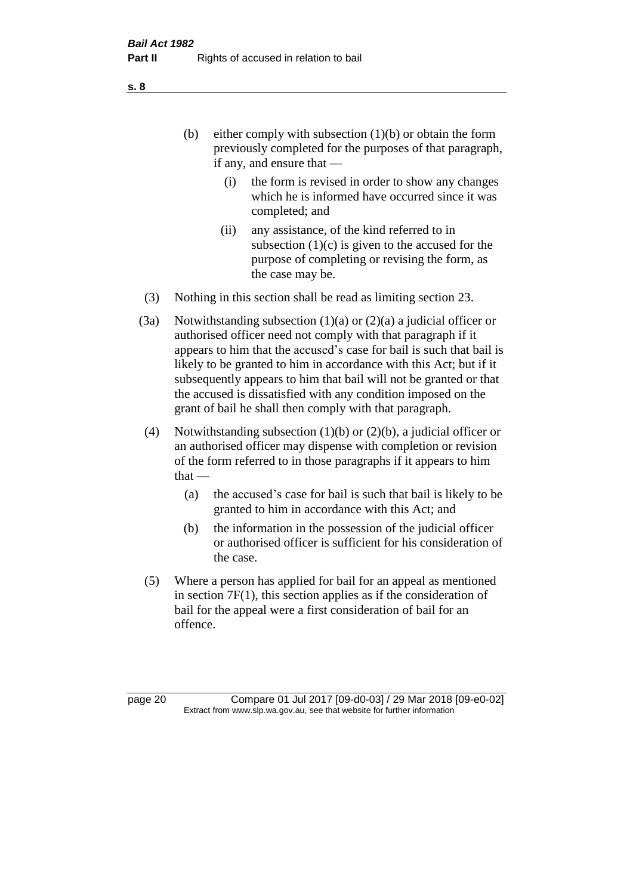(b) either comply with subsection  $(1)(b)$  or obtain the form previously completed for the purposes of that paragraph, if any, and ensure that —

- (i) the form is revised in order to show any changes which he is informed have occurred since it was completed; and
- (ii) any assistance, of the kind referred to in subsection  $(1)(c)$  is given to the accused for the purpose of completing or revising the form, as the case may be.
- (3) Nothing in this section shall be read as limiting section 23.
- (3a) Notwithstanding subsection  $(1)(a)$  or  $(2)(a)$  a judicial officer or authorised officer need not comply with that paragraph if it appears to him that the accused's case for bail is such that bail is likely to be granted to him in accordance with this Act; but if it subsequently appears to him that bail will not be granted or that the accused is dissatisfied with any condition imposed on the grant of bail he shall then comply with that paragraph.
- (4) Notwithstanding subsection (1)(b) or (2)(b), a judicial officer or an authorised officer may dispense with completion or revision of the form referred to in those paragraphs if it appears to him  $that -$ 
	- (a) the accused's case for bail is such that bail is likely to be granted to him in accordance with this Act; and
	- (b) the information in the possession of the judicial officer or authorised officer is sufficient for his consideration of the case.
- (5) Where a person has applied for bail for an appeal as mentioned in section 7F(1), this section applies as if the consideration of bail for the appeal were a first consideration of bail for an offence.

page 20 Compare 01 Jul 2017 [09-d0-03] / 29 Mar 2018 [09-e0-02] Extract from www.slp.wa.gov.au, see that website for further information

**s. 8**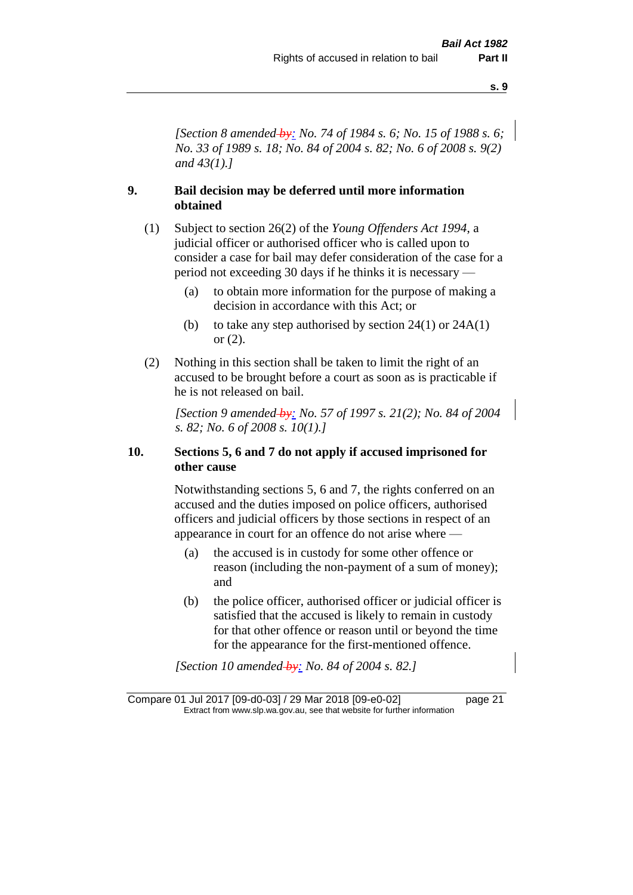*[Section 8 amended by: No. 74 of 1984 s. 6; No. 15 of 1988 s. 6; No. 33 of 1989 s. 18; No. 84 of 2004 s. 82; No. 6 of 2008 s. 9(2) and 43(1).]* 

#### **9. Bail decision may be deferred until more information obtained**

- (1) Subject to section 26(2) of the *Young Offenders Act 1994*, a judicial officer or authorised officer who is called upon to consider a case for bail may defer consideration of the case for a period not exceeding 30 days if he thinks it is necessary —
	- (a) to obtain more information for the purpose of making a decision in accordance with this Act; or
	- (b) to take any step authorised by section  $24(1)$  or  $24A(1)$ or (2).
- (2) Nothing in this section shall be taken to limit the right of an accused to be brought before a court as soon as is practicable if he is not released on bail.

*[Section 9 amended by: No. 57 of 1997 s. 21(2); No. 84 of 2004 s. 82; No. 6 of 2008 s. 10(1).]*

#### **10. Sections 5, 6 and 7 do not apply if accused imprisoned for other cause**

Notwithstanding sections 5, 6 and 7, the rights conferred on an accused and the duties imposed on police officers, authorised officers and judicial officers by those sections in respect of an appearance in court for an offence do not arise where —

- (a) the accused is in custody for some other offence or reason (including the non-payment of a sum of money); and
- (b) the police officer, authorised officer or judicial officer is satisfied that the accused is likely to remain in custody for that other offence or reason until or beyond the time for the appearance for the first-mentioned offence.

*[Section 10 amended by: No. 84 of 2004 s. 82.]*

Compare 01 Jul 2017 [09-d0-03] / 29 Mar 2018 [09-e0-02] page 21 Extract from www.slp.wa.gov.au, see that website for further information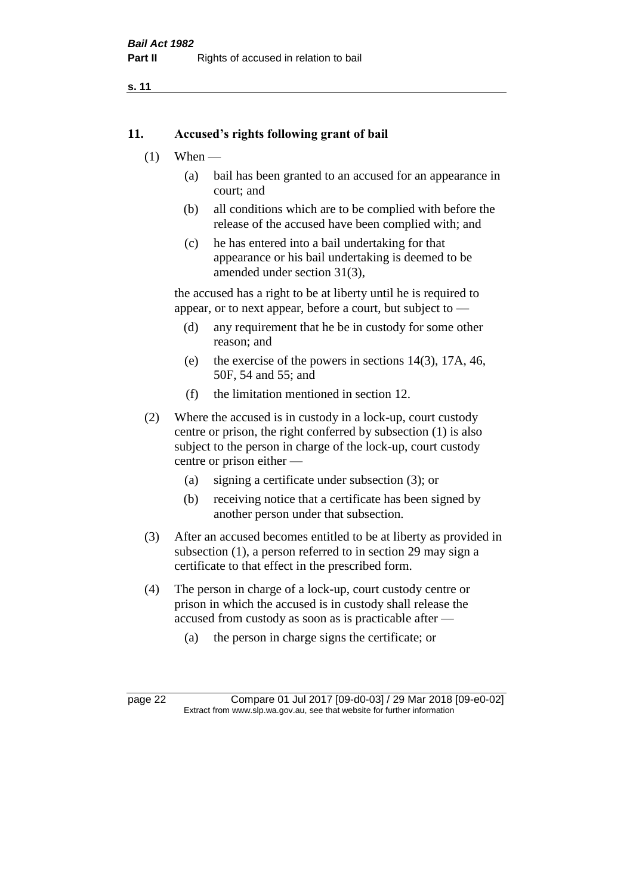#### **11. Accused's rights following grant of bail**

- $(1)$  When
	- (a) bail has been granted to an accused for an appearance in court; and
	- (b) all conditions which are to be complied with before the release of the accused have been complied with; and
	- (c) he has entered into a bail undertaking for that appearance or his bail undertaking is deemed to be amended under section 31(3),

the accused has a right to be at liberty until he is required to appear, or to next appear, before a court, but subject to —

- (d) any requirement that he be in custody for some other reason; and
- (e) the exercise of the powers in sections 14(3), 17A, 46, 50F, 54 and 55; and
- (f) the limitation mentioned in section 12.
- (2) Where the accused is in custody in a lock-up, court custody centre or prison, the right conferred by subsection (1) is also subject to the person in charge of the lock-up, court custody centre or prison either —
	- (a) signing a certificate under subsection (3); or
	- (b) receiving notice that a certificate has been signed by another person under that subsection.
- (3) After an accused becomes entitled to be at liberty as provided in subsection (1), a person referred to in section 29 may sign a certificate to that effect in the prescribed form.
- (4) The person in charge of a lock-up, court custody centre or prison in which the accused is in custody shall release the accused from custody as soon as is practicable after —
	- (a) the person in charge signs the certificate; or

page 22 Compare 01 Jul 2017 [09-d0-03] / 29 Mar 2018 [09-e0-02] Extract from www.slp.wa.gov.au, see that website for further information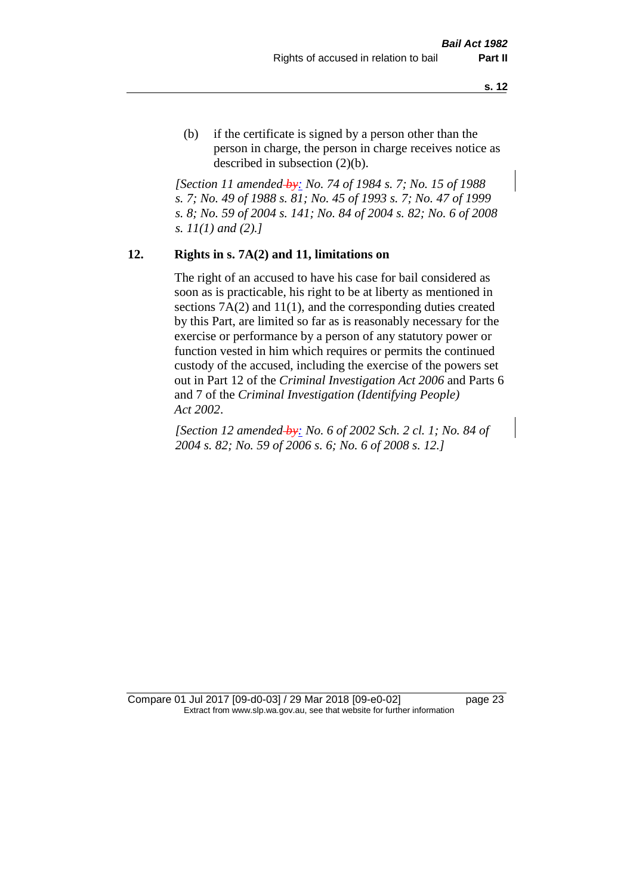(b) if the certificate is signed by a person other than the person in charge, the person in charge receives notice as described in subsection (2)(b).

*[Section 11 amended by: No. 74 of 1984 s. 7; No. 15 of 1988 s. 7; No. 49 of 1988 s. 81; No. 45 of 1993 s. 7; No. 47 of 1999 s. 8; No. 59 of 2004 s. 141; No. 84 of 2004 s. 82; No. 6 of 2008 s. 11(1) and (2).]* 

#### **12. Rights in s. 7A(2) and 11, limitations on**

The right of an accused to have his case for bail considered as soon as is practicable, his right to be at liberty as mentioned in sections 7A(2) and 11(1), and the corresponding duties created by this Part, are limited so far as is reasonably necessary for the exercise or performance by a person of any statutory power or function vested in him which requires or permits the continued custody of the accused, including the exercise of the powers set out in Part 12 of the *Criminal Investigation Act 2006* and Parts 6 and 7 of the *Criminal Investigation (Identifying People) Act 2002*.

*[Section 12 amended by: No. 6 of 2002 Sch. 2 cl. 1; No. 84 of 2004 s. 82; No. 59 of 2006 s. 6; No. 6 of 2008 s. 12.]*

Compare 01 Jul 2017 [09-d0-03] / 29 Mar 2018 [09-e0-02] page 23 Extract from www.slp.wa.gov.au, see that website for further information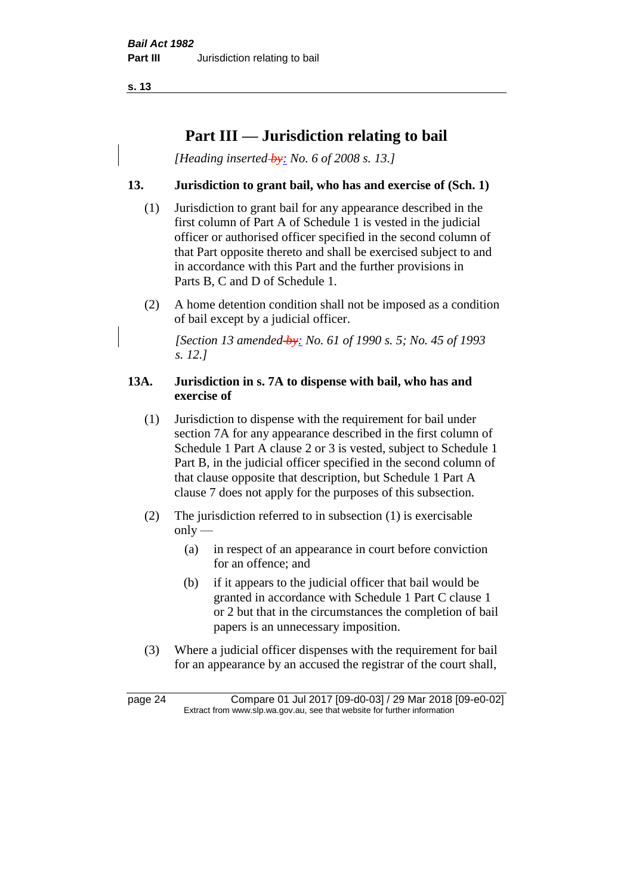# **Part III — Jurisdiction relating to bail**

*[Heading inserted by: No. 6 of 2008 s. 13.]*

#### **13. Jurisdiction to grant bail, who has and exercise of (Sch. 1)**

- (1) Jurisdiction to grant bail for any appearance described in the first column of Part A of Schedule 1 is vested in the judicial officer or authorised officer specified in the second column of that Part opposite thereto and shall be exercised subject to and in accordance with this Part and the further provisions in Parts B, C and D of Schedule 1.
- (2) A home detention condition shall not be imposed as a condition of bail except by a judicial officer.

*[Section 13 amended by: No. 61 of 1990 s. 5; No. 45 of 1993 s. 12.]* 

#### **13A. Jurisdiction in s. 7A to dispense with bail, who has and exercise of**

- (1) Jurisdiction to dispense with the requirement for bail under section 7A for any appearance described in the first column of Schedule 1 Part A clause 2 or 3 is vested, subject to Schedule 1 Part B, in the judicial officer specified in the second column of that clause opposite that description, but Schedule 1 Part A clause 7 does not apply for the purposes of this subsection.
- (2) The jurisdiction referred to in subsection (1) is exercisable  $only$ —
	- (a) in respect of an appearance in court before conviction for an offence; and
	- (b) if it appears to the judicial officer that bail would be granted in accordance with Schedule 1 Part C clause 1 or 2 but that in the circumstances the completion of bail papers is an unnecessary imposition.
- (3) Where a judicial officer dispenses with the requirement for bail for an appearance by an accused the registrar of the court shall,

page 24 Compare 01 Jul 2017 [09-d0-03] / 29 Mar 2018 [09-e0-02] Extract from www.slp.wa.gov.au, see that website for further information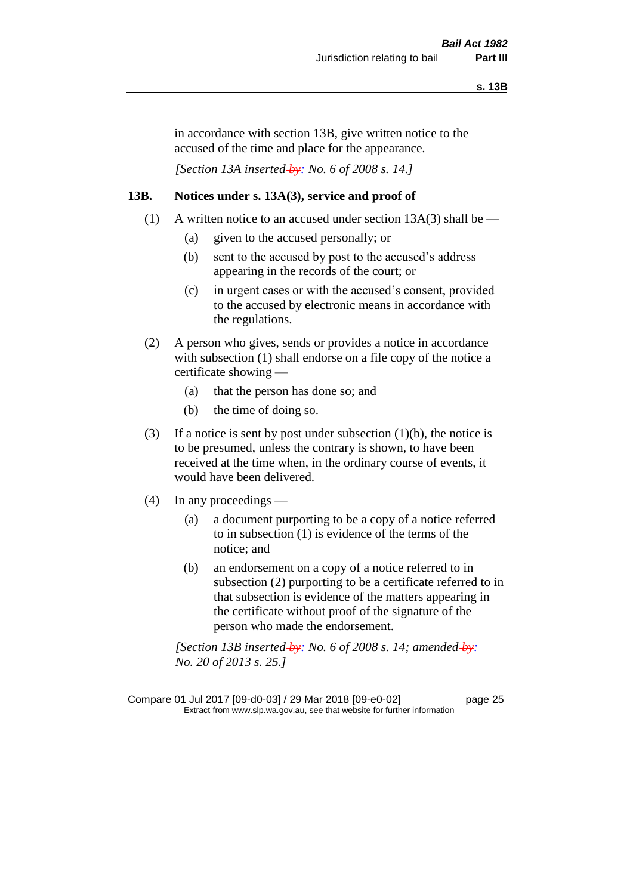in accordance with section 13B, give written notice to the accused of the time and place for the appearance.

*[Section 13A inserted by: No. 6 of 2008 s. 14.]*

#### **13B. Notices under s. 13A(3), service and proof of**

- (1) A written notice to an accused under section  $13A(3)$  shall be
	- (a) given to the accused personally; or
	- (b) sent to the accused by post to the accused's address appearing in the records of the court; or
	- (c) in urgent cases or with the accused's consent, provided to the accused by electronic means in accordance with the regulations.
- (2) A person who gives, sends or provides a notice in accordance with subsection (1) shall endorse on a file copy of the notice a certificate showing —
	- (a) that the person has done so; and
	- (b) the time of doing so.
- (3) If a notice is sent by post under subsection  $(1)(b)$ , the notice is to be presumed, unless the contrary is shown, to have been received at the time when, in the ordinary course of events, it would have been delivered.
- (4) In any proceedings
	- (a) a document purporting to be a copy of a notice referred to in subsection (1) is evidence of the terms of the notice; and
	- (b) an endorsement on a copy of a notice referred to in subsection (2) purporting to be a certificate referred to in that subsection is evidence of the matters appearing in the certificate without proof of the signature of the person who made the endorsement.

*[Section 13B inserted by: No. 6 of 2008 s. 14; amended by: No. 20 of 2013 s. 25.]*

Compare 01 Jul 2017 [09-d0-03] / 29 Mar 2018 [09-e0-02] page 25 Extract from www.slp.wa.gov.au, see that website for further information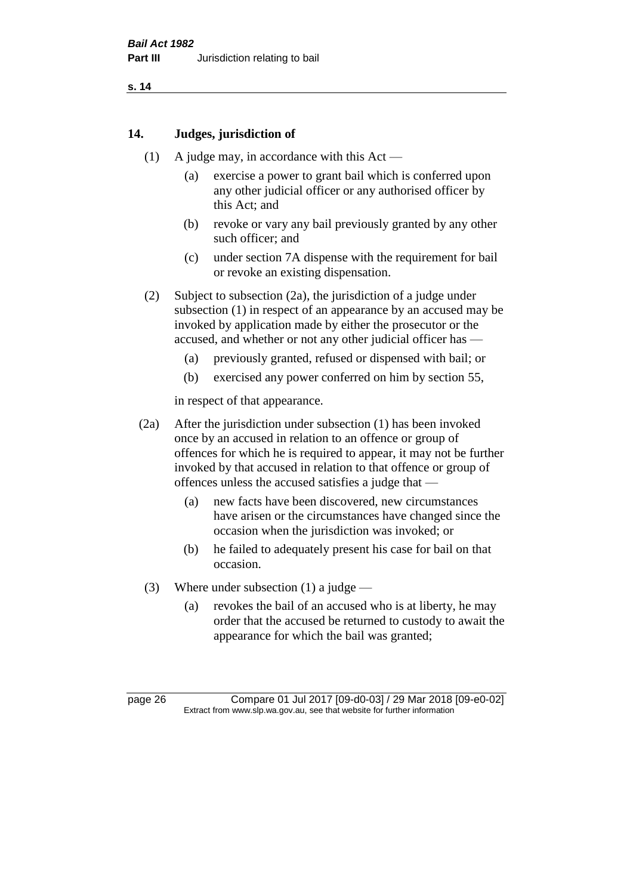#### **14. Judges, jurisdiction of**

- (1) A judge may, in accordance with this Act
	- (a) exercise a power to grant bail which is conferred upon any other judicial officer or any authorised officer by this Act; and
	- (b) revoke or vary any bail previously granted by any other such officer; and
	- (c) under section 7A dispense with the requirement for bail or revoke an existing dispensation.
- (2) Subject to subsection (2a), the jurisdiction of a judge under subsection (1) in respect of an appearance by an accused may be invoked by application made by either the prosecutor or the accused, and whether or not any other judicial officer has —
	- (a) previously granted, refused or dispensed with bail; or
	- (b) exercised any power conferred on him by section 55,

in respect of that appearance.

- (2a) After the jurisdiction under subsection (1) has been invoked once by an accused in relation to an offence or group of offences for which he is required to appear, it may not be further invoked by that accused in relation to that offence or group of offences unless the accused satisfies a judge that —
	- (a) new facts have been discovered, new circumstances have arisen or the circumstances have changed since the occasion when the jurisdiction was invoked; or
	- (b) he failed to adequately present his case for bail on that occasion.
- (3) Where under subsection (1) a judge
	- (a) revokes the bail of an accused who is at liberty, he may order that the accused be returned to custody to await the appearance for which the bail was granted;

page 26 Compare 01 Jul 2017 [09-d0-03] / 29 Mar 2018 [09-e0-02] Extract from www.slp.wa.gov.au, see that website for further information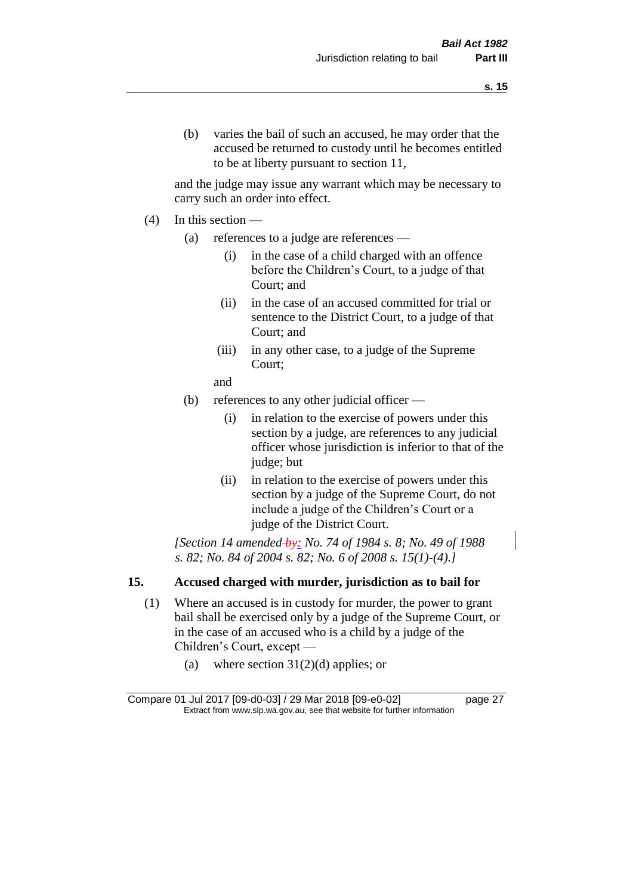and the judge may issue any warrant which may be necessary to carry such an order into effect.

- $(4)$  In this section
	- (a) references to a judge are references
		- (i) in the case of a child charged with an offence before the Children's Court, to a judge of that Court; and
		- (ii) in the case of an accused committed for trial or sentence to the District Court, to a judge of that Court; and
		- (iii) in any other case, to a judge of the Supreme Court;
		- and
	- (b) references to any other judicial officer
		- (i) in relation to the exercise of powers under this section by a judge, are references to any judicial officer whose jurisdiction is inferior to that of the judge; but
		- (ii) in relation to the exercise of powers under this section by a judge of the Supreme Court, do not include a judge of the Children's Court or a judge of the District Court.

*[Section 14 amended by: No. 74 of 1984 s. 8; No. 49 of 1988 s. 82; No. 84 of 2004 s. 82; No. 6 of 2008 s. 15(1)-(4).]* 

### **15. Accused charged with murder, jurisdiction as to bail for**

- (1) Where an accused is in custody for murder, the power to grant bail shall be exercised only by a judge of the Supreme Court, or in the case of an accused who is a child by a judge of the Children's Court, except —
	- (a) where section  $31(2)(d)$  applies; or

Compare 01 Jul 2017 [09-d0-03] / 29 Mar 2018 [09-e0-02] page 27 Extract from www.slp.wa.gov.au, see that website for further information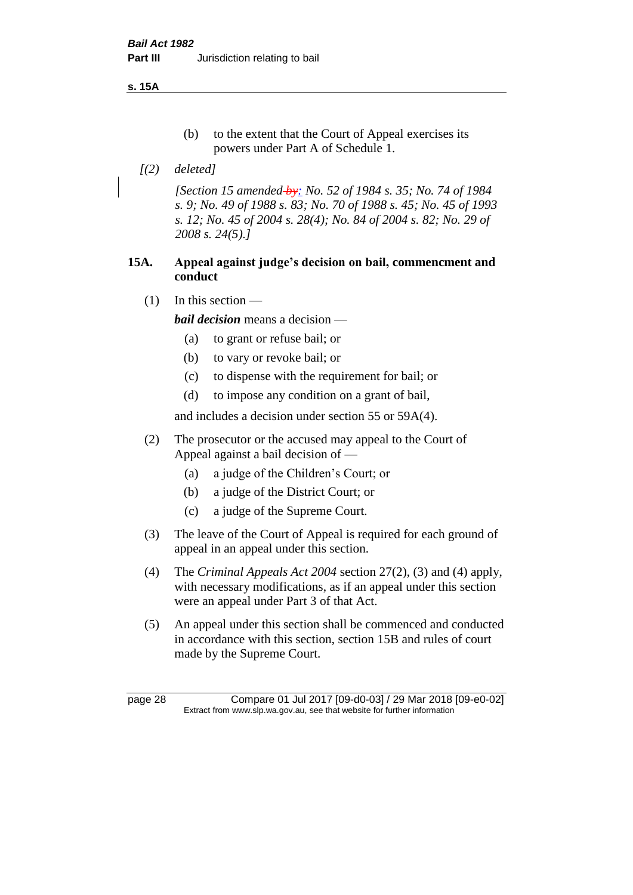**s. 15A**

- (b) to the extent that the Court of Appeal exercises its powers under Part A of Schedule 1.
- *[(2) deleted]*

*[Section 15 amended by: No. 52 of 1984 s. 35; No. 74 of 1984 s. 9; No. 49 of 1988 s. 83; No. 70 of 1988 s. 45; No. 45 of 1993 s. 12; No. 45 of 2004 s. 28(4); No. 84 of 2004 s. 82; No. 29 of 2008 s. 24(5).]* 

#### **15A. Appeal against judge's decision on bail, commencment and conduct**

 $(1)$  In this section —

*bail decision* means a decision —

- (a) to grant or refuse bail; or
- (b) to vary or revoke bail; or
- (c) to dispense with the requirement for bail; or
- (d) to impose any condition on a grant of bail,

and includes a decision under section 55 or 59A(4).

- (2) The prosecutor or the accused may appeal to the Court of Appeal against a bail decision of —
	- (a) a judge of the Children's Court; or
	- (b) a judge of the District Court; or
	- (c) a judge of the Supreme Court.
- (3) The leave of the Court of Appeal is required for each ground of appeal in an appeal under this section.
- (4) The *Criminal Appeals Act 2004* section 27(2), (3) and (4) apply, with necessary modifications, as if an appeal under this section were an appeal under Part 3 of that Act.
- (5) An appeal under this section shall be commenced and conducted in accordance with this section, section 15B and rules of court made by the Supreme Court.

page 28 Compare 01 Jul 2017 [09-d0-03] / 29 Mar 2018 [09-e0-02] Extract from www.slp.wa.gov.au, see that website for further information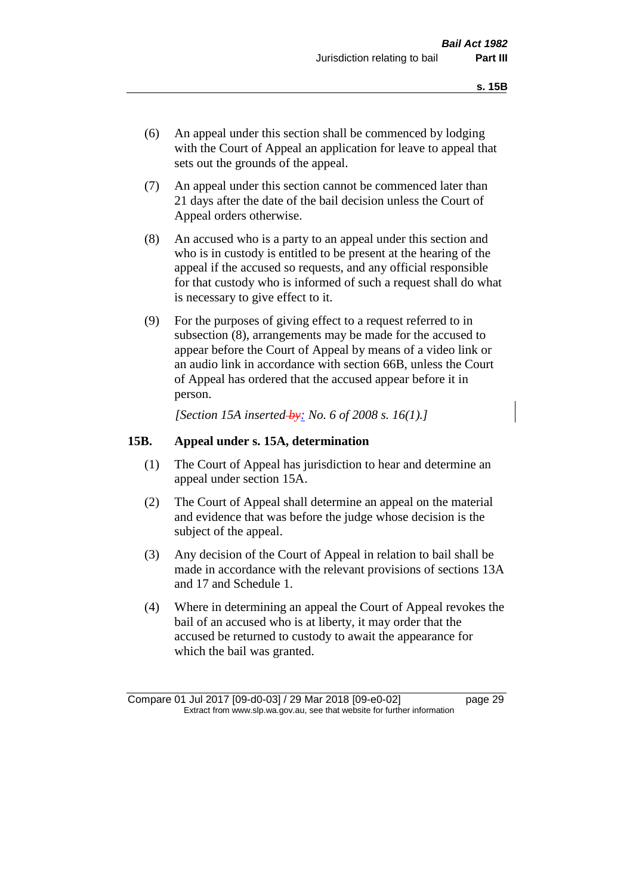- (6) An appeal under this section shall be commenced by lodging with the Court of Appeal an application for leave to appeal that sets out the grounds of the appeal.
- (7) An appeal under this section cannot be commenced later than 21 days after the date of the bail decision unless the Court of Appeal orders otherwise.
- (8) An accused who is a party to an appeal under this section and who is in custody is entitled to be present at the hearing of the appeal if the accused so requests, and any official responsible for that custody who is informed of such a request shall do what is necessary to give effect to it.
- (9) For the purposes of giving effect to a request referred to in subsection (8), arrangements may be made for the accused to appear before the Court of Appeal by means of a video link or an audio link in accordance with section 66B, unless the Court of Appeal has ordered that the accused appear before it in person.

*[Section 15A inserted by: No. 6 of 2008 s. 16(1).]*

#### **15B. Appeal under s. 15A, determination**

- (1) The Court of Appeal has jurisdiction to hear and determine an appeal under section 15A.
- (2) The Court of Appeal shall determine an appeal on the material and evidence that was before the judge whose decision is the subject of the appeal.
- (3) Any decision of the Court of Appeal in relation to bail shall be made in accordance with the relevant provisions of sections 13A and 17 and Schedule 1.
- (4) Where in determining an appeal the Court of Appeal revokes the bail of an accused who is at liberty, it may order that the accused be returned to custody to await the appearance for which the bail was granted.

Compare 01 Jul 2017 [09-d0-03] / 29 Mar 2018 [09-e0-02] page 29 Extract from www.slp.wa.gov.au, see that website for further information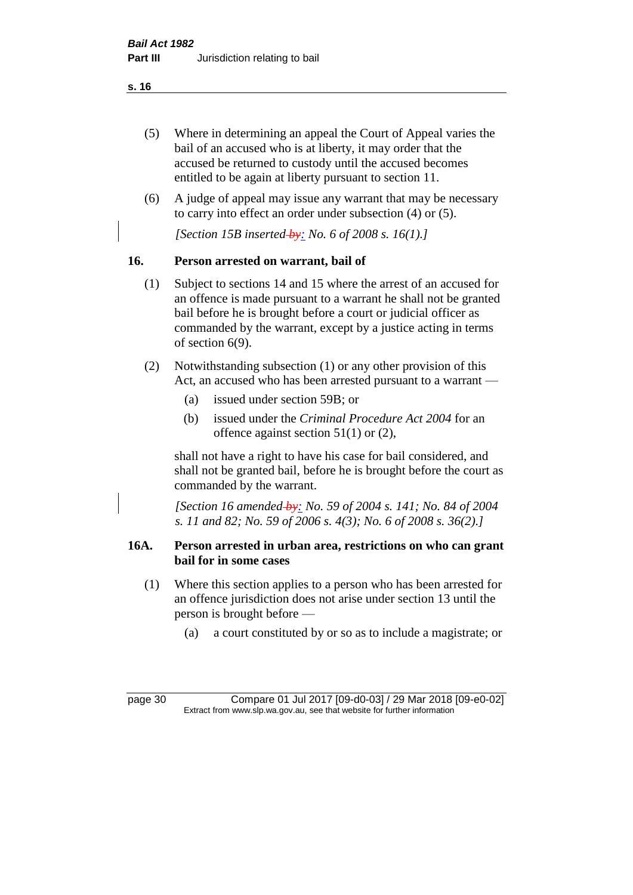- (5) Where in determining an appeal the Court of Appeal varies the bail of an accused who is at liberty, it may order that the accused be returned to custody until the accused becomes entitled to be again at liberty pursuant to section 11.
- (6) A judge of appeal may issue any warrant that may be necessary to carry into effect an order under subsection (4) or (5).

*[Section 15B inserted by: No. 6 of 2008 s. 16(1).]*

#### **16. Person arrested on warrant, bail of**

- (1) Subject to sections 14 and 15 where the arrest of an accused for an offence is made pursuant to a warrant he shall not be granted bail before he is brought before a court or judicial officer as commanded by the warrant, except by a justice acting in terms of section 6(9).
- (2) Notwithstanding subsection (1) or any other provision of this Act, an accused who has been arrested pursuant to a warrant —
	- (a) issued under section 59B; or
	- (b) issued under the *Criminal Procedure Act 2004* for an offence against section 51(1) or (2),

shall not have a right to have his case for bail considered, and shall not be granted bail, before he is brought before the court as commanded by the warrant.

*[Section 16 amended by: No. 59 of 2004 s. 141; No. 84 of 2004 s. 11 and 82; No. 59 of 2006 s. 4(3); No. 6 of 2008 s. 36(2).]*

#### **16A. Person arrested in urban area, restrictions on who can grant bail for in some cases**

- (1) Where this section applies to a person who has been arrested for an offence jurisdiction does not arise under section 13 until the person is brought before —
	- (a) a court constituted by or so as to include a magistrate; or

page 30 Compare 01 Jul 2017 [09-d0-03] / 29 Mar 2018 [09-e0-02] Extract from www.slp.wa.gov.au, see that website for further information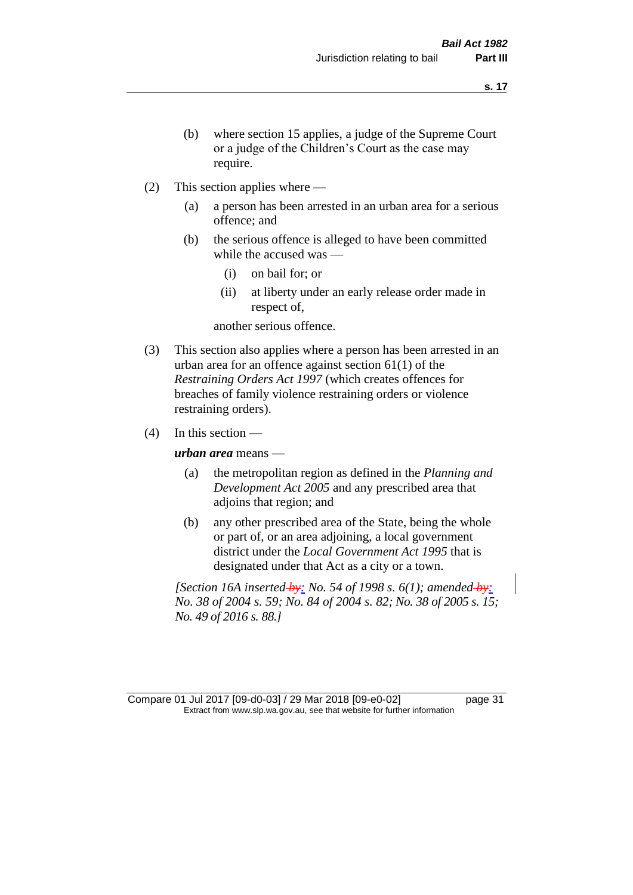- (b) where section 15 applies, a judge of the Supreme Court or a judge of the Children's Court as the case may require.
- (2) This section applies where
	- (a) a person has been arrested in an urban area for a serious offence; and
	- (b) the serious offence is alleged to have been committed while the accused was —
		- (i) on bail for; or
		- (ii) at liberty under an early release order made in respect of,

another serious offence.

- (3) This section also applies where a person has been arrested in an urban area for an offence against section 61(1) of the *Restraining Orders Act 1997* (which creates offences for breaches of family violence restraining orders or violence restraining orders).
- $(4)$  In this section —

*urban area* means —

- (a) the metropolitan region as defined in the *Planning and Development Act 2005* and any prescribed area that adjoins that region; and
- (b) any other prescribed area of the State, being the whole or part of, or an area adjoining, a local government district under the *Local Government Act 1995* that is designated under that Act as a city or a town.

*[Section 16A inserted by: No. 54 of 1998 s. 6(1); amended by: No. 38 of 2004 s. 59; No. 84 of 2004 s. 82; No. 38 of 2005 s. 15; No. 49 of 2016 s. 88.]*

Compare 01 Jul 2017 [09-d0-03] / 29 Mar 2018 [09-e0-02] page 31 Extract from www.slp.wa.gov.au, see that website for further information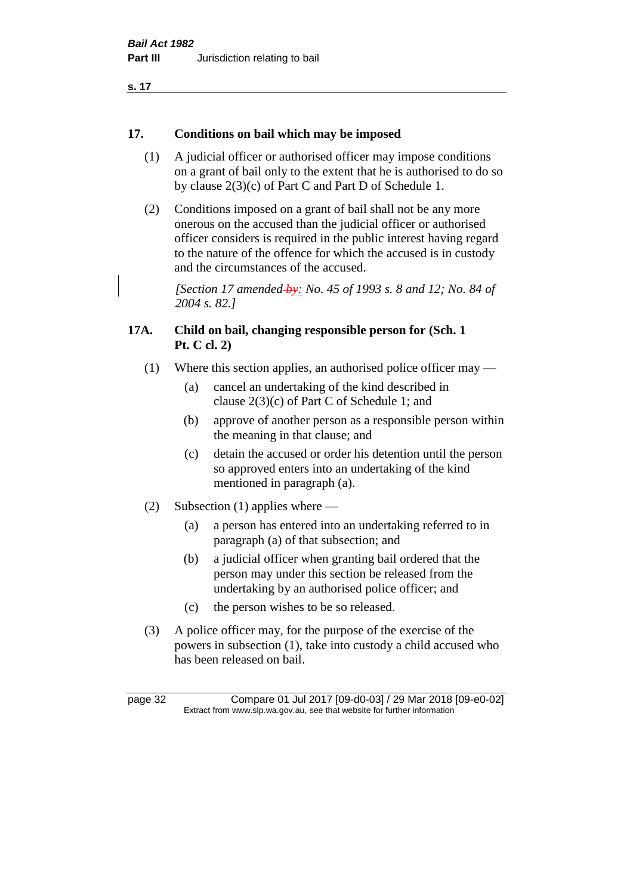#### **17. Conditions on bail which may be imposed**

- (1) A judicial officer or authorised officer may impose conditions on a grant of bail only to the extent that he is authorised to do so by clause 2(3)(c) of Part C and Part D of Schedule 1.
- (2) Conditions imposed on a grant of bail shall not be any more onerous on the accused than the judicial officer or authorised officer considers is required in the public interest having regard to the nature of the offence for which the accused is in custody and the circumstances of the accused.

*[Section 17 amended by: No. 45 of 1993 s. 8 and 12; No. 84 of 2004 s. 82.]* 

#### **17A. Child on bail, changing responsible person for (Sch. 1 Pt. C cl. 2)**

- (1) Where this section applies, an authorised police officer may
	- (a) cancel an undertaking of the kind described in clause 2(3)(c) of Part C of Schedule 1; and
	- (b) approve of another person as a responsible person within the meaning in that clause; and
	- (c) detain the accused or order his detention until the person so approved enters into an undertaking of the kind mentioned in paragraph (a).
- (2) Subsection (1) applies where
	- (a) a person has entered into an undertaking referred to in paragraph (a) of that subsection; and
	- (b) a judicial officer when granting bail ordered that the person may under this section be released from the undertaking by an authorised police officer; and
	- (c) the person wishes to be so released.
- (3) A police officer may, for the purpose of the exercise of the powers in subsection (1), take into custody a child accused who has been released on bail.

page 32 Compare 01 Jul 2017 [09-d0-03] / 29 Mar 2018 [09-e0-02] Extract from www.slp.wa.gov.au, see that website for further information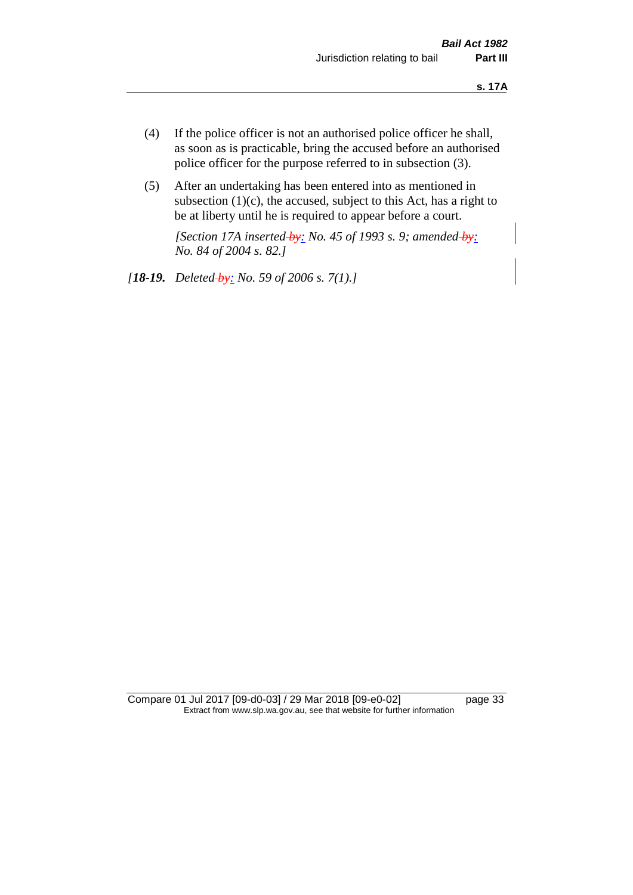- (4) If the police officer is not an authorised police officer he shall, as soon as is practicable, bring the accused before an authorised police officer for the purpose referred to in subsection (3).
- (5) After an undertaking has been entered into as mentioned in subsection  $(1)(c)$ , the accused, subject to this Act, has a right to be at liberty until he is required to appear before a court.

*[Section 17A inserted by: No. 45 of 1993 s. 9; amended by: No. 84 of 2004 s. 82.]* 

*[18-19. Deleted by: No. 59 of 2006 s. 7(1).]*

Compare 01 Jul 2017 [09-d0-03] / 29 Mar 2018 [09-e0-02] page 33 Extract from www.slp.wa.gov.au, see that website for further information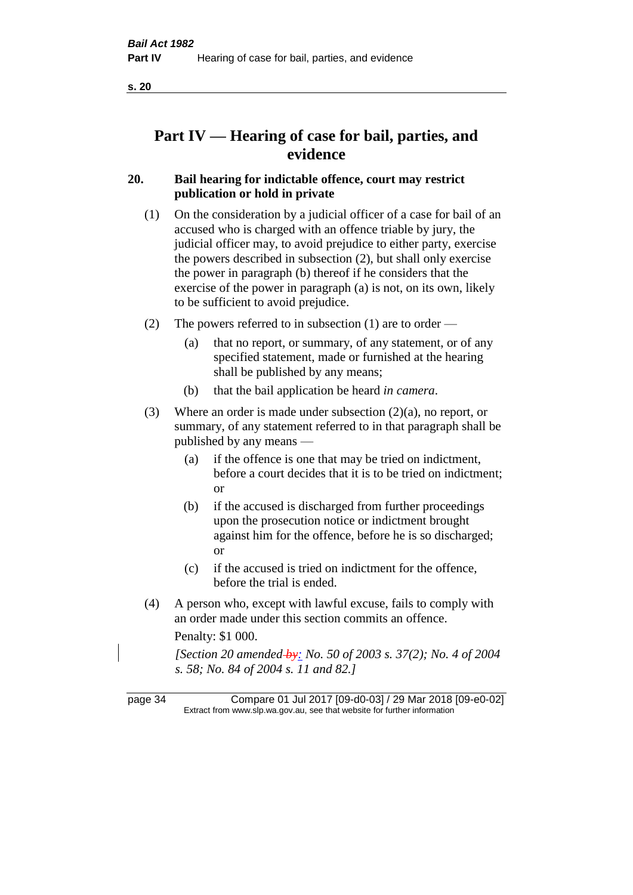# **Part IV — Hearing of case for bail, parties, and evidence**

#### **20. Bail hearing for indictable offence, court may restrict publication or hold in private**

- (1) On the consideration by a judicial officer of a case for bail of an accused who is charged with an offence triable by jury, the judicial officer may, to avoid prejudice to either party, exercise the powers described in subsection (2), but shall only exercise the power in paragraph (b) thereof if he considers that the exercise of the power in paragraph (a) is not, on its own, likely to be sufficient to avoid prejudice.
- (2) The powers referred to in subsection (1) are to order
	- (a) that no report, or summary, of any statement, or of any specified statement, made or furnished at the hearing shall be published by any means;
	- (b) that the bail application be heard *in camera*.
- (3) Where an order is made under subsection (2)(a), no report, or summary, of any statement referred to in that paragraph shall be published by any means —
	- (a) if the offence is one that may be tried on indictment, before a court decides that it is to be tried on indictment; or
	- (b) if the accused is discharged from further proceedings upon the prosecution notice or indictment brought against him for the offence, before he is so discharged; or
	- (c) if the accused is tried on indictment for the offence, before the trial is ended.
- (4) A person who, except with lawful excuse, fails to comply with an order made under this section commits an offence.

Penalty: \$1 000.

*[Section 20 amended by: No. 50 of 2003 s. 37(2); No. 4 of 2004 s. 58; No. 84 of 2004 s. 11 and 82.]*

page 34 Compare 01 Jul 2017 [09-d0-03] / 29 Mar 2018 [09-e0-02] Extract from www.slp.wa.gov.au, see that website for further information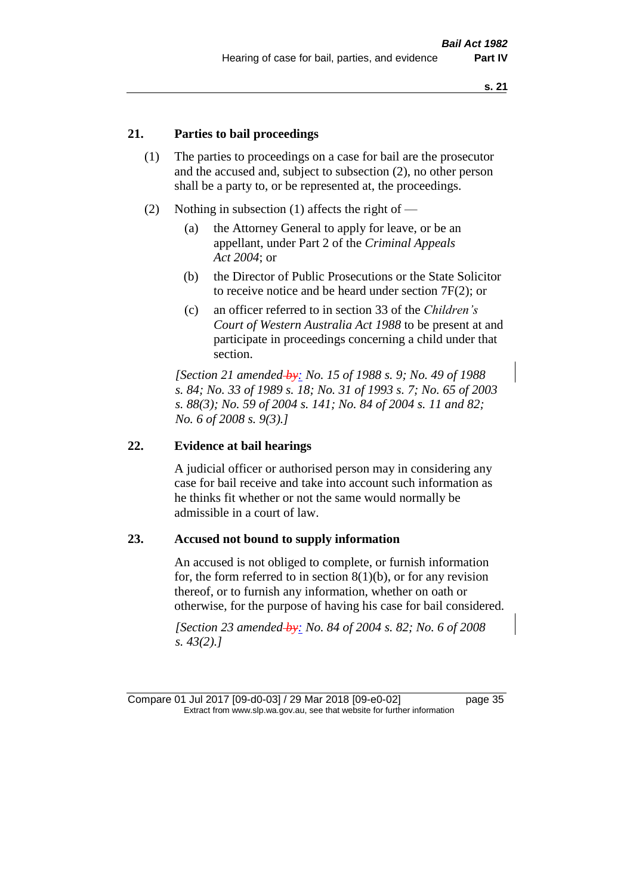## **21. Parties to bail proceedings**

- (1) The parties to proceedings on a case for bail are the prosecutor and the accused and, subject to subsection (2), no other person shall be a party to, or be represented at, the proceedings.
- (2) Nothing in subsection (1) affects the right of
	- (a) the Attorney General to apply for leave, or be an appellant, under Part 2 of the *Criminal Appeals Act 2004*; or
	- (b) the Director of Public Prosecutions or the State Solicitor to receive notice and be heard under section 7F(2); or
	- (c) an officer referred to in section 33 of the *Children's Court of Western Australia Act 1988* to be present at and participate in proceedings concerning a child under that section.

*[Section 21 amended by: No. 15 of 1988 s. 9; No. 49 of 1988 s. 84; No. 33 of 1989 s. 18; No. 31 of 1993 s. 7; No. 65 of 2003 s. 88(3); No. 59 of 2004 s. 141; No. 84 of 2004 s. 11 and 82; No. 6 of 2008 s. 9(3).]* 

#### **22. Evidence at bail hearings**

A judicial officer or authorised person may in considering any case for bail receive and take into account such information as he thinks fit whether or not the same would normally be admissible in a court of law.

#### **23. Accused not bound to supply information**

An accused is not obliged to complete, or furnish information for, the form referred to in section  $8(1)(b)$ , or for any revision thereof, or to furnish any information, whether on oath or otherwise, for the purpose of having his case for bail considered.

*[Section 23 amended by: No. 84 of 2004 s. 82; No. 6 of 2008 s. 43(2).]*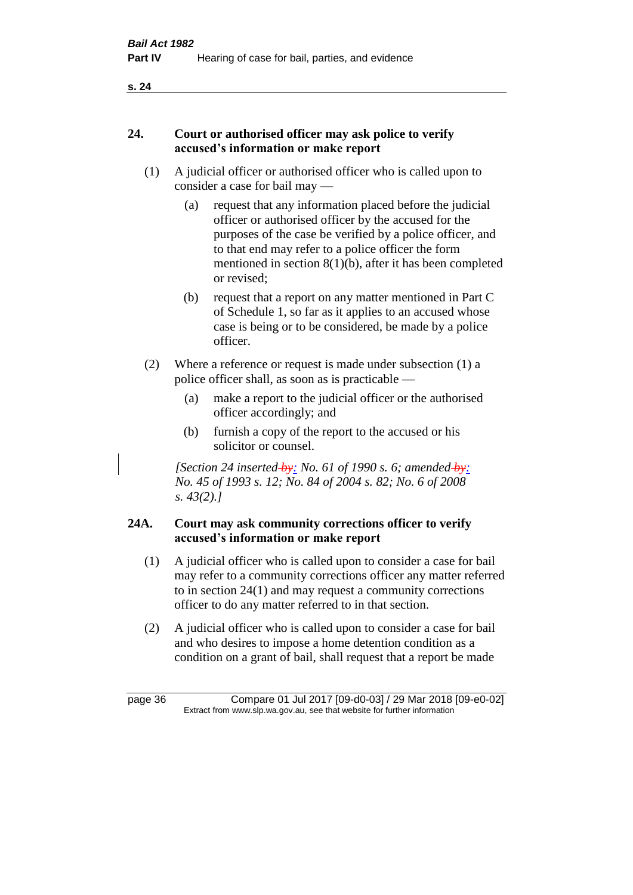## **24. Court or authorised officer may ask police to verify accused's information or make report**

- (1) A judicial officer or authorised officer who is called upon to consider a case for bail may —
	- (a) request that any information placed before the judicial officer or authorised officer by the accused for the purposes of the case be verified by a police officer, and to that end may refer to a police officer the form mentioned in section 8(1)(b), after it has been completed or revised;
	- (b) request that a report on any matter mentioned in Part C of Schedule 1, so far as it applies to an accused whose case is being or to be considered, be made by a police officer.
- (2) Where a reference or request is made under subsection (1) a police officer shall, as soon as is practicable —
	- (a) make a report to the judicial officer or the authorised officer accordingly; and
	- (b) furnish a copy of the report to the accused or his solicitor or counsel.

*[Section 24 inserted by: No. 61 of 1990 s. 6; amended by: No. 45 of 1993 s. 12; No. 84 of 2004 s. 82; No. 6 of 2008 s. 43(2).]* 

# **24A. Court may ask community corrections officer to verify accused's information or make report**

- (1) A judicial officer who is called upon to consider a case for bail may refer to a community corrections officer any matter referred to in section 24(1) and may request a community corrections officer to do any matter referred to in that section.
- (2) A judicial officer who is called upon to consider a case for bail and who desires to impose a home detention condition as a condition on a grant of bail, shall request that a report be made

page 36 Compare 01 Jul 2017 [09-d0-03] / 29 Mar 2018 [09-e0-02] Extract from www.slp.wa.gov.au, see that website for further information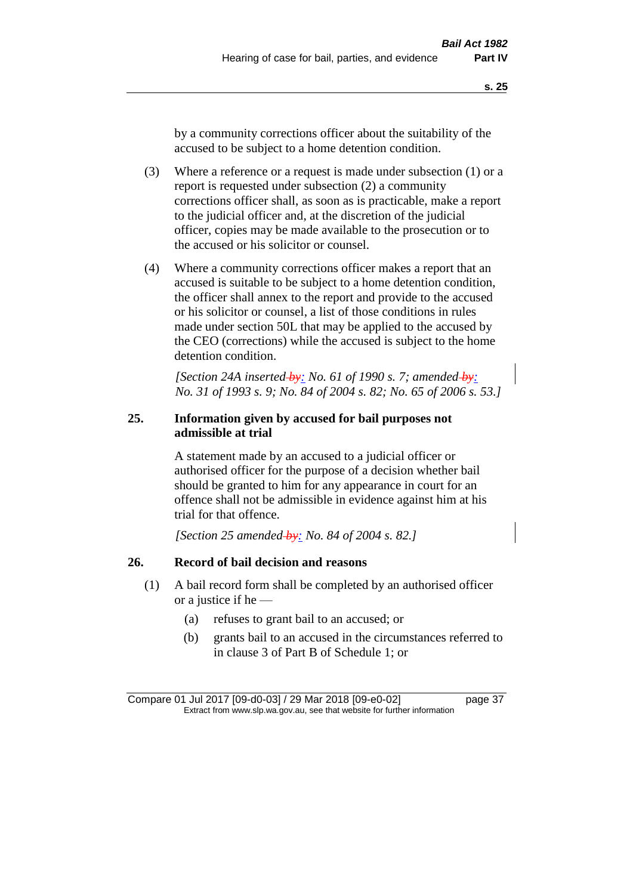by a community corrections officer about the suitability of the accused to be subject to a home detention condition.

- (3) Where a reference or a request is made under subsection (1) or a report is requested under subsection (2) a community corrections officer shall, as soon as is practicable, make a report to the judicial officer and, at the discretion of the judicial officer, copies may be made available to the prosecution or to the accused or his solicitor or counsel.
- (4) Where a community corrections officer makes a report that an accused is suitable to be subject to a home detention condition, the officer shall annex to the report and provide to the accused or his solicitor or counsel, a list of those conditions in rules made under section 50L that may be applied to the accused by the CEO (corrections) while the accused is subject to the home detention condition.

*[Section 24A inserted by: No. 61 of 1990 s. 7; amended by: No. 31 of 1993 s. 9; No. 84 of 2004 s. 82; No. 65 of 2006 s. 53.]* 

## **25. Information given by accused for bail purposes not admissible at trial**

A statement made by an accused to a judicial officer or authorised officer for the purpose of a decision whether bail should be granted to him for any appearance in court for an offence shall not be admissible in evidence against him at his trial for that offence.

*[Section 25 amended by: No. 84 of 2004 s. 82.]* 

## **26. Record of bail decision and reasons**

- (1) A bail record form shall be completed by an authorised officer or a justice if he —
	- (a) refuses to grant bail to an accused; or
	- (b) grants bail to an accused in the circumstances referred to in clause 3 of Part B of Schedule 1; or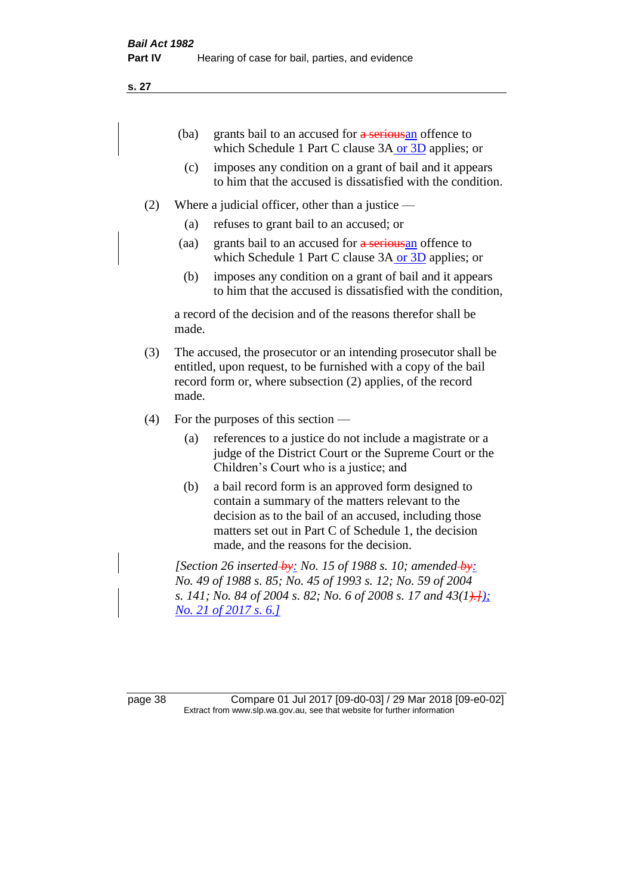| (ba) | grants bail to an accused for a seriousan offence to |
|------|------------------------------------------------------|
|      | which Schedule 1 Part C clause 3A or 3D applies; or  |

- (c) imposes any condition on a grant of bail and it appears to him that the accused is dissatisfied with the condition.
- (2) Where a judicial officer, other than a justice
	- (a) refuses to grant bail to an accused; or
	- (aa) grants bail to an accused for a seriousan offence to which Schedule 1 Part C clause 3A or 3D applies; or
	- (b) imposes any condition on a grant of bail and it appears to him that the accused is dissatisfied with the condition,

a record of the decision and of the reasons therefor shall be made.

- (3) The accused, the prosecutor or an intending prosecutor shall be entitled, upon request, to be furnished with a copy of the bail record form or, where subsection (2) applies, of the record made.
- (4) For the purposes of this section
	- (a) references to a justice do not include a magistrate or a judge of the District Court or the Supreme Court or the Children's Court who is a justice; and
	- (b) a bail record form is an approved form designed to contain a summary of the matters relevant to the decision as to the bail of an accused, including those matters set out in Part C of Schedule 1, the decision made, and the reasons for the decision.

*[Section 26 inserted by: No. 15 of 1988 s. 10; amended by: No. 49 of 1988 s. 85; No. 45 of 1993 s. 12; No. 59 of 2004 s. 141; No. 84 of 2004 s. 82; No. 6 of 2008 s. 17 and 43(1).H*); *No. 21 of 2017 s. 6.]*

page 38 Compare 01 Jul 2017 [09-d0-03] / 29 Mar 2018 [09-e0-02] Extract from www.slp.wa.gov.au, see that website for further information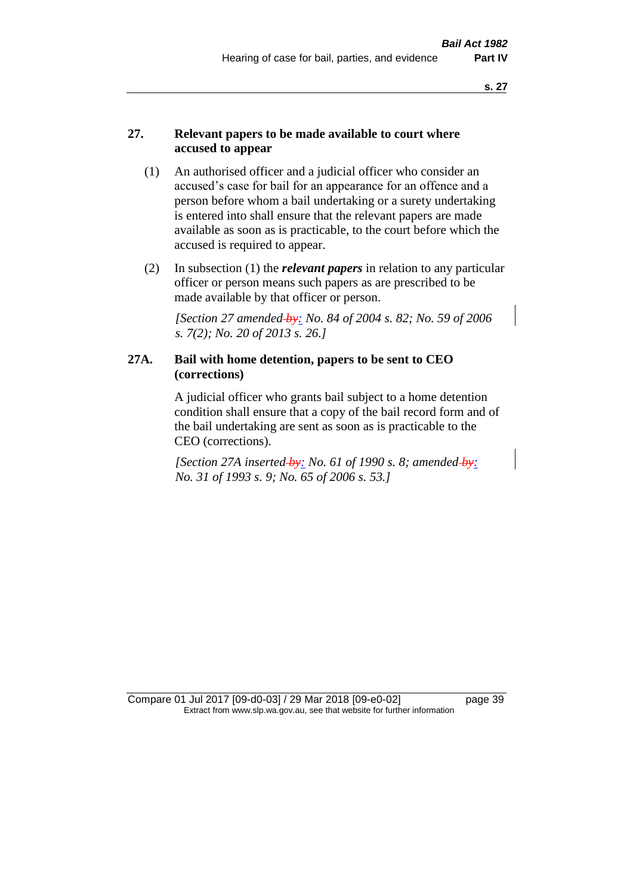# **27. Relevant papers to be made available to court where accused to appear**

- (1) An authorised officer and a judicial officer who consider an accused's case for bail for an appearance for an offence and a person before whom a bail undertaking or a surety undertaking is entered into shall ensure that the relevant papers are made available as soon as is practicable, to the court before which the accused is required to appear.
- (2) In subsection (1) the *relevant papers* in relation to any particular officer or person means such papers as are prescribed to be made available by that officer or person.

*[Section 27 amended by: No. 84 of 2004 s. 82; No. 59 of 2006 s. 7(2); No. 20 of 2013 s. 26.]* 

## **27A. Bail with home detention, papers to be sent to CEO (corrections)**

A judicial officer who grants bail subject to a home detention condition shall ensure that a copy of the bail record form and of the bail undertaking are sent as soon as is practicable to the CEO (corrections).

*[Section 27A inserted by: No. 61 of 1990 s. 8; amended by: No. 31 of 1993 s. 9; No. 65 of 2006 s. 53.]* 

Compare 01 Jul 2017 [09-d0-03] / 29 Mar 2018 [09-e0-02] page 39 Extract from www.slp.wa.gov.au, see that website for further information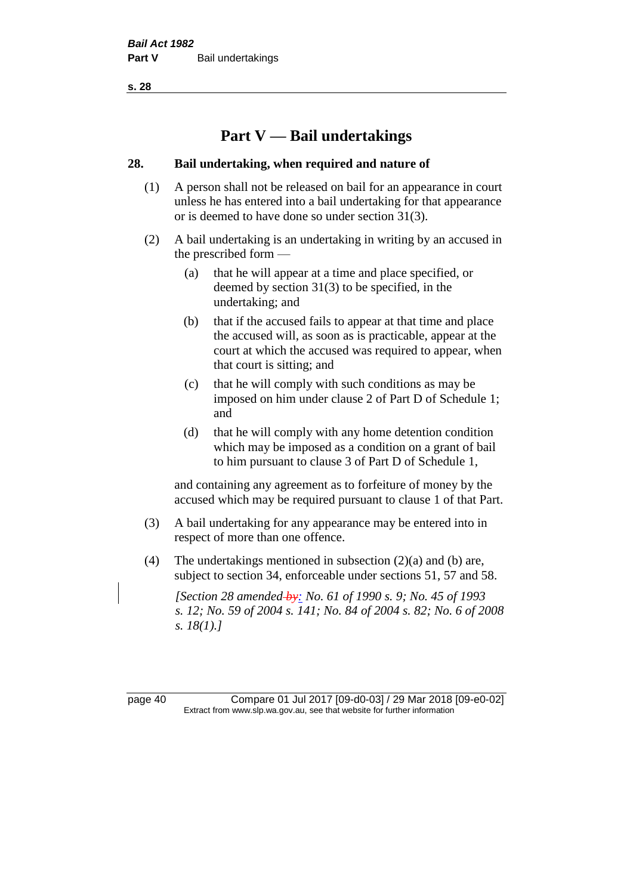# **Part V — Bail undertakings**

#### **28. Bail undertaking, when required and nature of**

- (1) A person shall not be released on bail for an appearance in court unless he has entered into a bail undertaking for that appearance or is deemed to have done so under section 31(3).
- (2) A bail undertaking is an undertaking in writing by an accused in the prescribed form —
	- (a) that he will appear at a time and place specified, or deemed by section 31(3) to be specified, in the undertaking; and
	- (b) that if the accused fails to appear at that time and place the accused will, as soon as is practicable, appear at the court at which the accused was required to appear, when that court is sitting; and
	- (c) that he will comply with such conditions as may be imposed on him under clause 2 of Part D of Schedule 1; and
	- (d) that he will comply with any home detention condition which may be imposed as a condition on a grant of bail to him pursuant to clause 3 of Part D of Schedule 1,

and containing any agreement as to forfeiture of money by the accused which may be required pursuant to clause 1 of that Part.

- (3) A bail undertaking for any appearance may be entered into in respect of more than one offence.
- (4) The undertakings mentioned in subsection (2)(a) and (b) are, subject to section 34, enforceable under sections 51, 57 and 58.

*[Section 28 amended by: No. 61 of 1990 s. 9; No. 45 of 1993 s. 12; No. 59 of 2004 s. 141; No. 84 of 2004 s. 82; No. 6 of 2008 s. 18(1).]* 

page 40 Compare 01 Jul 2017 [09-d0-03] / 29 Mar 2018 [09-e0-02] Extract from www.slp.wa.gov.au, see that website for further information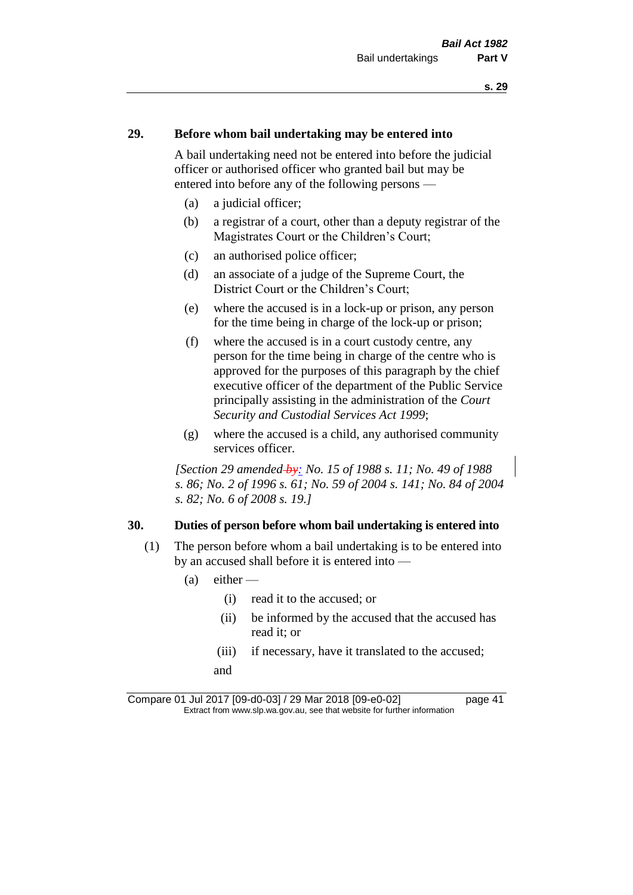## **29. Before whom bail undertaking may be entered into**

A bail undertaking need not be entered into before the judicial officer or authorised officer who granted bail but may be entered into before any of the following persons —

- (a) a judicial officer;
- (b) a registrar of a court, other than a deputy registrar of the Magistrates Court or the Children's Court;
- (c) an authorised police officer;
- (d) an associate of a judge of the Supreme Court, the District Court or the Children's Court;
- (e) where the accused is in a lock-up or prison, any person for the time being in charge of the lock-up or prison;
- (f) where the accused is in a court custody centre, any person for the time being in charge of the centre who is approved for the purposes of this paragraph by the chief executive officer of the department of the Public Service principally assisting in the administration of the *Court Security and Custodial Services Act 1999*;
- (g) where the accused is a child, any authorised community services officer.

*[Section 29 amended by: No. 15 of 1988 s. 11; No. 49 of 1988 s. 86; No. 2 of 1996 s. 61; No. 59 of 2004 s. 141; No. 84 of 2004 s. 82; No. 6 of 2008 s. 19.]* 

#### **30. Duties of person before whom bail undertaking is entered into**

- (1) The person before whom a bail undertaking is to be entered into by an accused shall before it is entered into —
	- $(a)$  either
		- (i) read it to the accused; or
		- (ii) be informed by the accused that the accused has read it; or
		- (iii) if necessary, have it translated to the accused; and

Compare 01 Jul 2017 [09-d0-03] / 29 Mar 2018 [09-e0-02] page 41 Extract from www.slp.wa.gov.au, see that website for further information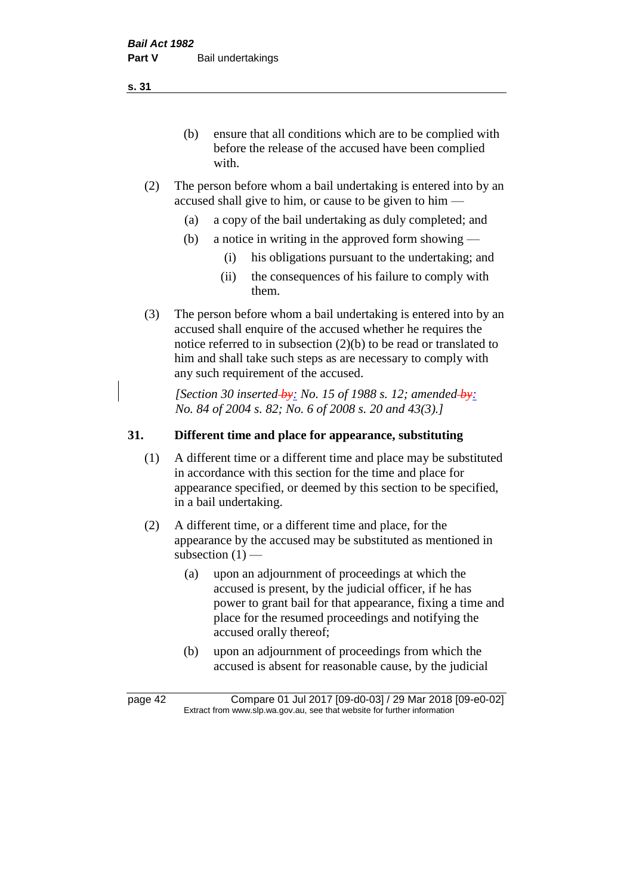(b) ensure that all conditions which are to be complied with before the release of the accused have been complied with.

- (2) The person before whom a bail undertaking is entered into by an accused shall give to him, or cause to be given to him —
	- (a) a copy of the bail undertaking as duly completed; and
	- (b) a notice in writing in the approved form showing
		- (i) his obligations pursuant to the undertaking; and
		- (ii) the consequences of his failure to comply with them.
- (3) The person before whom a bail undertaking is entered into by an accused shall enquire of the accused whether he requires the notice referred to in subsection (2)(b) to be read or translated to him and shall take such steps as are necessary to comply with any such requirement of the accused.

*[Section 30 inserted by: No. 15 of 1988 s. 12; amended by: No. 84 of 2004 s. 82; No. 6 of 2008 s. 20 and 43(3).]* 

## **31. Different time and place for appearance, substituting**

- (1) A different time or a different time and place may be substituted in accordance with this section for the time and place for appearance specified, or deemed by this section to be specified, in a bail undertaking.
- (2) A different time, or a different time and place, for the appearance by the accused may be substituted as mentioned in subsection  $(1)$  —
	- (a) upon an adjournment of proceedings at which the accused is present, by the judicial officer, if he has power to grant bail for that appearance, fixing a time and place for the resumed proceedings and notifying the accused orally thereof;
	- (b) upon an adjournment of proceedings from which the accused is absent for reasonable cause, by the judicial

page 42 Compare 01 Jul 2017 [09-d0-03] / 29 Mar 2018 [09-e0-02] Extract from www.slp.wa.gov.au, see that website for further information

**s. 31**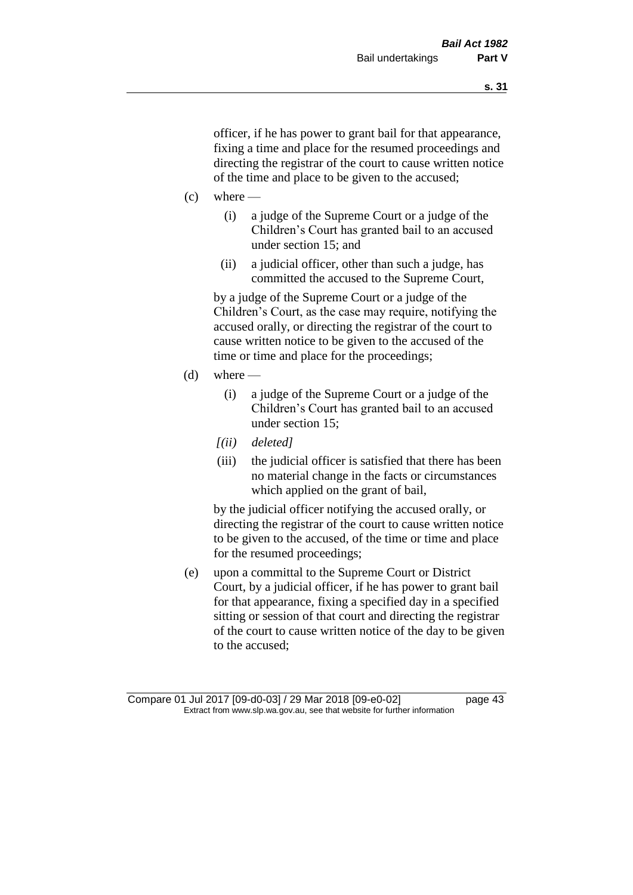officer, if he has power to grant bail for that appearance, fixing a time and place for the resumed proceedings and directing the registrar of the court to cause written notice of the time and place to be given to the accused;

- $(c)$  where
	- (i) a judge of the Supreme Court or a judge of the Children's Court has granted bail to an accused under section 15; and
	- (ii) a judicial officer, other than such a judge, has committed the accused to the Supreme Court,

by a judge of the Supreme Court or a judge of the Children's Court, as the case may require, notifying the accused orally, or directing the registrar of the court to cause written notice to be given to the accused of the time or time and place for the proceedings;

- $(d)$  where
	- (i) a judge of the Supreme Court or a judge of the Children's Court has granted bail to an accused under section 15;
	- *[(ii) deleted]*
	- (iii) the judicial officer is satisfied that there has been no material change in the facts or circumstances which applied on the grant of bail,

by the judicial officer notifying the accused orally, or directing the registrar of the court to cause written notice to be given to the accused, of the time or time and place for the resumed proceedings;

(e) upon a committal to the Supreme Court or District Court, by a judicial officer, if he has power to grant bail for that appearance, fixing a specified day in a specified sitting or session of that court and directing the registrar of the court to cause written notice of the day to be given to the accused;

Compare 01 Jul 2017 [09-d0-03] / 29 Mar 2018 [09-e0-02] page 43 Extract from www.slp.wa.gov.au, see that website for further information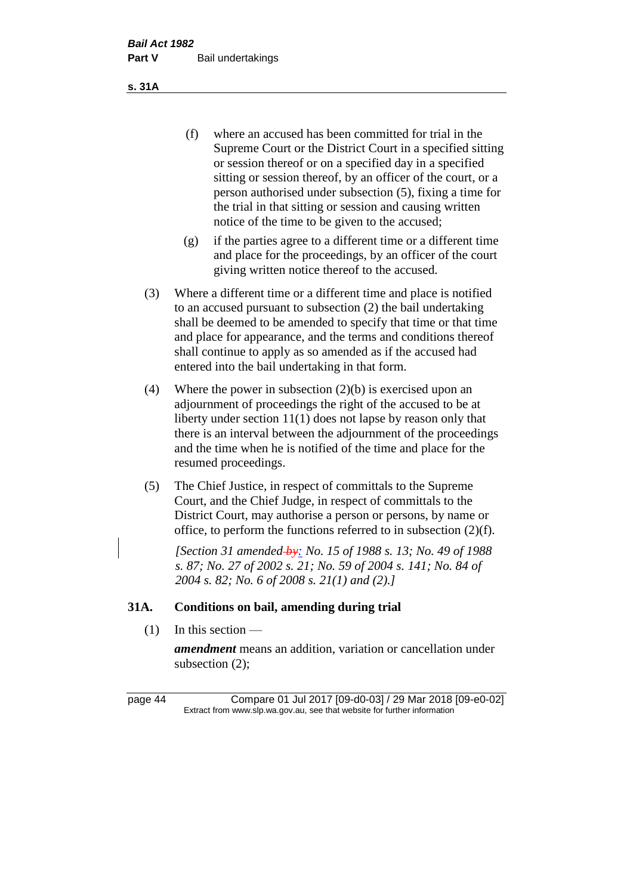(f) where an accused has been committed for trial in the Supreme Court or the District Court in a specified sitting or session thereof or on a specified day in a specified sitting or session thereof, by an officer of the court, or a person authorised under subsection (5), fixing a time for the trial in that sitting or session and causing written notice of the time to be given to the accused;

- (g) if the parties agree to a different time or a different time and place for the proceedings, by an officer of the court giving written notice thereof to the accused.
- (3) Where a different time or a different time and place is notified to an accused pursuant to subsection (2) the bail undertaking shall be deemed to be amended to specify that time or that time and place for appearance, and the terms and conditions thereof shall continue to apply as so amended as if the accused had entered into the bail undertaking in that form.
- (4) Where the power in subsection (2)(b) is exercised upon an adjournment of proceedings the right of the accused to be at liberty under section 11(1) does not lapse by reason only that there is an interval between the adjournment of the proceedings and the time when he is notified of the time and place for the resumed proceedings.
- (5) The Chief Justice, in respect of committals to the Supreme Court, and the Chief Judge, in respect of committals to the District Court, may authorise a person or persons, by name or office, to perform the functions referred to in subsection (2)(f).

*[Section 31 amended by: No. 15 of 1988 s. 13; No. 49 of 1988 s. 87; No. 27 of 2002 s. 21; No. 59 of 2004 s. 141; No. 84 of 2004 s. 82; No. 6 of 2008 s. 21(1) and (2).]* 

## **31A. Conditions on bail, amending during trial**

 $(1)$  In this section —

*amendment* means an addition, variation or cancellation under subsection (2);

page 44 Compare 01 Jul 2017 [09-d0-03] / 29 Mar 2018 [09-e0-02] Extract from www.slp.wa.gov.au, see that website for further information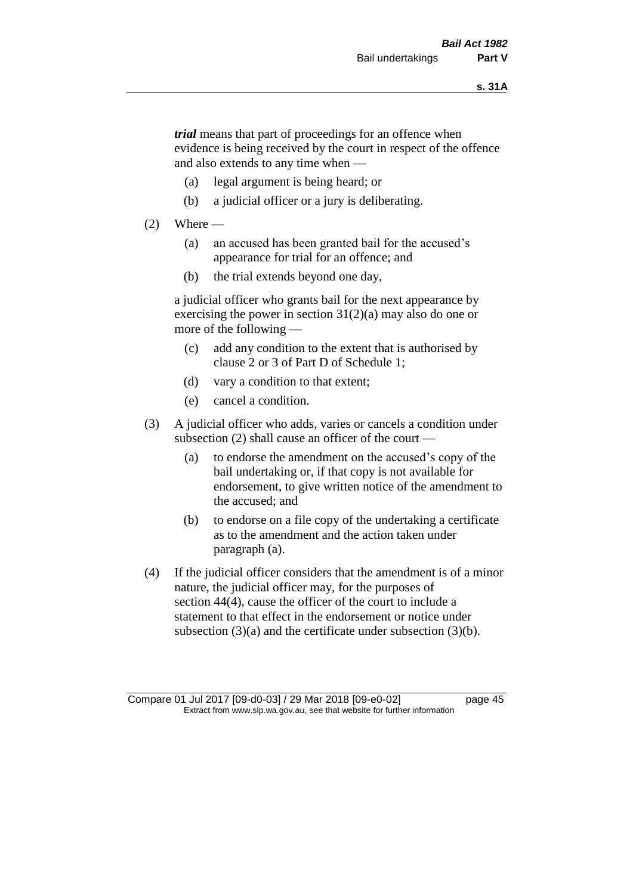*trial* means that part of proceedings for an offence when evidence is being received by the court in respect of the offence and also extends to any time when —

- (a) legal argument is being heard; or
- (b) a judicial officer or a jury is deliberating.

#### $(2)$  Where —

- (a) an accused has been granted bail for the accused's appearance for trial for an offence; and
- (b) the trial extends beyond one day,

a judicial officer who grants bail for the next appearance by exercising the power in section  $31(2)(a)$  may also do one or more of the following —

- (c) add any condition to the extent that is authorised by clause 2 or 3 of Part D of Schedule 1;
- (d) vary a condition to that extent;
- (e) cancel a condition.
- (3) A judicial officer who adds, varies or cancels a condition under subsection (2) shall cause an officer of the court —
	- (a) to endorse the amendment on the accused's copy of the bail undertaking or, if that copy is not available for endorsement, to give written notice of the amendment to the accused; and
	- (b) to endorse on a file copy of the undertaking a certificate as to the amendment and the action taken under paragraph (a).
- (4) If the judicial officer considers that the amendment is of a minor nature, the judicial officer may, for the purposes of section 44(4), cause the officer of the court to include a statement to that effect in the endorsement or notice under subsection (3)(a) and the certificate under subsection (3)(b).

Compare 01 Jul 2017 [09-d0-03] / 29 Mar 2018 [09-e0-02] page 45 Extract from www.slp.wa.gov.au, see that website for further information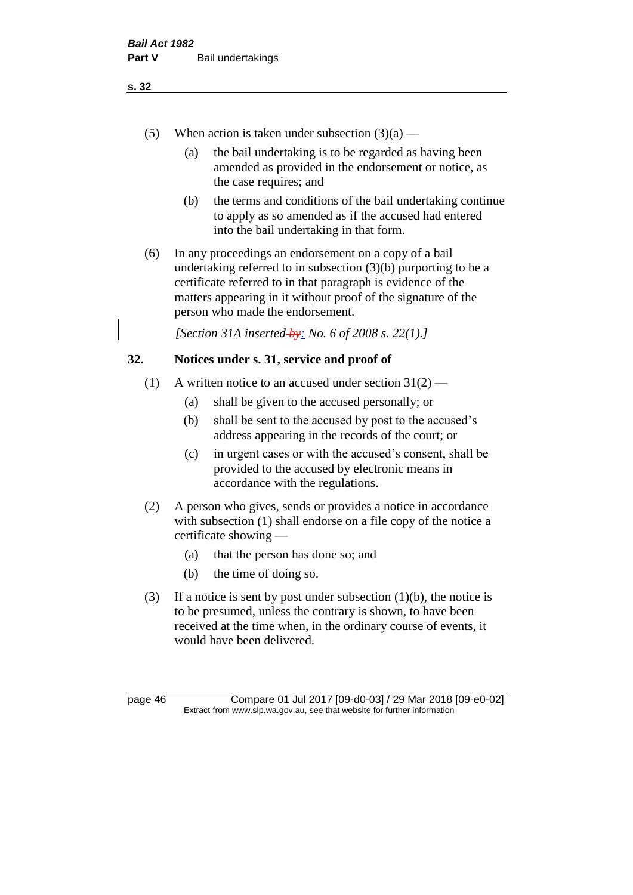- (5) When action is taken under subsection  $(3)(a)$ 
	- (a) the bail undertaking is to be regarded as having been amended as provided in the endorsement or notice, as the case requires; and
	- (b) the terms and conditions of the bail undertaking continue to apply as so amended as if the accused had entered into the bail undertaking in that form.
- (6) In any proceedings an endorsement on a copy of a bail undertaking referred to in subsection (3)(b) purporting to be a certificate referred to in that paragraph is evidence of the matters appearing in it without proof of the signature of the person who made the endorsement.

*[Section 31A inserted by: No. 6 of 2008 s. 22(1).]*

# **32. Notices under s. 31, service and proof of**

- (1) A written notice to an accused under section  $31(2)$ 
	- (a) shall be given to the accused personally; or
	- (b) shall be sent to the accused by post to the accused's address appearing in the records of the court; or
	- (c) in urgent cases or with the accused's consent, shall be provided to the accused by electronic means in accordance with the regulations.
- (2) A person who gives, sends or provides a notice in accordance with subsection (1) shall endorse on a file copy of the notice a certificate showing —
	- (a) that the person has done so; and
	- (b) the time of doing so.
- (3) If a notice is sent by post under subsection  $(1)(b)$ , the notice is to be presumed, unless the contrary is shown, to have been received at the time when, in the ordinary course of events, it would have been delivered.

page 46 Compare 01 Jul 2017 [09-d0-03] / 29 Mar 2018 [09-e0-02] Extract from www.slp.wa.gov.au, see that website for further information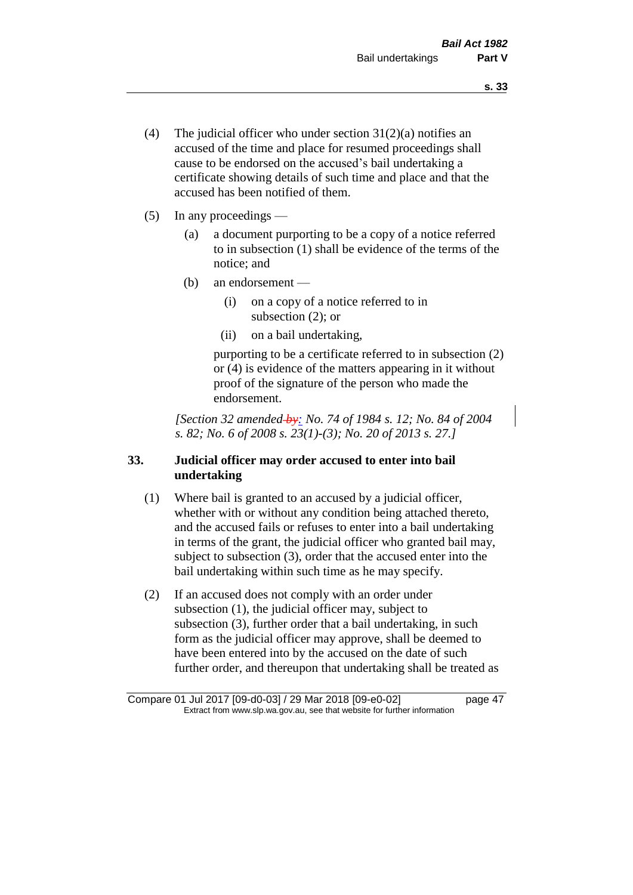- (4) The judicial officer who under section  $31(2)(a)$  notifies an accused of the time and place for resumed proceedings shall cause to be endorsed on the accused's bail undertaking a certificate showing details of such time and place and that the accused has been notified of them.
- (5) In any proceedings
	- (a) a document purporting to be a copy of a notice referred to in subsection (1) shall be evidence of the terms of the notice; and
	- (b) an endorsement
		- (i) on a copy of a notice referred to in subsection (2); or
		- (ii) on a bail undertaking,

purporting to be a certificate referred to in subsection (2) or (4) is evidence of the matters appearing in it without proof of the signature of the person who made the endorsement.

*[Section 32 amended by: No. 74 of 1984 s. 12; No. 84 of 2004 s. 82; No. 6 of 2008 s. 23(1)-(3); No. 20 of 2013 s. 27.]* 

# **33. Judicial officer may order accused to enter into bail undertaking**

- (1) Where bail is granted to an accused by a judicial officer, whether with or without any condition being attached thereto, and the accused fails or refuses to enter into a bail undertaking in terms of the grant, the judicial officer who granted bail may, subject to subsection (3), order that the accused enter into the bail undertaking within such time as he may specify.
- (2) If an accused does not comply with an order under subsection (1), the judicial officer may, subject to subsection (3), further order that a bail undertaking, in such form as the judicial officer may approve, shall be deemed to have been entered into by the accused on the date of such further order, and thereupon that undertaking shall be treated as

Compare 01 Jul 2017 [09-d0-03] / 29 Mar 2018 [09-e0-02] page 47 Extract from www.slp.wa.gov.au, see that website for further information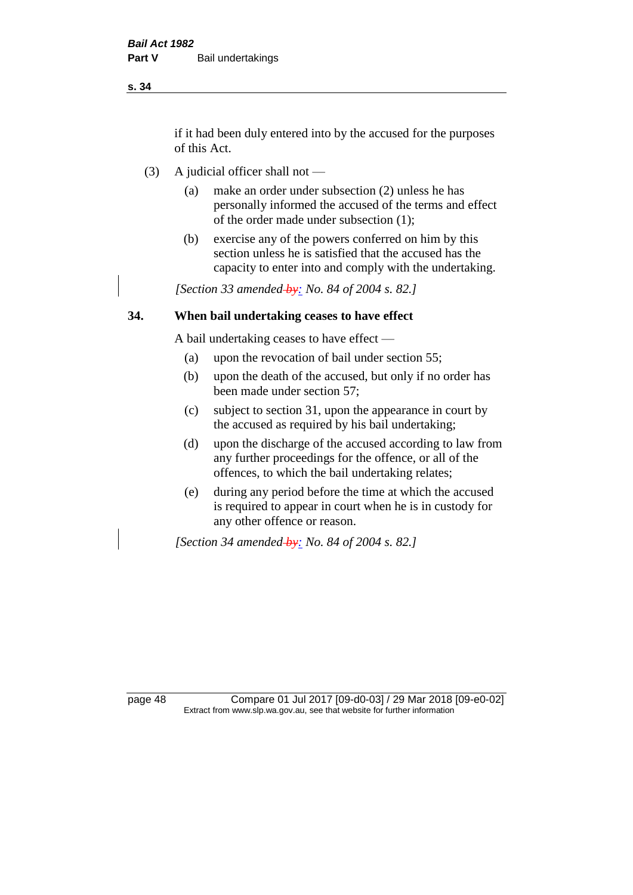if it had been duly entered into by the accused for the purposes of this Act.

- (3) A judicial officer shall not
	- (a) make an order under subsection (2) unless he has personally informed the accused of the terms and effect of the order made under subsection (1);
	- (b) exercise any of the powers conferred on him by this section unless he is satisfied that the accused has the capacity to enter into and comply with the undertaking.

*[Section 33 amended by: No. 84 of 2004 s. 82.]* 

## **34. When bail undertaking ceases to have effect**

A bail undertaking ceases to have effect —

- (a) upon the revocation of bail under section 55;
- (b) upon the death of the accused, but only if no order has been made under section 57;
- (c) subject to section 31, upon the appearance in court by the accused as required by his bail undertaking;
- (d) upon the discharge of the accused according to law from any further proceedings for the offence, or all of the offences, to which the bail undertaking relates;
- (e) during any period before the time at which the accused is required to appear in court when he is in custody for any other offence or reason.

*[Section 34 amended by: No. 84 of 2004 s. 82.]* 

page 48 Compare 01 Jul 2017 [09-d0-03] / 29 Mar 2018 [09-e0-02] Extract from www.slp.wa.gov.au, see that website for further information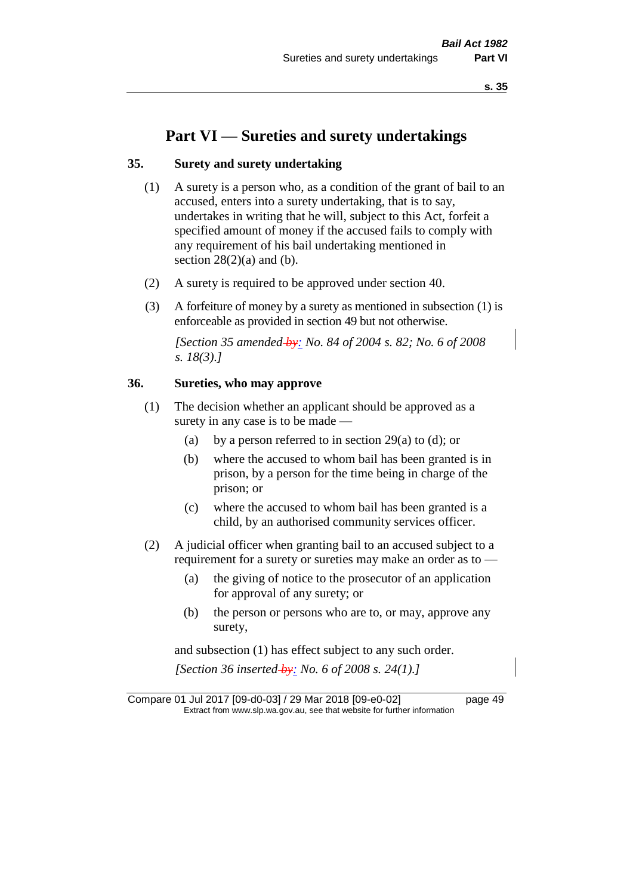# **Part VI — Sureties and surety undertakings**

## **35. Surety and surety undertaking**

- (1) A surety is a person who, as a condition of the grant of bail to an accused, enters into a surety undertaking, that is to say, undertakes in writing that he will, subject to this Act, forfeit a specified amount of money if the accused fails to comply with any requirement of his bail undertaking mentioned in section  $28(2)(a)$  and (b).
- (2) A surety is required to be approved under section 40.
- (3) A forfeiture of money by a surety as mentioned in subsection (1) is enforceable as provided in section 49 but not otherwise.

*[Section 35 amended by: No. 84 of 2004 s. 82; No. 6 of 2008 s. 18(3).]* 

#### **36. Sureties, who may approve**

- (1) The decision whether an applicant should be approved as a surety in any case is to be made —
	- (a) by a person referred to in section 29(a) to (d); or
	- (b) where the accused to whom bail has been granted is in prison, by a person for the time being in charge of the prison; or
	- (c) where the accused to whom bail has been granted is a child, by an authorised community services officer.
- (2) A judicial officer when granting bail to an accused subject to a requirement for a surety or sureties may make an order as to -
	- (a) the giving of notice to the prosecutor of an application for approval of any surety; or
	- (b) the person or persons who are to, or may, approve any surety,

and subsection (1) has effect subject to any such order. *[Section 36 inserted by: No. 6 of 2008 s. 24(1).]*

Compare 01 Jul 2017 [09-d0-03] / 29 Mar 2018 [09-e0-02] page 49 Extract from www.slp.wa.gov.au, see that website for further information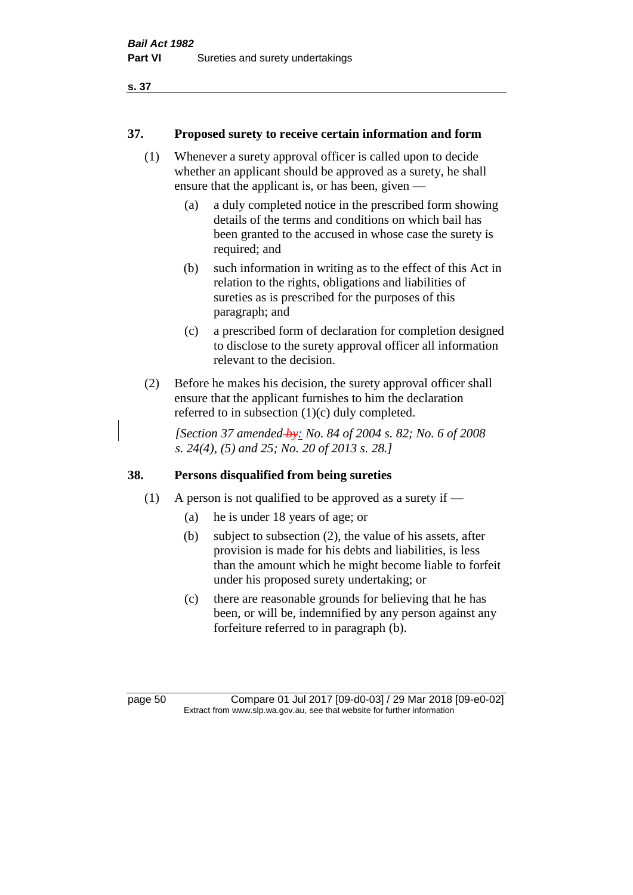#### **37. Proposed surety to receive certain information and form**

- (1) Whenever a surety approval officer is called upon to decide whether an applicant should be approved as a surety, he shall ensure that the applicant is, or has been, given —
	- (a) a duly completed notice in the prescribed form showing details of the terms and conditions on which bail has been granted to the accused in whose case the surety is required; and
	- (b) such information in writing as to the effect of this Act in relation to the rights, obligations and liabilities of sureties as is prescribed for the purposes of this paragraph; and
	- (c) a prescribed form of declaration for completion designed to disclose to the surety approval officer all information relevant to the decision.
- (2) Before he makes his decision, the surety approval officer shall ensure that the applicant furnishes to him the declaration referred to in subsection (1)(c) duly completed.

*[Section 37 amended by: No. 84 of 2004 s. 82; No. 6 of 2008 s. 24(4), (5) and 25; No. 20 of 2013 s. 28.]* 

## **38. Persons disqualified from being sureties**

- (1) A person is not qualified to be approved as a surety if  $-$ 
	- (a) he is under 18 years of age; or
	- (b) subject to subsection (2), the value of his assets, after provision is made for his debts and liabilities, is less than the amount which he might become liable to forfeit under his proposed surety undertaking; or
	- (c) there are reasonable grounds for believing that he has been, or will be, indemnified by any person against any forfeiture referred to in paragraph (b).

page 50 Compare 01 Jul 2017 [09-d0-03] / 29 Mar 2018 [09-e0-02] Extract from www.slp.wa.gov.au, see that website for further information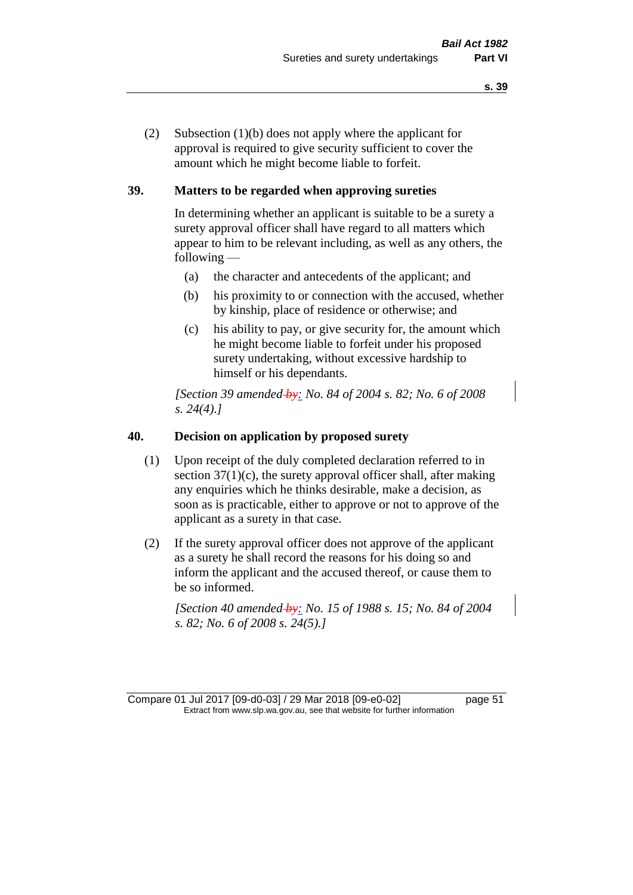(2) Subsection (1)(b) does not apply where the applicant for approval is required to give security sufficient to cover the amount which he might become liable to forfeit.

## **39. Matters to be regarded when approving sureties**

In determining whether an applicant is suitable to be a surety a surety approval officer shall have regard to all matters which appear to him to be relevant including, as well as any others, the following —

- (a) the character and antecedents of the applicant; and
- (b) his proximity to or connection with the accused, whether by kinship, place of residence or otherwise; and
- (c) his ability to pay, or give security for, the amount which he might become liable to forfeit under his proposed surety undertaking, without excessive hardship to himself or his dependants.

*[Section 39 amended by: No. 84 of 2004 s. 82; No. 6 of 2008 s. 24(4).]* 

#### **40. Decision on application by proposed surety**

- (1) Upon receipt of the duly completed declaration referred to in section  $37(1)(c)$ , the surety approval officer shall, after making any enquiries which he thinks desirable, make a decision, as soon as is practicable, either to approve or not to approve of the applicant as a surety in that case.
- (2) If the surety approval officer does not approve of the applicant as a surety he shall record the reasons for his doing so and inform the applicant and the accused thereof, or cause them to be so informed.

*[Section 40 amended by: No. 15 of 1988 s. 15; No. 84 of 2004 s. 82; No. 6 of 2008 s. 24(5).]*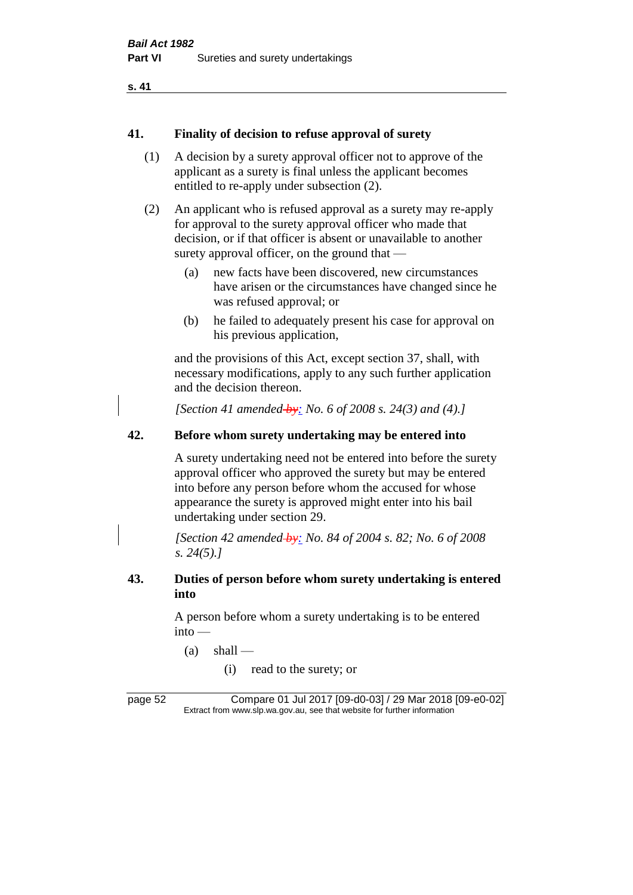#### **41. Finality of decision to refuse approval of surety**

- (1) A decision by a surety approval officer not to approve of the applicant as a surety is final unless the applicant becomes entitled to re-apply under subsection (2).
- (2) An applicant who is refused approval as a surety may re-apply for approval to the surety approval officer who made that decision, or if that officer is absent or unavailable to another surety approval officer, on the ground that —
	- (a) new facts have been discovered, new circumstances have arisen or the circumstances have changed since he was refused approval; or
	- (b) he failed to adequately present his case for approval on his previous application,

and the provisions of this Act, except section 37, shall, with necessary modifications, apply to any such further application and the decision thereon.

*[Section 41 amended by: No. 6 of 2008 s. 24(3) and (4).]*

## **42. Before whom surety undertaking may be entered into**

A surety undertaking need not be entered into before the surety approval officer who approved the surety but may be entered into before any person before whom the accused for whose appearance the surety is approved might enter into his bail undertaking under section 29.

*[Section 42 amended by: No. 84 of 2004 s. 82; No. 6 of 2008 s. 24(5).]* 

## **43. Duties of person before whom surety undertaking is entered into**

A person before whom a surety undertaking is to be entered into —

- $(a)$  shall
	- (i) read to the surety; or

page 52 Compare 01 Jul 2017 [09-d0-03] / 29 Mar 2018 [09-e0-02] Extract from www.slp.wa.gov.au, see that website for further information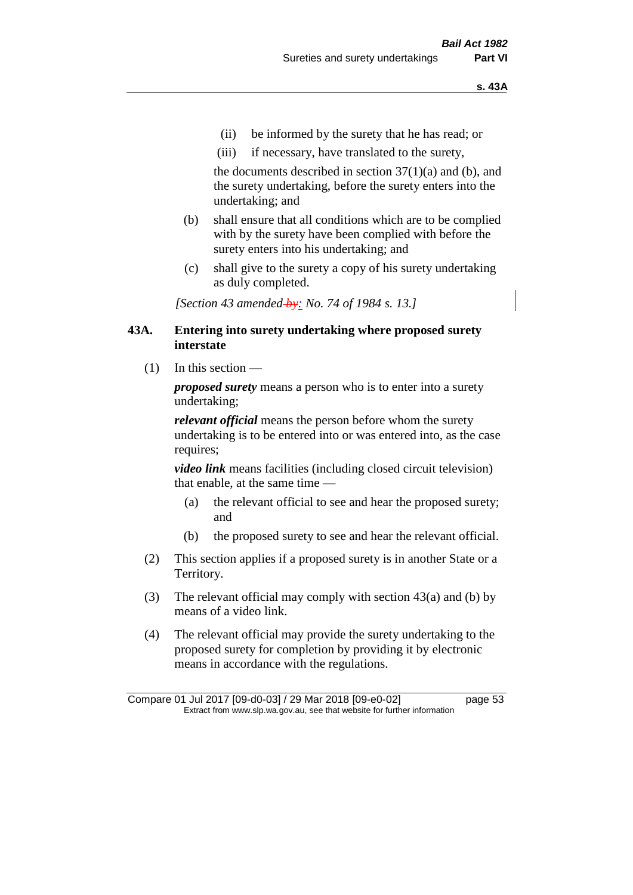- (ii) be informed by the surety that he has read; or
- (iii) if necessary, have translated to the surety,

the documents described in section  $37(1)(a)$  and (b), and the surety undertaking, before the surety enters into the undertaking; and

- (b) shall ensure that all conditions which are to be complied with by the surety have been complied with before the surety enters into his undertaking; and
- (c) shall give to the surety a copy of his surety undertaking as duly completed.

*[Section 43 amended by: No. 74 of 1984 s. 13.]* 

#### **43A. Entering into surety undertaking where proposed surety interstate**

(1) In this section —

*proposed surety* means a person who is to enter into a surety undertaking;

*relevant official* means the person before whom the surety undertaking is to be entered into or was entered into, as the case requires;

*video link* means facilities (including closed circuit television) that enable, at the same time —

- (a) the relevant official to see and hear the proposed surety; and
- (b) the proposed surety to see and hear the relevant official.
- (2) This section applies if a proposed surety is in another State or a Territory.
- (3) The relevant official may comply with section 43(a) and (b) by means of a video link.
- (4) The relevant official may provide the surety undertaking to the proposed surety for completion by providing it by electronic means in accordance with the regulations.

Compare 01 Jul 2017 [09-d0-03] / 29 Mar 2018 [09-e0-02] page 53 Extract from www.slp.wa.gov.au, see that website for further information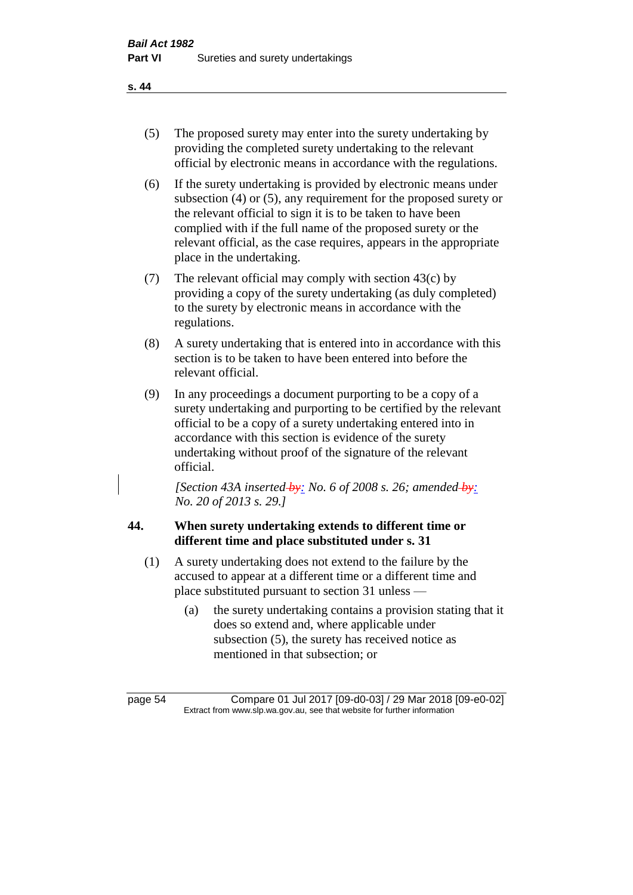- (5) The proposed surety may enter into the surety undertaking by providing the completed surety undertaking to the relevant official by electronic means in accordance with the regulations.
- (6) If the surety undertaking is provided by electronic means under subsection (4) or (5), any requirement for the proposed surety or the relevant official to sign it is to be taken to have been complied with if the full name of the proposed surety or the relevant official, as the case requires, appears in the appropriate place in the undertaking.
- (7) The relevant official may comply with section 43(c) by providing a copy of the surety undertaking (as duly completed) to the surety by electronic means in accordance with the regulations.
- (8) A surety undertaking that is entered into in accordance with this section is to be taken to have been entered into before the relevant official.
- (9) In any proceedings a document purporting to be a copy of a surety undertaking and purporting to be certified by the relevant official to be a copy of a surety undertaking entered into in accordance with this section is evidence of the surety undertaking without proof of the signature of the relevant official.

*[Section 43A inserted by: No. 6 of 2008 s. 26; amended by: No. 20 of 2013 s. 29.]*

# **44. When surety undertaking extends to different time or different time and place substituted under s. 31**

- (1) A surety undertaking does not extend to the failure by the accused to appear at a different time or a different time and place substituted pursuant to section 31 unless —
	- (a) the surety undertaking contains a provision stating that it does so extend and, where applicable under subsection (5), the surety has received notice as mentioned in that subsection; or

page 54 Compare 01 Jul 2017 [09-d0-03] / 29 Mar 2018 [09-e0-02] Extract from www.slp.wa.gov.au, see that website for further information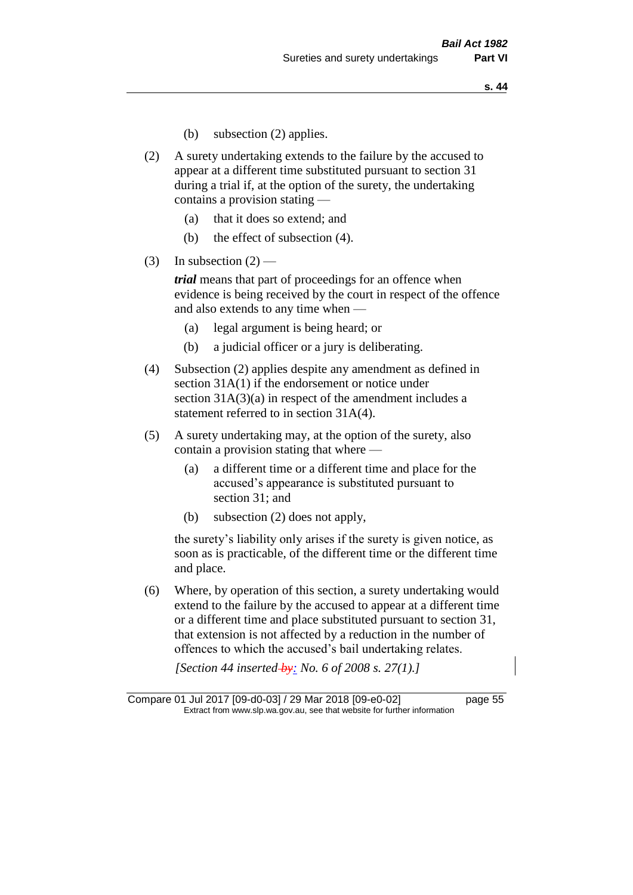- (b) subsection (2) applies.
- (2) A surety undertaking extends to the failure by the accused to appear at a different time substituted pursuant to section 31 during a trial if, at the option of the surety, the undertaking contains a provision stating —
	- (a) that it does so extend; and
	- (b) the effect of subsection (4).
- (3) In subsection  $(2)$  —

*trial* means that part of proceedings for an offence when evidence is being received by the court in respect of the offence and also extends to any time when —

- (a) legal argument is being heard; or
- (b) a judicial officer or a jury is deliberating.
- (4) Subsection (2) applies despite any amendment as defined in section 31A(1) if the endorsement or notice under section 31A(3)(a) in respect of the amendment includes a statement referred to in section 31A(4).
- (5) A surety undertaking may, at the option of the surety, also contain a provision stating that where —
	- (a) a different time or a different time and place for the accused's appearance is substituted pursuant to section 31; and
	- (b) subsection (2) does not apply,

the surety's liability only arises if the surety is given notice, as soon as is practicable, of the different time or the different time and place.

(6) Where, by operation of this section, a surety undertaking would extend to the failure by the accused to appear at a different time or a different time and place substituted pursuant to section 31, that extension is not affected by a reduction in the number of offences to which the accused's bail undertaking relates.

*[Section 44 inserted by: No. 6 of 2008 s. 27(1).]*

Compare 01 Jul 2017 [09-d0-03] / 29 Mar 2018 [09-e0-02] page 55 Extract from www.slp.wa.gov.au, see that website for further information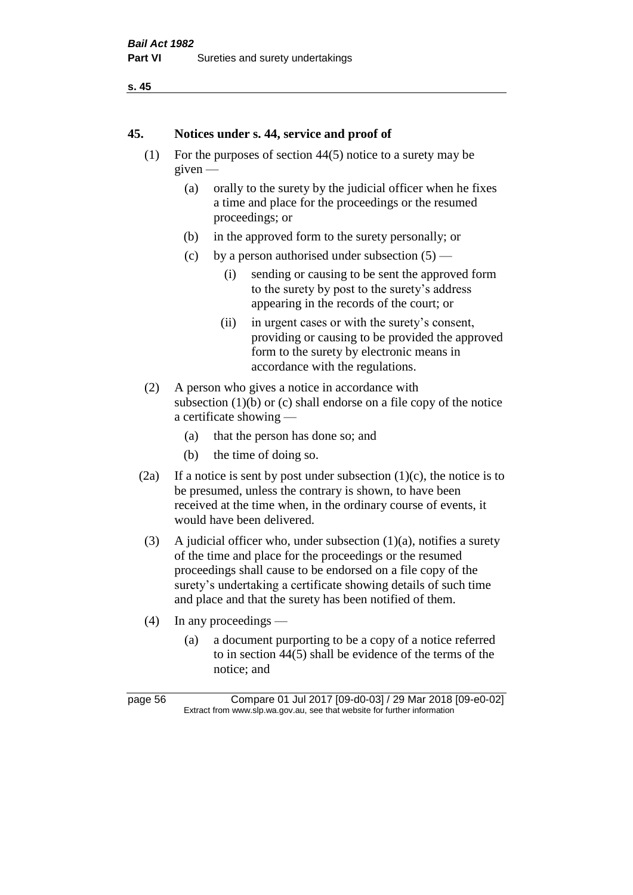```
s. 45
```
#### **45. Notices under s. 44, service and proof of**

- (1) For the purposes of section 44(5) notice to a surety may be given —
	- (a) orally to the surety by the judicial officer when he fixes a time and place for the proceedings or the resumed proceedings; or
	- (b) in the approved form to the surety personally; or
	- (c) by a person authorised under subsection  $(5)$ 
		- (i) sending or causing to be sent the approved form to the surety by post to the surety's address appearing in the records of the court; or
		- (ii) in urgent cases or with the surety's consent, providing or causing to be provided the approved form to the surety by electronic means in accordance with the regulations.
- (2) A person who gives a notice in accordance with subsection  $(1)(b)$  or  $(c)$  shall endorse on a file copy of the notice a certificate showing —
	- (a) that the person has done so; and
	- (b) the time of doing so.
- (2a) If a notice is sent by post under subsection  $(1)(c)$ , the notice is to be presumed, unless the contrary is shown, to have been received at the time when, in the ordinary course of events, it would have been delivered.
- (3) A judicial officer who, under subsection  $(1)(a)$ , notifies a surety of the time and place for the proceedings or the resumed proceedings shall cause to be endorsed on a file copy of the surety's undertaking a certificate showing details of such time and place and that the surety has been notified of them.
- (4) In any proceedings
	- (a) a document purporting to be a copy of a notice referred to in section 44(5) shall be evidence of the terms of the notice; and

page 56 Compare 01 Jul 2017 [09-d0-03] / 29 Mar 2018 [09-e0-02] Extract from www.slp.wa.gov.au, see that website for further information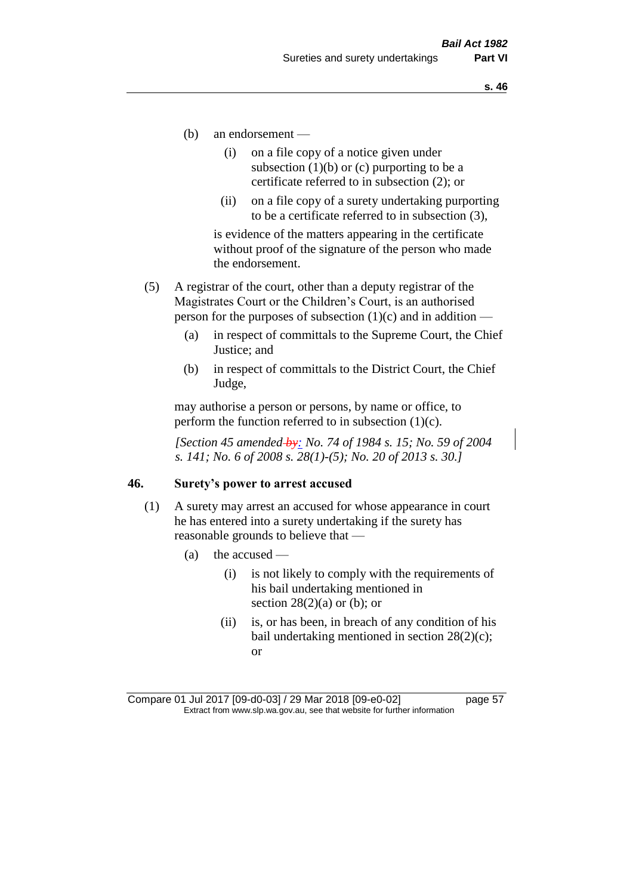- (b) an endorsement
	- (i) on a file copy of a notice given under subsection  $(1)(b)$  or  $(c)$  purporting to be a certificate referred to in subsection (2); or
	- (ii) on a file copy of a surety undertaking purporting to be a certificate referred to in subsection (3),

is evidence of the matters appearing in the certificate without proof of the signature of the person who made the endorsement.

- (5) A registrar of the court, other than a deputy registrar of the Magistrates Court or the Children's Court, is an authorised person for the purposes of subsection  $(1)(c)$  and in addition —
	- (a) in respect of committals to the Supreme Court, the Chief Justice; and
	- (b) in respect of committals to the District Court, the Chief Judge,

may authorise a person or persons, by name or office, to perform the function referred to in subsection  $(1)(c)$ .

*[Section 45 amended by: No. 74 of 1984 s. 15; No. 59 of 2004 s. 141; No. 6 of 2008 s. 28(1)-(5); No. 20 of 2013 s. 30.]* 

#### **46. Surety's power to arrest accused**

- (1) A surety may arrest an accused for whose appearance in court he has entered into a surety undertaking if the surety has reasonable grounds to believe that —
	- (a) the accused
		- (i) is not likely to comply with the requirements of his bail undertaking mentioned in section  $28(2)(a)$  or (b); or
		- (ii) is, or has been, in breach of any condition of his bail undertaking mentioned in section 28(2)(c); or

Compare 01 Jul 2017 [09-d0-03] / 29 Mar 2018 [09-e0-02] page 57 Extract from www.slp.wa.gov.au, see that website for further information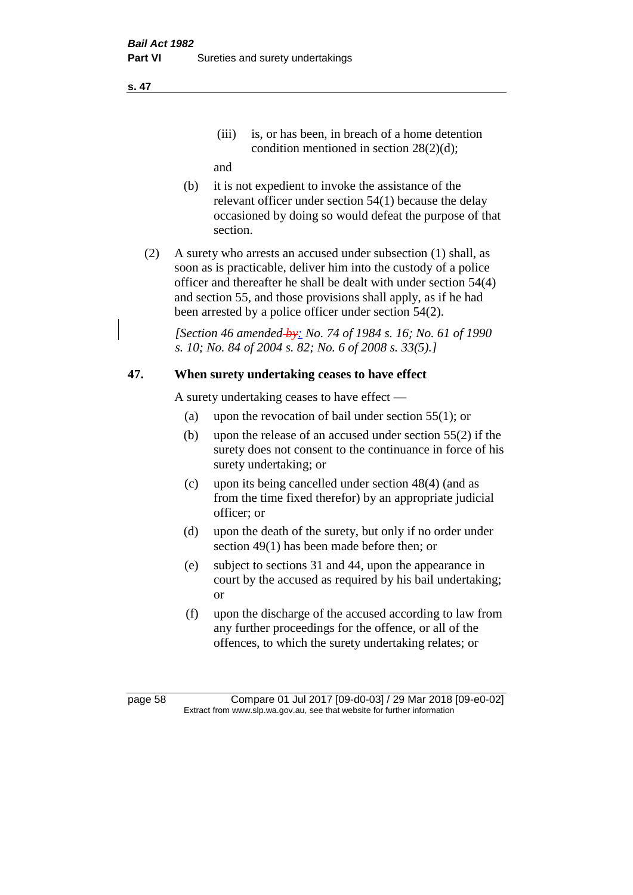(iii) is, or has been, in breach of a home detention condition mentioned in section 28(2)(d);

and

- (b) it is not expedient to invoke the assistance of the relevant officer under section 54(1) because the delay occasioned by doing so would defeat the purpose of that section.
- (2) A surety who arrests an accused under subsection (1) shall, as soon as is practicable, deliver him into the custody of a police officer and thereafter he shall be dealt with under section 54(4) and section 55, and those provisions shall apply, as if he had been arrested by a police officer under section 54(2).

*[Section 46 amended by: No. 74 of 1984 s. 16; No. 61 of 1990 s. 10; No. 84 of 2004 s. 82; No. 6 of 2008 s. 33(5).]* 

# **47. When surety undertaking ceases to have effect**

A surety undertaking ceases to have effect —

- (a) upon the revocation of bail under section 55(1); or
- (b) upon the release of an accused under section 55(2) if the surety does not consent to the continuance in force of his surety undertaking; or
- (c) upon its being cancelled under section 48(4) (and as from the time fixed therefor) by an appropriate judicial officer; or
- (d) upon the death of the surety, but only if no order under section 49(1) has been made before then; or
- (e) subject to sections 31 and 44, upon the appearance in court by the accused as required by his bail undertaking; or
- (f) upon the discharge of the accused according to law from any further proceedings for the offence, or all of the offences, to which the surety undertaking relates; or

page 58 Compare 01 Jul 2017 [09-d0-03] / 29 Mar 2018 [09-e0-02] Extract from www.slp.wa.gov.au, see that website for further information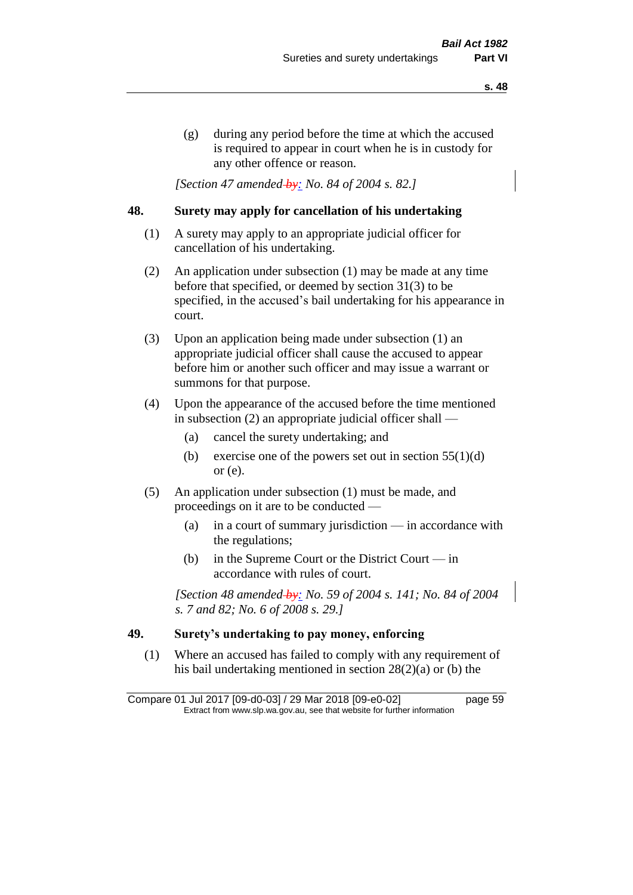(g) during any period before the time at which the accused is required to appear in court when he is in custody for any other offence or reason.

*[Section 47 amended by: No. 84 of 2004 s. 82.]* 

## **48. Surety may apply for cancellation of his undertaking**

- (1) A surety may apply to an appropriate judicial officer for cancellation of his undertaking.
- (2) An application under subsection (1) may be made at any time before that specified, or deemed by section 31(3) to be specified, in the accused's bail undertaking for his appearance in court.
- (3) Upon an application being made under subsection (1) an appropriate judicial officer shall cause the accused to appear before him or another such officer and may issue a warrant or summons for that purpose.
- (4) Upon the appearance of the accused before the time mentioned in subsection (2) an appropriate judicial officer shall —
	- (a) cancel the surety undertaking; and
	- (b) exercise one of the powers set out in section  $55(1)(d)$ or (e).
- (5) An application under subsection (1) must be made, and proceedings on it are to be conducted —
	- (a) in a court of summary jurisdiction in accordance with the regulations;
	- (b) in the Supreme Court or the District Court  $-\text{in}$ accordance with rules of court.

*[Section 48 amended by: No. 59 of 2004 s. 141; No. 84 of 2004 s. 7 and 82; No. 6 of 2008 s. 29.]* 

## **49. Surety's undertaking to pay money, enforcing**

(1) Where an accused has failed to comply with any requirement of his bail undertaking mentioned in section 28(2)(a) or (b) the

Compare 01 Jul 2017 [09-d0-03] / 29 Mar 2018 [09-e0-02] page 59 Extract from www.slp.wa.gov.au, see that website for further information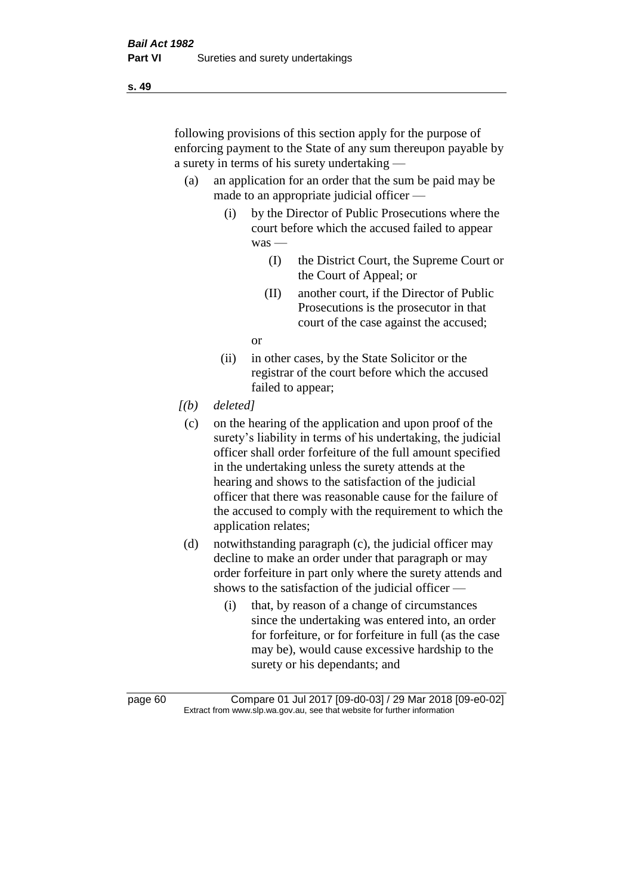following provisions of this section apply for the purpose of enforcing payment to the State of any sum thereupon payable by a surety in terms of his surety undertaking —

- (a) an application for an order that the sum be paid may be made to an appropriate judicial officer —
	- (i) by the Director of Public Prosecutions where the court before which the accused failed to appear was —
		- (I) the District Court, the Supreme Court or the Court of Appeal; or
		- (II) another court, if the Director of Public Prosecutions is the prosecutor in that court of the case against the accused;

or

- (ii) in other cases, by the State Solicitor or the registrar of the court before which the accused failed to appear;
- *[(b) deleted]*
	- (c) on the hearing of the application and upon proof of the surety's liability in terms of his undertaking, the judicial officer shall order forfeiture of the full amount specified in the undertaking unless the surety attends at the hearing and shows to the satisfaction of the judicial officer that there was reasonable cause for the failure of the accused to comply with the requirement to which the application relates;
- (d) notwithstanding paragraph (c), the judicial officer may decline to make an order under that paragraph or may order forfeiture in part only where the surety attends and shows to the satisfaction of the judicial officer —
	- (i) that, by reason of a change of circumstances since the undertaking was entered into, an order for forfeiture, or for forfeiture in full (as the case may be), would cause excessive hardship to the surety or his dependants; and

page 60 Compare 01 Jul 2017 [09-d0-03] / 29 Mar 2018 [09-e0-02] Extract from www.slp.wa.gov.au, see that website for further information

**s. 49**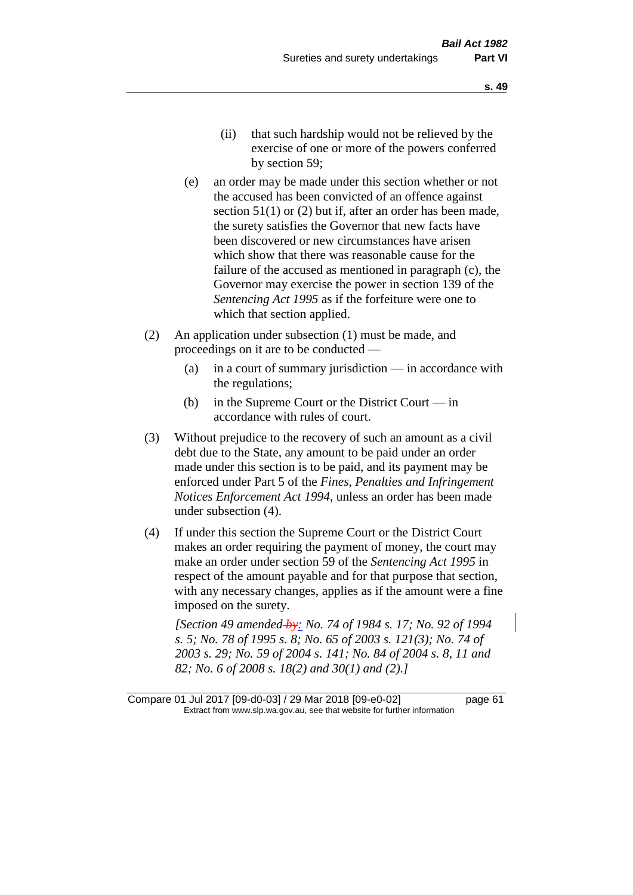- (e) an order may be made under this section whether or not the accused has been convicted of an offence against section 51(1) or (2) but if, after an order has been made, the surety satisfies the Governor that new facts have been discovered or new circumstances have arisen which show that there was reasonable cause for the failure of the accused as mentioned in paragraph (c), the Governor may exercise the power in section 139 of the *Sentencing Act 1995* as if the forfeiture were one to which that section applied.
- (2) An application under subsection (1) must be made, and proceedings on it are to be conducted —
	- (a) in a court of summary jurisdiction in accordance with the regulations;
	- (b) in the Supreme Court or the District Court  $-\text{in}$ accordance with rules of court.
- (3) Without prejudice to the recovery of such an amount as a civil debt due to the State, any amount to be paid under an order made under this section is to be paid, and its payment may be enforced under Part 5 of the *Fines, Penalties and Infringement Notices Enforcement Act 1994*, unless an order has been made under subsection (4).
- (4) If under this section the Supreme Court or the District Court makes an order requiring the payment of money, the court may make an order under section 59 of the *Sentencing Act 1995* in respect of the amount payable and for that purpose that section, with any necessary changes, applies as if the amount were a fine imposed on the surety.

*[Section 49 amended by: No. 74 of 1984 s. 17; No. 92 of 1994 s. 5; No. 78 of 1995 s. 8; No. 65 of 2003 s. 121(3); No. 74 of 2003 s. 29; No. 59 of 2004 s. 141; No. 84 of 2004 s. 8, 11 and 82; No. 6 of 2008 s. 18(2) and 30(1) and (2).]* 

Compare 01 Jul 2017 [09-d0-03] / 29 Mar 2018 [09-e0-02] page 61 Extract from www.slp.wa.gov.au, see that website for further information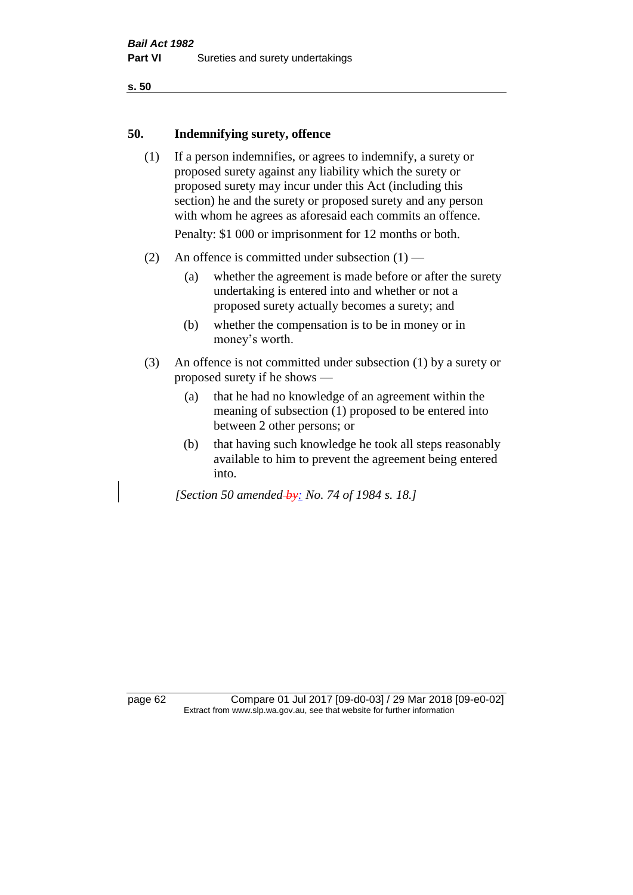#### **50. Indemnifying surety, offence**

- (1) If a person indemnifies, or agrees to indemnify, a surety or proposed surety against any liability which the surety or proposed surety may incur under this Act (including this section) he and the surety or proposed surety and any person with whom he agrees as aforesaid each commits an offence. Penalty: \$1 000 or imprisonment for 12 months or both.
- (2) An offence is committed under subsection  $(1)$ 
	- (a) whether the agreement is made before or after the surety undertaking is entered into and whether or not a proposed surety actually becomes a surety; and
	- (b) whether the compensation is to be in money or in money's worth.
- (3) An offence is not committed under subsection (1) by a surety or proposed surety if he shows —
	- (a) that he had no knowledge of an agreement within the meaning of subsection (1) proposed to be entered into between 2 other persons; or
	- (b) that having such knowledge he took all steps reasonably available to him to prevent the agreement being entered into.

*[Section 50 amended by: No. 74 of 1984 s. 18.]* 

page 62 Compare 01 Jul 2017 [09-d0-03] / 29 Mar 2018 [09-e0-02] Extract from www.slp.wa.gov.au, see that website for further information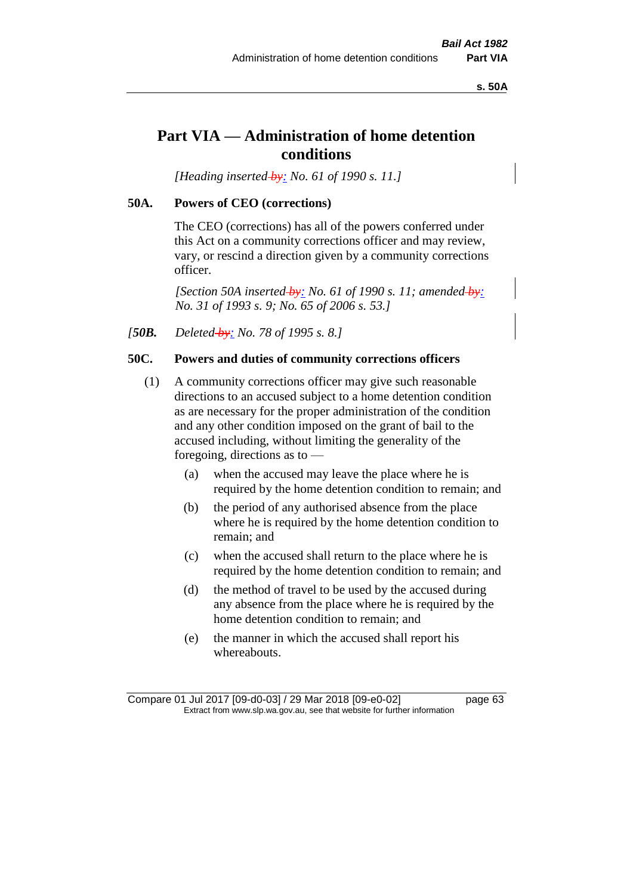**s. 50A**

# **Part VIA — Administration of home detention conditions**

*[Heading inserted by: No. 61 of 1990 s. 11.]* 

## **50A. Powers of CEO (corrections)**

The CEO (corrections) has all of the powers conferred under this Act on a community corrections officer and may review, vary, or rescind a direction given by a community corrections officer.

*[Section 50A inserted by: No. 61 of 1990 s. 11; amended by: No. 31 of 1993 s. 9; No. 65 of 2006 s. 53.]* 

*[50B. Deleted by: No. 78 of 1995 s. 8.]* 

# **50C. Powers and duties of community corrections officers**

- (1) A community corrections officer may give such reasonable directions to an accused subject to a home detention condition as are necessary for the proper administration of the condition and any other condition imposed on the grant of bail to the accused including, without limiting the generality of the foregoing, directions as to —
	- (a) when the accused may leave the place where he is required by the home detention condition to remain; and
	- (b) the period of any authorised absence from the place where he is required by the home detention condition to remain; and
	- (c) when the accused shall return to the place where he is required by the home detention condition to remain; and
	- (d) the method of travel to be used by the accused during any absence from the place where he is required by the home detention condition to remain; and
	- (e) the manner in which the accused shall report his whereabouts.

Compare 01 Jul 2017 [09-d0-03] / 29 Mar 2018 [09-e0-02] page 63 Extract from www.slp.wa.gov.au, see that website for further information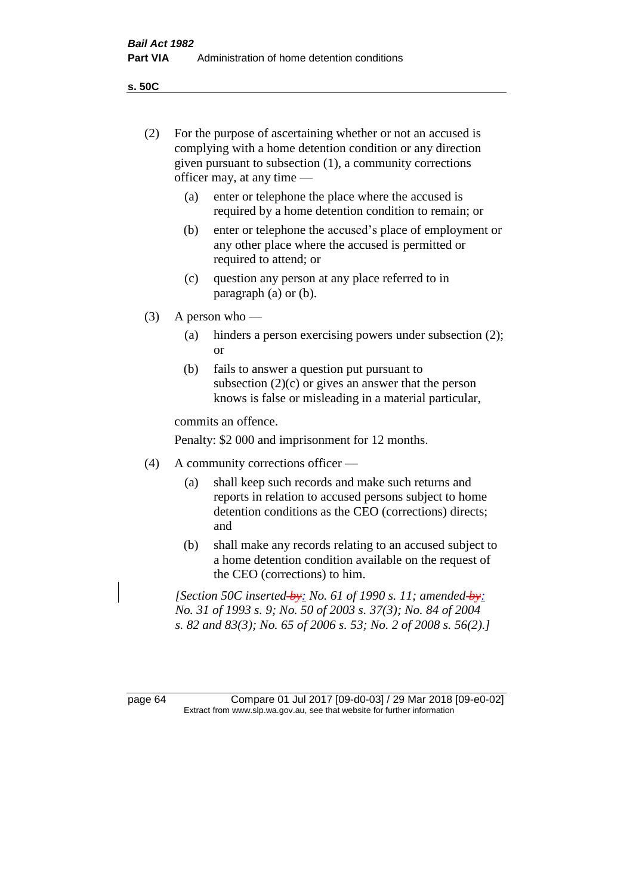**s. 50C**

| (2)     | For the purpose of ascertaining whether or not an accused is<br>complying with a home detention condition or any direction<br>given pursuant to subsection (1), a community corrections<br>officer may, at any time |                                                                                                                                                                              |  |
|---------|---------------------------------------------------------------------------------------------------------------------------------------------------------------------------------------------------------------------|------------------------------------------------------------------------------------------------------------------------------------------------------------------------------|--|
|         | (a)                                                                                                                                                                                                                 | enter or telephone the place where the accused is<br>required by a home detention condition to remain; or                                                                    |  |
|         | (b)                                                                                                                                                                                                                 | enter or telephone the accused's place of employment or<br>any other place where the accused is permitted or<br>required to attend; or                                       |  |
|         | (c)                                                                                                                                                                                                                 | question any person at any place referred to in<br>paragraph $(a)$ or $(b)$ .                                                                                                |  |
| (3)     | A person who $-$                                                                                                                                                                                                    |                                                                                                                                                                              |  |
|         | (a)                                                                                                                                                                                                                 | hinders a person exercising powers under subsection (2);<br><b>or</b>                                                                                                        |  |
|         | (b)                                                                                                                                                                                                                 | fails to answer a question put pursuant to<br>subsection $(2)(c)$ or gives an answer that the person<br>knows is false or misleading in a material particular,               |  |
|         |                                                                                                                                                                                                                     | commits an offence.                                                                                                                                                          |  |
|         | Penalty: \$2 000 and imprisonment for 12 months.                                                                                                                                                                    |                                                                                                                                                                              |  |
| (4)     | A community corrections officer —                                                                                                                                                                                   |                                                                                                                                                                              |  |
|         | (a)                                                                                                                                                                                                                 | shall keep such records and make such returns and<br>reports in relation to accused persons subject to home<br>detention conditions as the CEO (corrections) directs;<br>and |  |
|         | (b)                                                                                                                                                                                                                 | shall make any records relating to an accused subject to<br>a home detention condition available on the request of<br>the CEO (corrections) to him.                          |  |
|         | [Section 50C inserted-by: No. 61 of 1990 s. 11; amended-by:<br>No. 31 of 1993 s. 9; No. 50 of 2003 s. 37(3); No. 84 of 2004<br>s. 82 and 83(3); No. 65 of 2006 s. 53; No. 2 of 2008 s. 56(2).]                      |                                                                                                                                                                              |  |
|         |                                                                                                                                                                                                                     |                                                                                                                                                                              |  |
| page 64 | Compare 01 Jul 2017 [09-d0-03] / 29 Mar 2018 [09-e0-02]<br>Extract from www.slp.wa.gov.au, see that website for further information                                                                                 |                                                                                                                                                                              |  |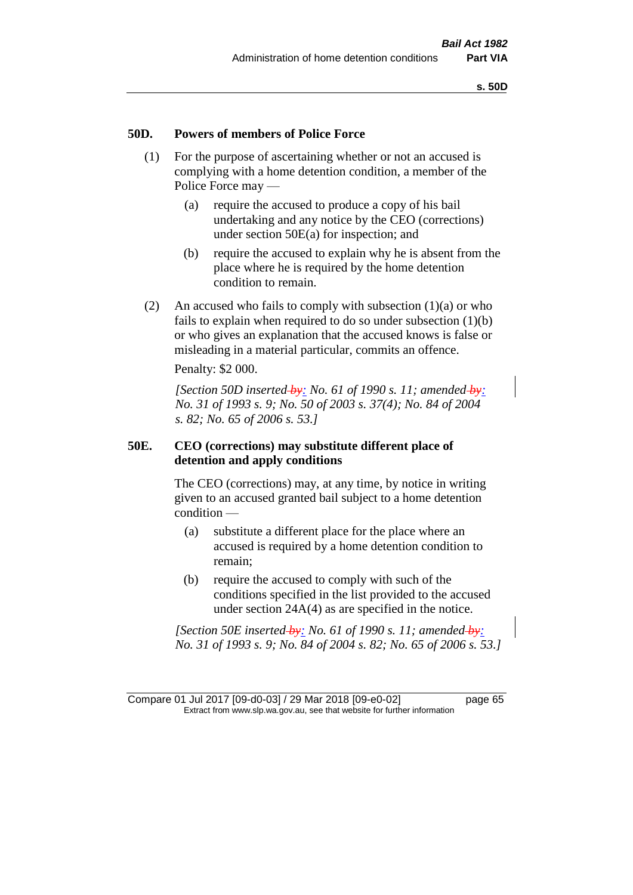#### **50D. Powers of members of Police Force**

- (1) For the purpose of ascertaining whether or not an accused is complying with a home detention condition, a member of the Police Force may —
	- (a) require the accused to produce a copy of his bail undertaking and any notice by the CEO (corrections) under section 50E(a) for inspection; and
	- (b) require the accused to explain why he is absent from the place where he is required by the home detention condition to remain.
- (2) An accused who fails to comply with subsection  $(1)(a)$  or who fails to explain when required to do so under subsection (1)(b) or who gives an explanation that the accused knows is false or misleading in a material particular, commits an offence.

Penalty: \$2 000.

*[Section 50D inserted by: No. 61 of 1990 s. 11; amended by: No. 31 of 1993 s. 9; No. 50 of 2003 s. 37(4); No. 84 of 2004 s. 82; No. 65 of 2006 s. 53.]* 

#### **50E. CEO (corrections) may substitute different place of detention and apply conditions**

The CEO (corrections) may, at any time, by notice in writing given to an accused granted bail subject to a home detention condition —

- (a) substitute a different place for the place where an accused is required by a home detention condition to remain;
- (b) require the accused to comply with such of the conditions specified in the list provided to the accused under section 24A(4) as are specified in the notice.

*[Section 50E inserted by: No. 61 of 1990 s. 11; amended by: No. 31 of 1993 s. 9; No. 84 of 2004 s. 82; No. 65 of 2006 s. 53.]* 

Compare 01 Jul 2017 [09-d0-03] / 29 Mar 2018 [09-e0-02] page 65 Extract from www.slp.wa.gov.au, see that website for further information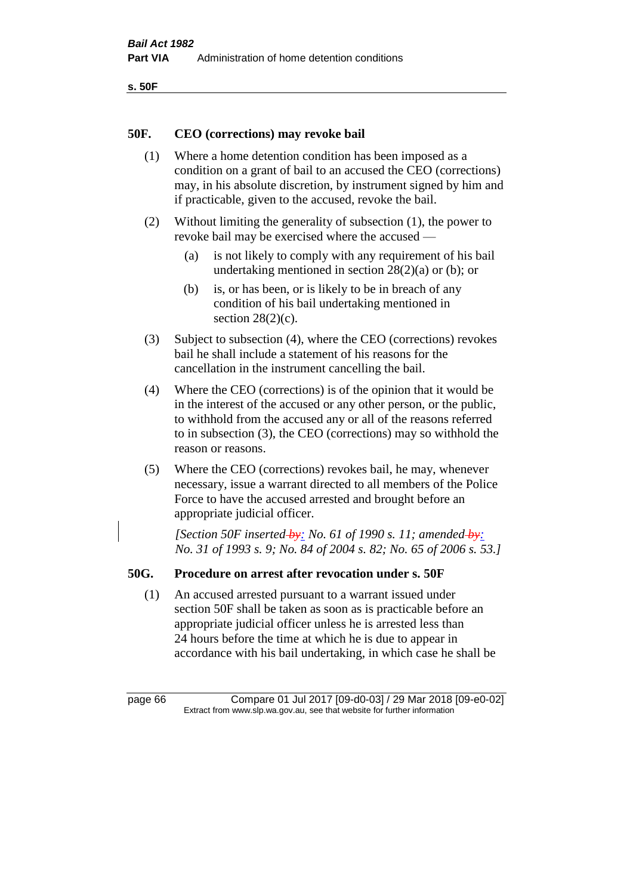```
s. 50F
```
## **50F. CEO (corrections) may revoke bail**

- (1) Where a home detention condition has been imposed as a condition on a grant of bail to an accused the CEO (corrections) may, in his absolute discretion, by instrument signed by him and if practicable, given to the accused, revoke the bail.
- (2) Without limiting the generality of subsection (1), the power to revoke bail may be exercised where the accused —
	- (a) is not likely to comply with any requirement of his bail undertaking mentioned in section 28(2)(a) or (b); or
	- (b) is, or has been, or is likely to be in breach of any condition of his bail undertaking mentioned in section  $28(2)(c)$ .
- (3) Subject to subsection (4), where the CEO (corrections) revokes bail he shall include a statement of his reasons for the cancellation in the instrument cancelling the bail.
- (4) Where the CEO (corrections) is of the opinion that it would be in the interest of the accused or any other person, or the public, to withhold from the accused any or all of the reasons referred to in subsection (3), the CEO (corrections) may so withhold the reason or reasons.
- (5) Where the CEO (corrections) revokes bail, he may, whenever necessary, issue a warrant directed to all members of the Police Force to have the accused arrested and brought before an appropriate judicial officer.

*[Section 50F inserted by: No. 61 of 1990 s. 11; amended by: No. 31 of 1993 s. 9; No. 84 of 2004 s. 82; No. 65 of 2006 s. 53.]* 

## **50G. Procedure on arrest after revocation under s. 50F**

(1) An accused arrested pursuant to a warrant issued under section 50F shall be taken as soon as is practicable before an appropriate judicial officer unless he is arrested less than 24 hours before the time at which he is due to appear in accordance with his bail undertaking, in which case he shall be

page 66 Compare 01 Jul 2017 [09-d0-03] / 29 Mar 2018 [09-e0-02] Extract from www.slp.wa.gov.au, see that website for further information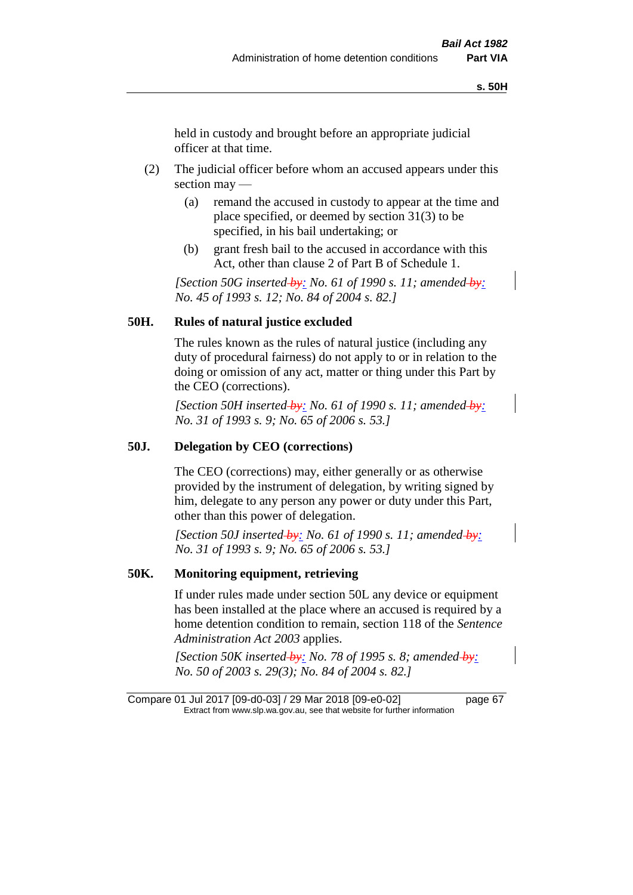held in custody and brought before an appropriate judicial officer at that time.

- (2) The judicial officer before whom an accused appears under this section may —
	- (a) remand the accused in custody to appear at the time and place specified, or deemed by section 31(3) to be specified, in his bail undertaking; or
	- (b) grant fresh bail to the accused in accordance with this Act, other than clause 2 of Part B of Schedule 1.

*[Section 50G inserted by: No. 61 of 1990 s. 11; amended by: No. 45 of 1993 s. 12; No. 84 of 2004 s. 82.]* 

## **50H. Rules of natural justice excluded**

The rules known as the rules of natural justice (including any duty of procedural fairness) do not apply to or in relation to the doing or omission of any act, matter or thing under this Part by the CEO (corrections).

*[Section 50H inserted by: No. 61 of 1990 s. 11; amended by: No. 31 of 1993 s. 9; No. 65 of 2006 s. 53.]* 

#### **50J. Delegation by CEO (corrections)**

The CEO (corrections) may, either generally or as otherwise provided by the instrument of delegation, by writing signed by him, delegate to any person any power or duty under this Part, other than this power of delegation.

*[Section 50J inserted by: No. 61 of 1990 s. 11; amended by: No. 31 of 1993 s. 9; No. 65 of 2006 s. 53.]* 

#### **50K. Monitoring equipment, retrieving**

If under rules made under section 50L any device or equipment has been installed at the place where an accused is required by a home detention condition to remain, section 118 of the *Sentence Administration Act 2003* applies.

*[Section 50K inserted by: No. 78 of 1995 s. 8; amended by: No. 50 of 2003 s. 29(3); No. 84 of 2004 s. 82.]* 

Compare 01 Jul 2017 [09-d0-03] / 29 Mar 2018 [09-e0-02] page 67 Extract from www.slp.wa.gov.au, see that website for further information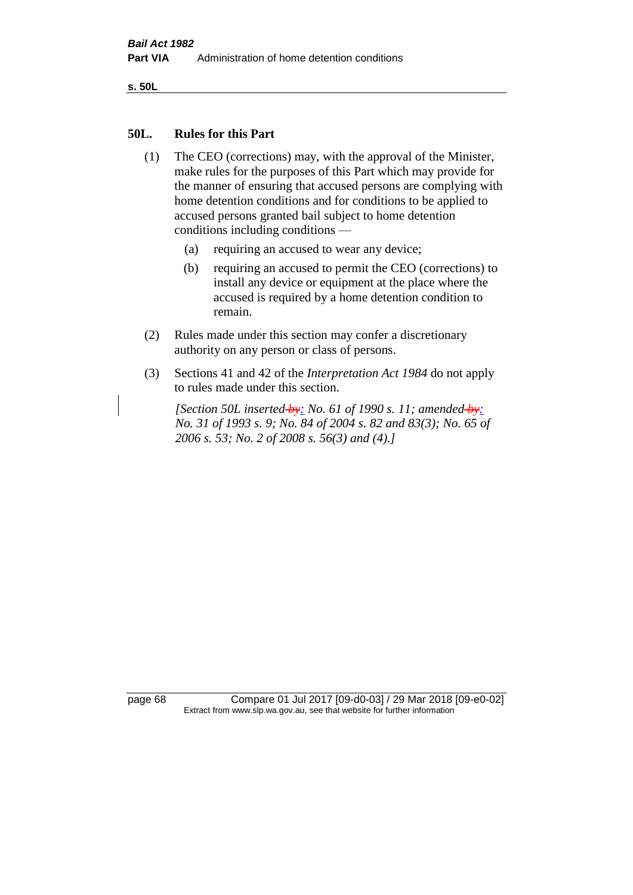**s. 50L**

#### **50L. Rules for this Part**

- (1) The CEO (corrections) may, with the approval of the Minister, make rules for the purposes of this Part which may provide for the manner of ensuring that accused persons are complying with home detention conditions and for conditions to be applied to accused persons granted bail subject to home detention conditions including conditions —
	- (a) requiring an accused to wear any device;
	- (b) requiring an accused to permit the CEO (corrections) to install any device or equipment at the place where the accused is required by a home detention condition to remain.
- (2) Rules made under this section may confer a discretionary authority on any person or class of persons.
- (3) Sections 41 and 42 of the *Interpretation Act 1984* do not apply to rules made under this section.

*[Section 50L inserted by: No. 61 of 1990 s. 11; amended by: No. 31 of 1993 s. 9; No. 84 of 2004 s. 82 and 83(3); No. 65 of 2006 s. 53; No. 2 of 2008 s. 56(3) and (4).]* 

page 68 Compare 01 Jul 2017 [09-d0-03] / 29 Mar 2018 [09-e0-02] Extract from www.slp.wa.gov.au, see that website for further information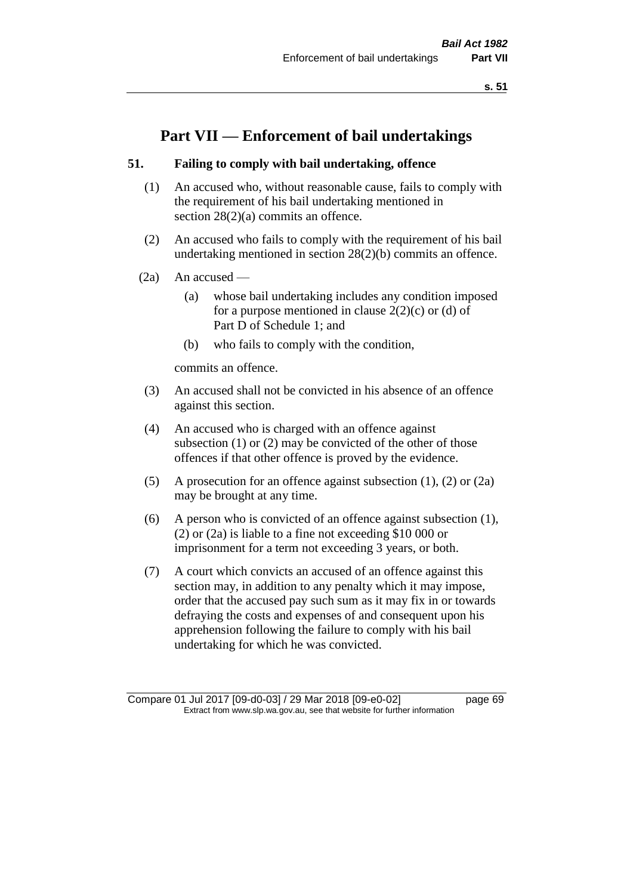# **Part VII — Enforcement of bail undertakings**

## **51. Failing to comply with bail undertaking, offence**

- (1) An accused who, without reasonable cause, fails to comply with the requirement of his bail undertaking mentioned in section 28(2)(a) commits an offence.
- (2) An accused who fails to comply with the requirement of his bail undertaking mentioned in section 28(2)(b) commits an offence.
- $(2a)$  An accused
	- (a) whose bail undertaking includes any condition imposed for a purpose mentioned in clause  $2(2)(c)$  or (d) of Part D of Schedule 1; and
	- (b) who fails to comply with the condition,

commits an offence.

- (3) An accused shall not be convicted in his absence of an offence against this section.
- (4) An accused who is charged with an offence against subsection (1) or (2) may be convicted of the other of those offences if that other offence is proved by the evidence.
- (5) A prosecution for an offence against subsection (1), (2) or (2a) may be brought at any time.
- (6) A person who is convicted of an offence against subsection (1), (2) or (2a) is liable to a fine not exceeding \$10 000 or imprisonment for a term not exceeding 3 years, or both.
- (7) A court which convicts an accused of an offence against this section may, in addition to any penalty which it may impose, order that the accused pay such sum as it may fix in or towards defraying the costs and expenses of and consequent upon his apprehension following the failure to comply with his bail undertaking for which he was convicted.

Compare 01 Jul 2017 [09-d0-03] / 29 Mar 2018 [09-e0-02] page 69 Extract from www.slp.wa.gov.au, see that website for further information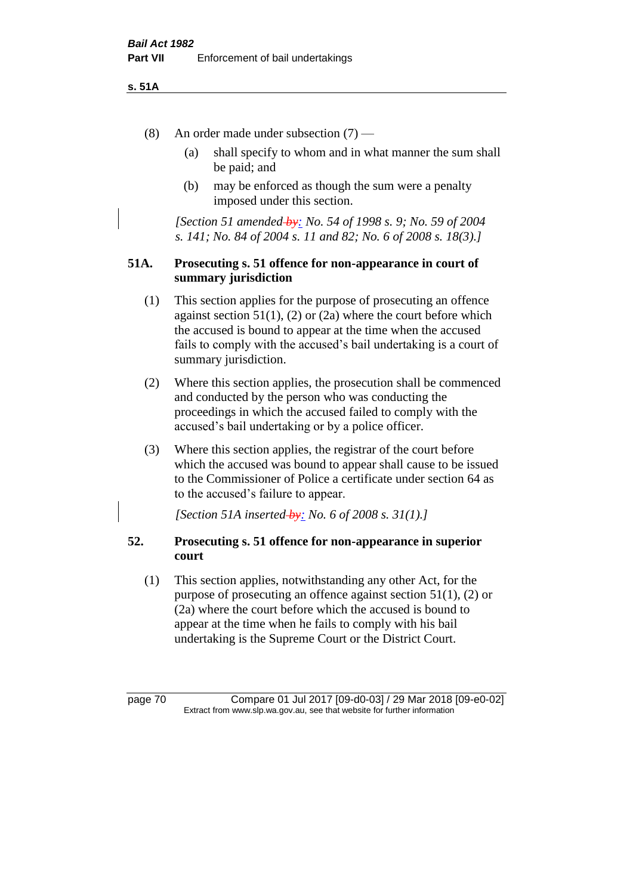#### **s. 51A**

- (8) An order made under subsection (7)
	- (a) shall specify to whom and in what manner the sum shall be paid; and
	- (b) may be enforced as though the sum were a penalty imposed under this section.

*[Section 51 amended by: No. 54 of 1998 s. 9; No. 59 of 2004 s. 141; No. 84 of 2004 s. 11 and 82; No. 6 of 2008 s. 18(3).]*

#### **51A. Prosecuting s. 51 offence for non-appearance in court of summary jurisdiction**

- (1) This section applies for the purpose of prosecuting an offence against section  $51(1)$ ,  $(2)$  or  $(2a)$  where the court before which the accused is bound to appear at the time when the accused fails to comply with the accused's bail undertaking is a court of summary jurisdiction.
- (2) Where this section applies, the prosecution shall be commenced and conducted by the person who was conducting the proceedings in which the accused failed to comply with the accused's bail undertaking or by a police officer.
- (3) Where this section applies, the registrar of the court before which the accused was bound to appear shall cause to be issued to the Commissioner of Police a certificate under section 64 as to the accused's failure to appear.

*[Section 51A inserted by: No. 6 of 2008 s. 31(1).]*

## **52. Prosecuting s. 51 offence for non-appearance in superior court**

(1) This section applies, notwithstanding any other Act, for the purpose of prosecuting an offence against section 51(1), (2) or (2a) where the court before which the accused is bound to appear at the time when he fails to comply with his bail undertaking is the Supreme Court or the District Court.

page 70 Compare 01 Jul 2017 [09-d0-03] / 29 Mar 2018 [09-e0-02] Extract from www.slp.wa.gov.au, see that website for further information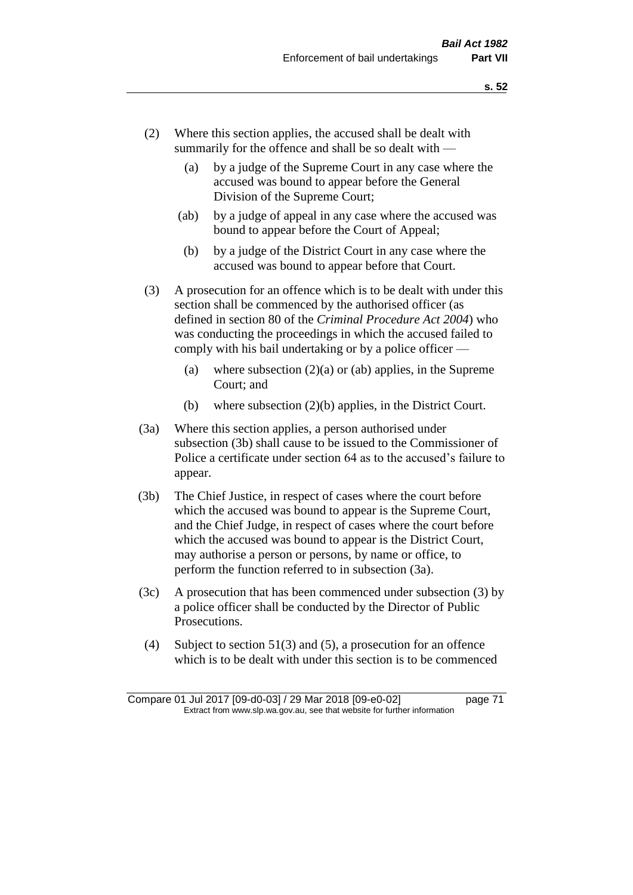- (2) Where this section applies, the accused shall be dealt with summarily for the offence and shall be so dealt with —
	- (a) by a judge of the Supreme Court in any case where the accused was bound to appear before the General Division of the Supreme Court;
	- (ab) by a judge of appeal in any case where the accused was bound to appear before the Court of Appeal;
	- (b) by a judge of the District Court in any case where the accused was bound to appear before that Court.
- (3) A prosecution for an offence which is to be dealt with under this section shall be commenced by the authorised officer (as defined in section 80 of the *Criminal Procedure Act 2004*) who was conducting the proceedings in which the accused failed to comply with his bail undertaking or by a police officer —
	- (a) where subsection  $(2)(a)$  or (ab) applies, in the Supreme Court; and
	- (b) where subsection (2)(b) applies, in the District Court.
- (3a) Where this section applies, a person authorised under subsection (3b) shall cause to be issued to the Commissioner of Police a certificate under section 64 as to the accused's failure to appear.
- (3b) The Chief Justice, in respect of cases where the court before which the accused was bound to appear is the Supreme Court, and the Chief Judge, in respect of cases where the court before which the accused was bound to appear is the District Court, may authorise a person or persons, by name or office, to perform the function referred to in subsection (3a).
- (3c) A prosecution that has been commenced under subsection (3) by a police officer shall be conducted by the Director of Public Prosecutions.
- (4) Subject to section 51(3) and (5), a prosecution for an offence which is to be dealt with under this section is to be commenced

Compare 01 Jul 2017 [09-d0-03] / 29 Mar 2018 [09-e0-02] page 71 Extract from www.slp.wa.gov.au, see that website for further information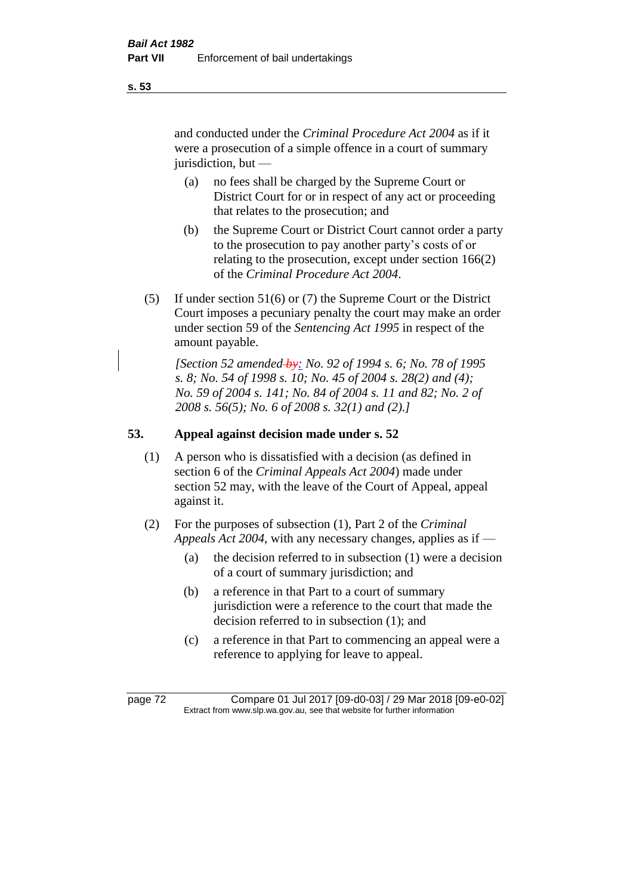and conducted under the *Criminal Procedure Act 2004* as if it were a prosecution of a simple offence in a court of summary jurisdiction, but —

- (a) no fees shall be charged by the Supreme Court or District Court for or in respect of any act or proceeding that relates to the prosecution; and
- (b) the Supreme Court or District Court cannot order a party to the prosecution to pay another party's costs of or relating to the prosecution, except under section 166(2) of the *Criminal Procedure Act 2004*.
- (5) If under section 51(6) or (7) the Supreme Court or the District Court imposes a pecuniary penalty the court may make an order under section 59 of the *Sentencing Act 1995* in respect of the amount payable.

*[Section 52 amended by: No. 92 of 1994 s. 6; No. 78 of 1995 s. 8; No. 54 of 1998 s. 10; No. 45 of 2004 s. 28(2) and (4); No. 59 of 2004 s. 141; No. 84 of 2004 s. 11 and 82; No. 2 of 2008 s. 56(5); No. 6 of 2008 s. 32(1) and (2).]* 

# **53. Appeal against decision made under s. 52**

- (1) A person who is dissatisfied with a decision (as defined in section 6 of the *Criminal Appeals Act 2004*) made under section 52 may, with the leave of the Court of Appeal, appeal against it.
- (2) For the purposes of subsection (1), Part 2 of the *Criminal Appeals Act 2004*, with any necessary changes, applies as if —
	- (a) the decision referred to in subsection (1) were a decision of a court of summary jurisdiction; and
	- (b) a reference in that Part to a court of summary jurisdiction were a reference to the court that made the decision referred to in subsection (1); and
	- (c) a reference in that Part to commencing an appeal were a reference to applying for leave to appeal.

page 72 Compare 01 Jul 2017 [09-d0-03] / 29 Mar 2018 [09-e0-02] Extract from www.slp.wa.gov.au, see that website for further information

**s. 53**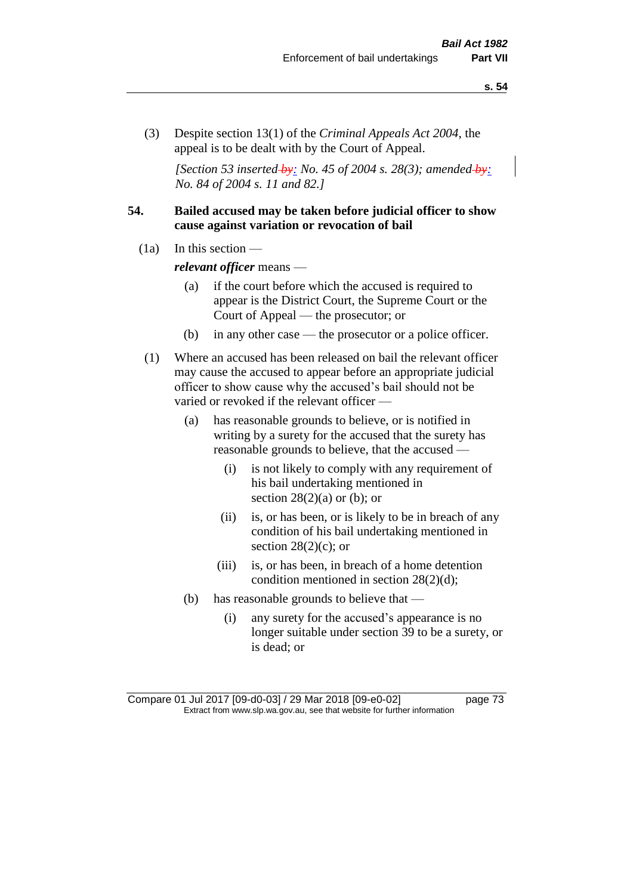(3) Despite section 13(1) of the *Criminal Appeals Act 2004*, the appeal is to be dealt with by the Court of Appeal.

*[Section 53 inserted by: No. 45 of 2004 s. 28(3); amended by: No. 84 of 2004 s. 11 and 82.]*

# **54. Bailed accused may be taken before judicial officer to show cause against variation or revocation of bail**

 $(1a)$  In this section —

*relevant officer* means —

- (a) if the court before which the accused is required to appear is the District Court, the Supreme Court or the Court of Appeal — the prosecutor; or
- (b) in any other case the prosecutor or a police officer.
- (1) Where an accused has been released on bail the relevant officer may cause the accused to appear before an appropriate judicial officer to show cause why the accused's bail should not be varied or revoked if the relevant officer —
	- (a) has reasonable grounds to believe, or is notified in writing by a surety for the accused that the surety has reasonable grounds to believe, that the accused —
		- (i) is not likely to comply with any requirement of his bail undertaking mentioned in section  $28(2)(a)$  or (b); or
		- (ii) is, or has been, or is likely to be in breach of any condition of his bail undertaking mentioned in section  $28(2)(c)$ ; or
		- (iii) is, or has been, in breach of a home detention condition mentioned in section 28(2)(d);
	- (b) has reasonable grounds to believe that
		- (i) any surety for the accused's appearance is no longer suitable under section 39 to be a surety, or is dead; or

Compare 01 Jul 2017 [09-d0-03] / 29 Mar 2018 [09-e0-02] page 73 Extract from www.slp.wa.gov.au, see that website for further information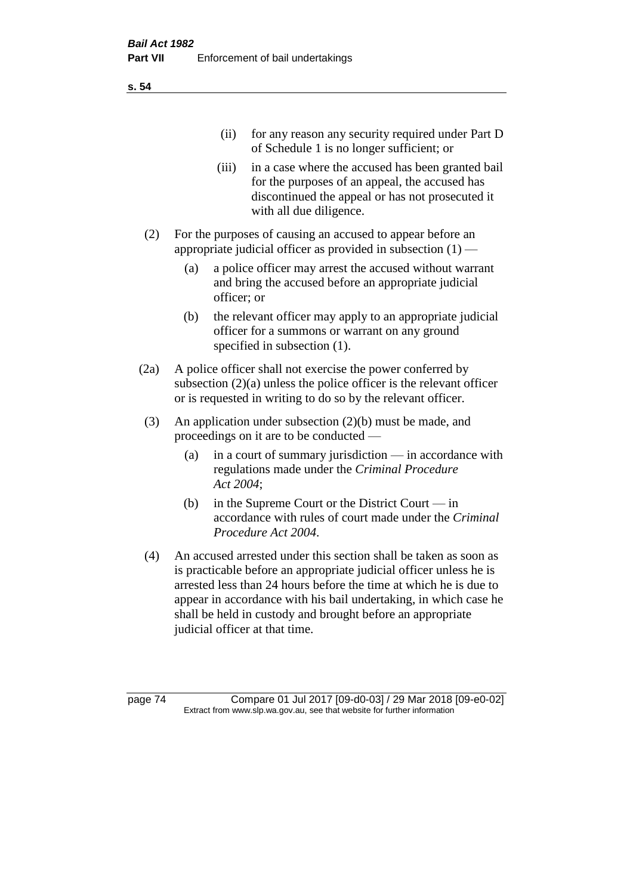(ii) for any reason any security required under Part D of Schedule 1 is no longer sufficient; or

- (iii) in a case where the accused has been granted bail for the purposes of an appeal, the accused has discontinued the appeal or has not prosecuted it with all due diligence.
- (2) For the purposes of causing an accused to appear before an appropriate judicial officer as provided in subsection (1) —
	- (a) a police officer may arrest the accused without warrant and bring the accused before an appropriate judicial officer; or
	- (b) the relevant officer may apply to an appropriate judicial officer for a summons or warrant on any ground specified in subsection (1).
- (2a) A police officer shall not exercise the power conferred by subsection (2)(a) unless the police officer is the relevant officer or is requested in writing to do so by the relevant officer.
- (3) An application under subsection (2)(b) must be made, and proceedings on it are to be conducted —
	- (a) in a court of summary jurisdiction in accordance with regulations made under the *Criminal Procedure Act 2004*;
	- (b) in the Supreme Court or the District Court  $-\text{in}$ accordance with rules of court made under the *Criminal Procedure Act 2004*.
- (4) An accused arrested under this section shall be taken as soon as is practicable before an appropriate judicial officer unless he is arrested less than 24 hours before the time at which he is due to appear in accordance with his bail undertaking, in which case he shall be held in custody and brought before an appropriate judicial officer at that time.

page 74 Compare 01 Jul 2017 [09-d0-03] / 29 Mar 2018 [09-e0-02] Extract from www.slp.wa.gov.au, see that website for further information

**s. 54**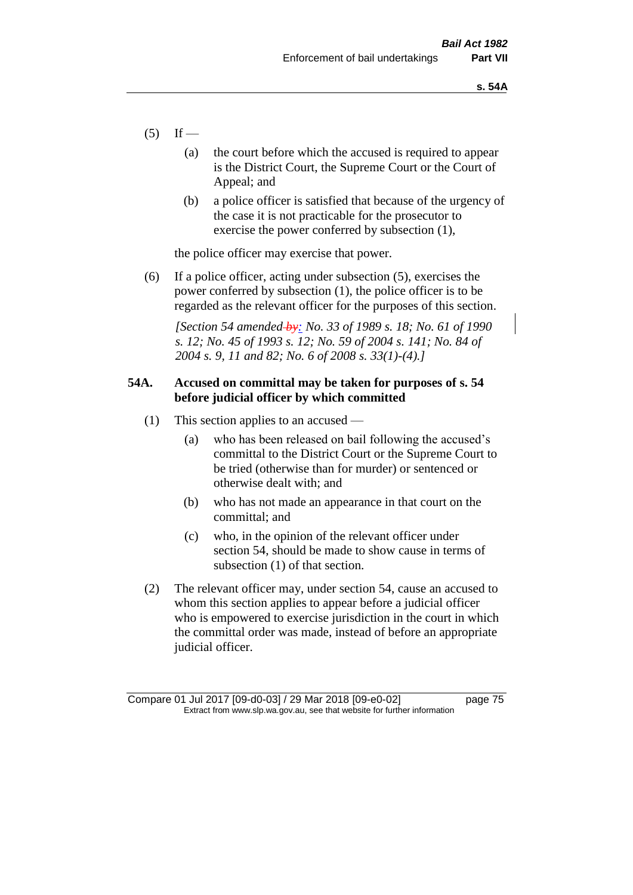- $(5)$  If
	- (a) the court before which the accused is required to appear is the District Court, the Supreme Court or the Court of Appeal; and
	- (b) a police officer is satisfied that because of the urgency of the case it is not practicable for the prosecutor to exercise the power conferred by subsection (1),

the police officer may exercise that power.

(6) If a police officer, acting under subsection (5), exercises the power conferred by subsection (1), the police officer is to be regarded as the relevant officer for the purposes of this section.

*[Section 54 amended by: No. 33 of 1989 s. 18; No. 61 of 1990 s. 12; No. 45 of 1993 s. 12; No. 59 of 2004 s. 141; No. 84 of 2004 s. 9, 11 and 82; No. 6 of 2008 s. 33(1)-(4).]* 

# **54A. Accused on committal may be taken for purposes of s. 54 before judicial officer by which committed**

- (1) This section applies to an accused
	- (a) who has been released on bail following the accused's committal to the District Court or the Supreme Court to be tried (otherwise than for murder) or sentenced or otherwise dealt with; and
	- (b) who has not made an appearance in that court on the committal; and
	- (c) who, in the opinion of the relevant officer under section 54, should be made to show cause in terms of subsection (1) of that section.
- (2) The relevant officer may, under section 54, cause an accused to whom this section applies to appear before a judicial officer who is empowered to exercise jurisdiction in the court in which the committal order was made, instead of before an appropriate judicial officer.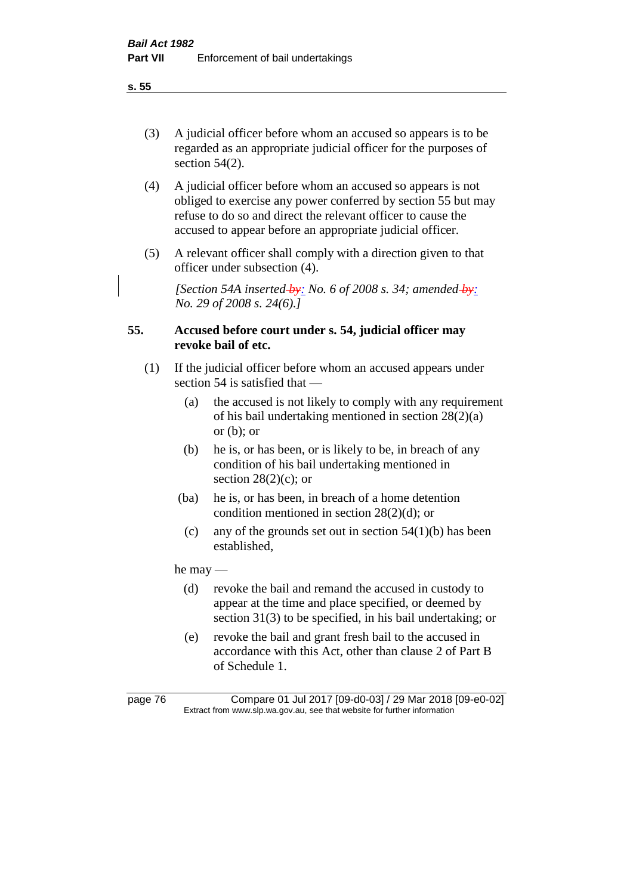- (3) A judicial officer before whom an accused so appears is to be regarded as an appropriate judicial officer for the purposes of section 54(2).
- (4) A judicial officer before whom an accused so appears is not obliged to exercise any power conferred by section 55 but may refuse to do so and direct the relevant officer to cause the accused to appear before an appropriate judicial officer.
- (5) A relevant officer shall comply with a direction given to that officer under subsection (4).

*[Section 54A inserted by: No. 6 of 2008 s. 34; amended by: No. 29 of 2008 s. 24(6).]*

# **55. Accused before court under s. 54, judicial officer may revoke bail of etc.**

- (1) If the judicial officer before whom an accused appears under section 54 is satisfied that —
	- (a) the accused is not likely to comply with any requirement of his bail undertaking mentioned in section 28(2)(a) or  $(b)$ ; or
	- (b) he is, or has been, or is likely to be, in breach of any condition of his bail undertaking mentioned in section  $28(2)(c)$ ; or
	- (ba) he is, or has been, in breach of a home detention condition mentioned in section 28(2)(d); or
	- (c) any of the grounds set out in section  $54(1)(b)$  has been established,

he may —

- (d) revoke the bail and remand the accused in custody to appear at the time and place specified, or deemed by section 31(3) to be specified, in his bail undertaking; or
- (e) revoke the bail and grant fresh bail to the accused in accordance with this Act, other than clause 2 of Part B of Schedule 1.

page 76 Compare 01 Jul 2017 [09-d0-03] / 29 Mar 2018 [09-e0-02] Extract from www.slp.wa.gov.au, see that website for further information

**s. 55**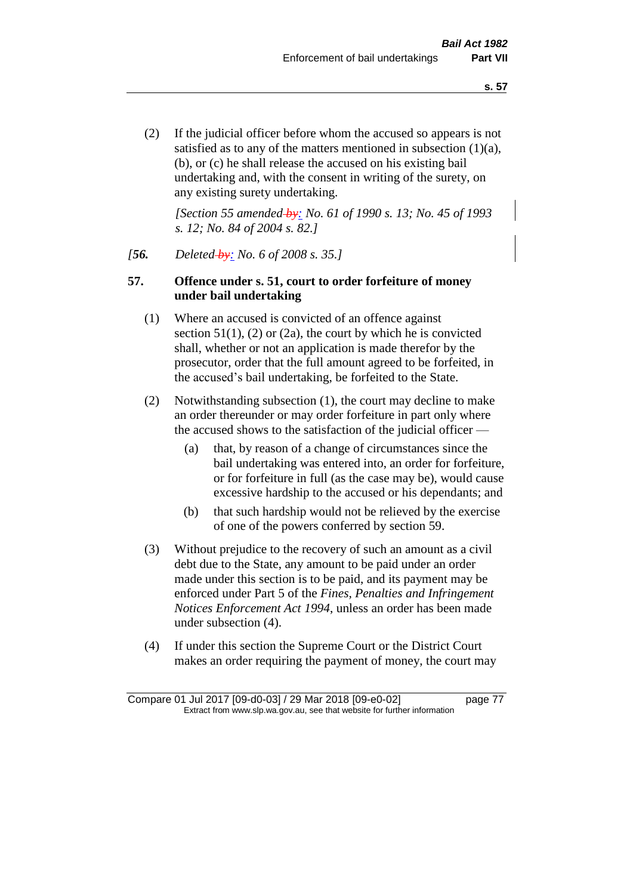(2) If the judicial officer before whom the accused so appears is not satisfied as to any of the matters mentioned in subsection (1)(a), (b), or (c) he shall release the accused on his existing bail undertaking and, with the consent in writing of the surety, on any existing surety undertaking.

*[Section 55 amended by: No. 61 of 1990 s. 13; No. 45 of 1993 s. 12; No. 84 of 2004 s. 82.]* 

### *[56. Deleted by: No. 6 of 2008 s. 35.]*

# **57. Offence under s. 51, court to order forfeiture of money under bail undertaking**

- (1) Where an accused is convicted of an offence against section  $51(1)$ ,  $(2)$  or  $(2a)$ , the court by which he is convicted shall, whether or not an application is made therefor by the prosecutor, order that the full amount agreed to be forfeited, in the accused's bail undertaking, be forfeited to the State.
- (2) Notwithstanding subsection (1), the court may decline to make an order thereunder or may order forfeiture in part only where the accused shows to the satisfaction of the judicial officer —
	- (a) that, by reason of a change of circumstances since the bail undertaking was entered into, an order for forfeiture, or for forfeiture in full (as the case may be), would cause excessive hardship to the accused or his dependants; and
	- (b) that such hardship would not be relieved by the exercise of one of the powers conferred by section 59.
- (3) Without prejudice to the recovery of such an amount as a civil debt due to the State, any amount to be paid under an order made under this section is to be paid, and its payment may be enforced under Part 5 of the *Fines, Penalties and Infringement Notices Enforcement Act 1994*, unless an order has been made under subsection (4).
- (4) If under this section the Supreme Court or the District Court makes an order requiring the payment of money, the court may

Compare 01 Jul 2017 [09-d0-03] / 29 Mar 2018 [09-e0-02] page 77 Extract from www.slp.wa.gov.au, see that website for further information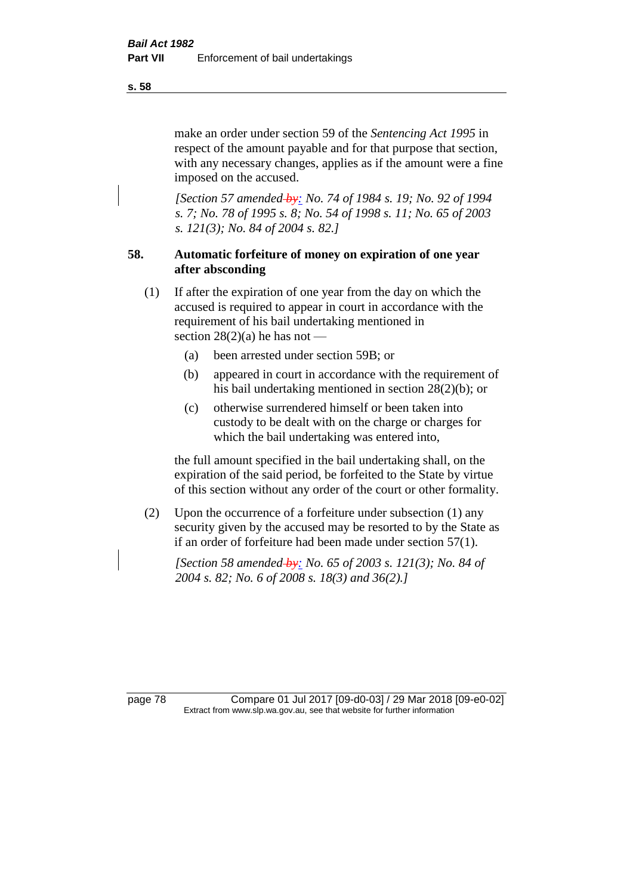make an order under section 59 of the *Sentencing Act 1995* in respect of the amount payable and for that purpose that section, with any necessary changes, applies as if the amount were a fine imposed on the accused.

*[Section 57 amended by: No. 74 of 1984 s. 19; No. 92 of 1994 s. 7; No. 78 of 1995 s. 8; No. 54 of 1998 s. 11; No. 65 of 2003 s. 121(3); No. 84 of 2004 s. 82.]* 

# **58. Automatic forfeiture of money on expiration of one year after absconding**

- (1) If after the expiration of one year from the day on which the accused is required to appear in court in accordance with the requirement of his bail undertaking mentioned in section  $28(2)(a)$  he has not —
	- (a) been arrested under section 59B; or
	- (b) appeared in court in accordance with the requirement of his bail undertaking mentioned in section 28(2)(b); or
	- (c) otherwise surrendered himself or been taken into custody to be dealt with on the charge or charges for which the bail undertaking was entered into,

the full amount specified in the bail undertaking shall, on the expiration of the said period, be forfeited to the State by virtue of this section without any order of the court or other formality.

(2) Upon the occurrence of a forfeiture under subsection (1) any security given by the accused may be resorted to by the State as if an order of forfeiture had been made under section 57(1).

*[Section 58 amended by: No. 65 of 2003 s. 121(3); No. 84 of 2004 s. 82; No. 6 of 2008 s. 18(3) and 36(2).]*

page 78 Compare 01 Jul 2017 [09-d0-03] / 29 Mar 2018 [09-e0-02] Extract from www.slp.wa.gov.au, see that website for further information

**s. 58**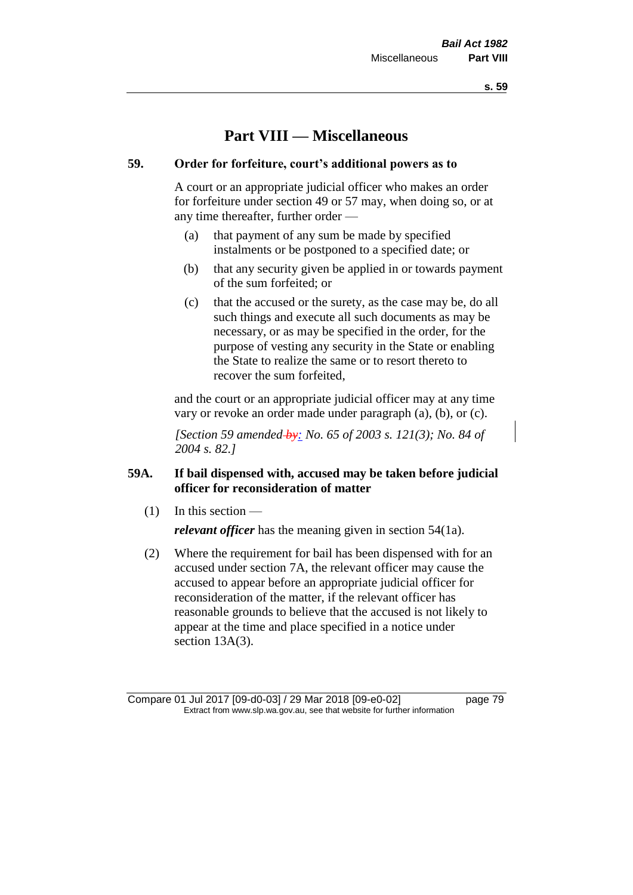**s. 59**

# **Part VIII — Miscellaneous**

# **59. Order for forfeiture, court's additional powers as to**

A court or an appropriate judicial officer who makes an order for forfeiture under section 49 or 57 may, when doing so, or at any time thereafter, further order —

- (a) that payment of any sum be made by specified instalments or be postponed to a specified date; or
- (b) that any security given be applied in or towards payment of the sum forfeited; or
- (c) that the accused or the surety, as the case may be, do all such things and execute all such documents as may be necessary, or as may be specified in the order, for the purpose of vesting any security in the State or enabling the State to realize the same or to resort thereto to recover the sum forfeited,

and the court or an appropriate judicial officer may at any time vary or revoke an order made under paragraph (a), (b), or (c).

*[Section 59 amended by: No. 65 of 2003 s. 121(3); No. 84 of 2004 s. 82.]*

# **59A. If bail dispensed with, accused may be taken before judicial officer for reconsideration of matter**

 $(1)$  In this section —

*relevant officer* has the meaning given in section 54(1a).

(2) Where the requirement for bail has been dispensed with for an accused under section 7A, the relevant officer may cause the accused to appear before an appropriate judicial officer for reconsideration of the matter, if the relevant officer has reasonable grounds to believe that the accused is not likely to appear at the time and place specified in a notice under section 13A(3).

Compare 01 Jul 2017 [09-d0-03] / 29 Mar 2018 [09-e0-02] page 79 Extract from www.slp.wa.gov.au, see that website for further information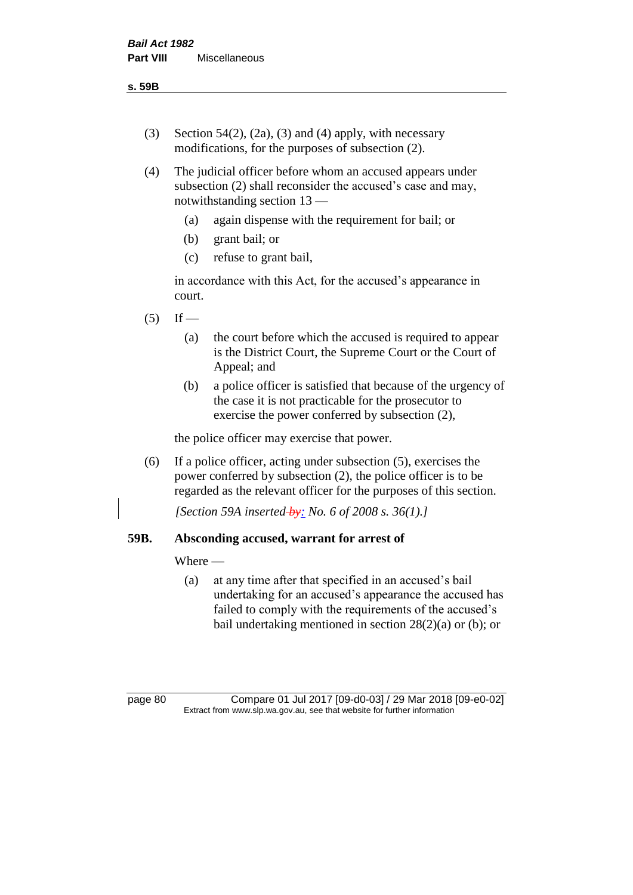- (3) Section 54(2), (2a), (3) and (4) apply, with necessary modifications, for the purposes of subsection (2).
- (4) The judicial officer before whom an accused appears under subsection (2) shall reconsider the accused's case and may, notwithstanding section 13 —
	- (a) again dispense with the requirement for bail; or
	- (b) grant bail; or
	- (c) refuse to grant bail,

in accordance with this Act, for the accused's appearance in court.

- $(5)$  If
	- (a) the court before which the accused is required to appear is the District Court, the Supreme Court or the Court of Appeal; and
	- (b) a police officer is satisfied that because of the urgency of the case it is not practicable for the prosecutor to exercise the power conferred by subsection (2),

the police officer may exercise that power.

(6) If a police officer, acting under subsection (5), exercises the power conferred by subsection (2), the police officer is to be regarded as the relevant officer for the purposes of this section.

*[Section 59A inserted by: No. 6 of 2008 s. 36(1).]*

# **59B. Absconding accused, warrant for arrest of**

### Where —

(a) at any time after that specified in an accused's bail undertaking for an accused's appearance the accused has failed to comply with the requirements of the accused's bail undertaking mentioned in section  $28(2)(a)$  or (b); or

page 80 Compare 01 Jul 2017 [09-d0-03] / 29 Mar 2018 [09-e0-02] Extract from www.slp.wa.gov.au, see that website for further information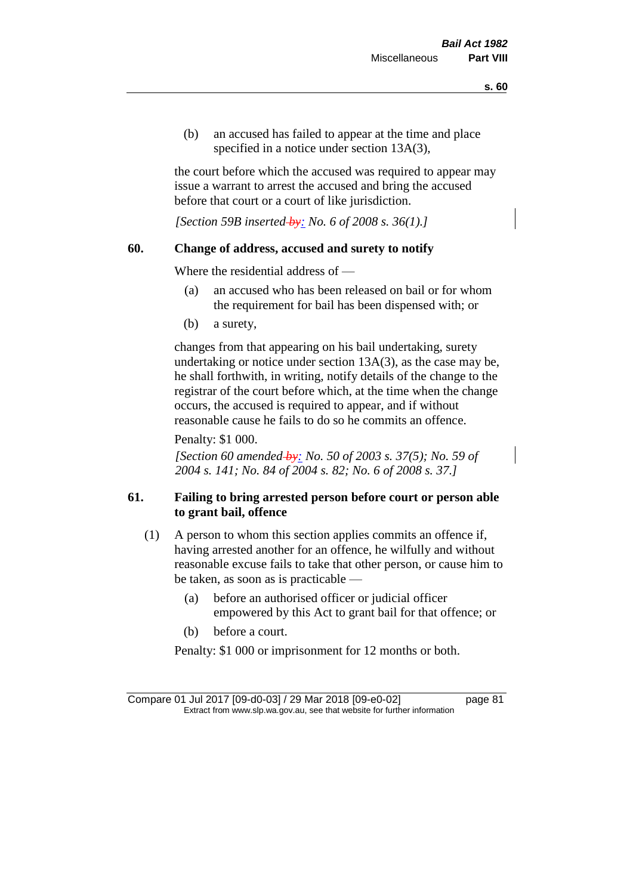(b) an accused has failed to appear at the time and place specified in a notice under section 13A(3),

the court before which the accused was required to appear may issue a warrant to arrest the accused and bring the accused before that court or a court of like jurisdiction.

*[Section 59B inserted by: No. 6 of 2008 s. 36(1).]*

### **60. Change of address, accused and surety to notify**

Where the residential address of —

- (a) an accused who has been released on bail or for whom the requirement for bail has been dispensed with; or
- (b) a surety,

changes from that appearing on his bail undertaking, surety undertaking or notice under section 13A(3), as the case may be, he shall forthwith, in writing, notify details of the change to the registrar of the court before which, at the time when the change occurs, the accused is required to appear, and if without reasonable cause he fails to do so he commits an offence.

Penalty: \$1 000.

*[Section 60 amended by: No. 50 of 2003 s. 37(5); No. 59 of 2004 s. 141; No. 84 of 2004 s. 82; No. 6 of 2008 s. 37.]*

# **61. Failing to bring arrested person before court or person able to grant bail, offence**

- (1) A person to whom this section applies commits an offence if, having arrested another for an offence, he wilfully and without reasonable excuse fails to take that other person, or cause him to be taken, as soon as is practicable —
	- (a) before an authorised officer or judicial officer empowered by this Act to grant bail for that offence; or
	- (b) before a court.

Penalty: \$1 000 or imprisonment for 12 months or both.

Compare 01 Jul 2017 [09-d0-03] / 29 Mar 2018 [09-e0-02] page 81 Extract from www.slp.wa.gov.au, see that website for further information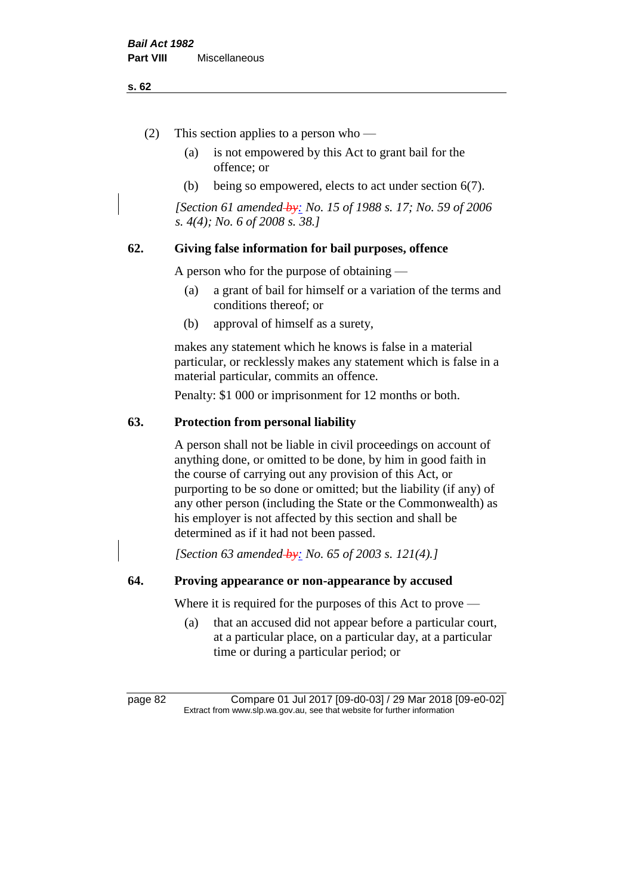#### **s. 62**

- (2) This section applies to a person who
	- (a) is not empowered by this Act to grant bail for the offence; or
	- (b) being so empowered, elects to act under section 6(7).

*[Section 61 amended by: No. 15 of 1988 s. 17; No. 59 of 2006 s. 4(4); No. 6 of 2008 s. 38.]* 

# **62. Giving false information for bail purposes, offence**

A person who for the purpose of obtaining —

- (a) a grant of bail for himself or a variation of the terms and conditions thereof; or
- (b) approval of himself as a surety,

makes any statement which he knows is false in a material particular, or recklessly makes any statement which is false in a material particular, commits an offence.

Penalty: \$1 000 or imprisonment for 12 months or both.

# **63. Protection from personal liability**

A person shall not be liable in civil proceedings on account of anything done, or omitted to be done, by him in good faith in the course of carrying out any provision of this Act, or purporting to be so done or omitted; but the liability (if any) of any other person (including the State or the Commonwealth) as his employer is not affected by this section and shall be determined as if it had not been passed.

*[Section 63 amended by: No. 65 of 2003 s. 121(4).]*

# **64. Proving appearance or non-appearance by accused**

Where it is required for the purposes of this Act to prove —

(a) that an accused did not appear before a particular court, at a particular place, on a particular day, at a particular time or during a particular period; or

page 82 Compare 01 Jul 2017 [09-d0-03] / 29 Mar 2018 [09-e0-02] Extract from www.slp.wa.gov.au, see that website for further information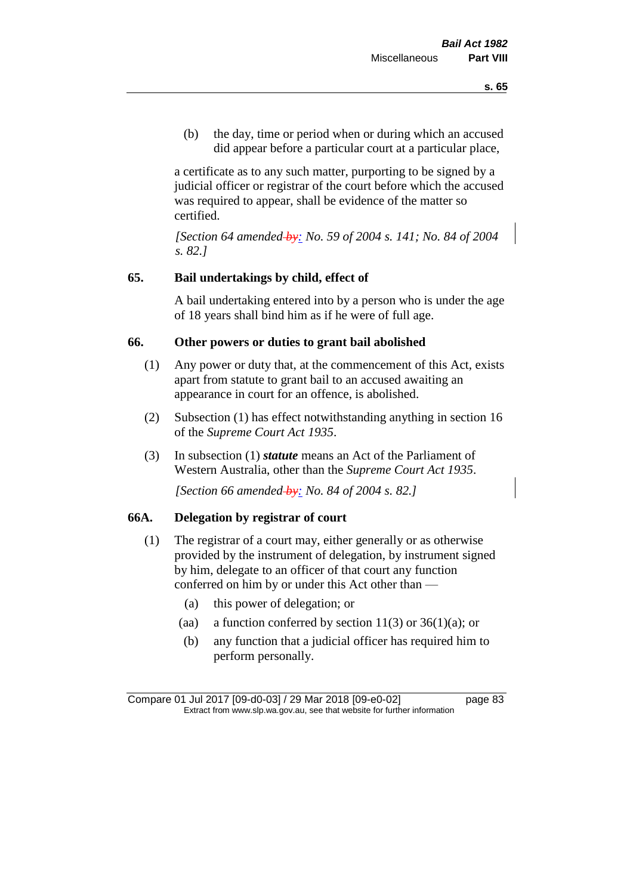(b) the day, time or period when or during which an accused did appear before a particular court at a particular place,

a certificate as to any such matter, purporting to be signed by a judicial officer or registrar of the court before which the accused was required to appear, shall be evidence of the matter so certified.

*[Section 64 amended by: No. 59 of 2004 s. 141; No. 84 of 2004 s. 82.]* 

# **65. Bail undertakings by child, effect of**

A bail undertaking entered into by a person who is under the age of 18 years shall bind him as if he were of full age.

# **66. Other powers or duties to grant bail abolished**

- (1) Any power or duty that, at the commencement of this Act, exists apart from statute to grant bail to an accused awaiting an appearance in court for an offence, is abolished.
- (2) Subsection (1) has effect notwithstanding anything in section 16 of the *Supreme Court Act 1935*.
- (3) In subsection (1) *statute* means an Act of the Parliament of Western Australia, other than the *Supreme Court Act 1935*.

*[Section 66 amended by: No. 84 of 2004 s. 82.]*

# **66A. Delegation by registrar of court**

- (1) The registrar of a court may, either generally or as otherwise provided by the instrument of delegation, by instrument signed by him, delegate to an officer of that court any function conferred on him by or under this Act other than —
	- (a) this power of delegation; or
	- (aa) a function conferred by section  $11(3)$  or  $36(1)(a)$ ; or
	- (b) any function that a judicial officer has required him to perform personally.

Compare 01 Jul 2017 [09-d0-03] / 29 Mar 2018 [09-e0-02] page 83 Extract from www.slp.wa.gov.au, see that website for further information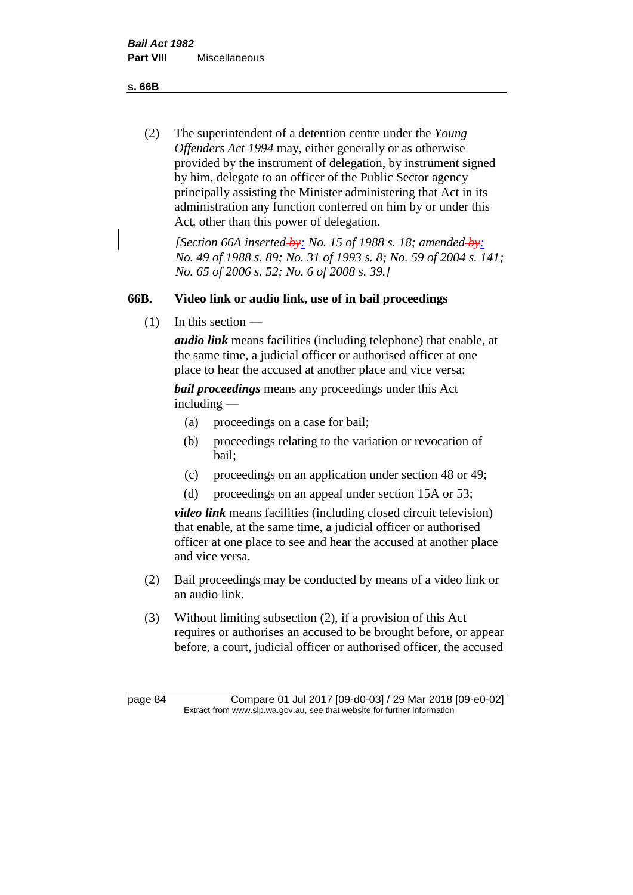**s. 66B**

(2) The superintendent of a detention centre under the *Young Offenders Act 1994* may, either generally or as otherwise provided by the instrument of delegation, by instrument signed by him, delegate to an officer of the Public Sector agency principally assisting the Minister administering that Act in its administration any function conferred on him by or under this Act, other than this power of delegation.

*[Section 66A inserted by: No. 15 of 1988 s. 18; amended by: No. 49 of 1988 s. 89; No. 31 of 1993 s. 8; No. 59 of 2004 s. 141; No. 65 of 2006 s. 52; No. 6 of 2008 s. 39.]* 

# **66B. Video link or audio link, use of in bail proceedings**

 $(1)$  In this section —

*audio link* means facilities (including telephone) that enable, at the same time, a judicial officer or authorised officer at one place to hear the accused at another place and vice versa;

*bail proceedings* means any proceedings under this Act including —

- (a) proceedings on a case for bail;
- (b) proceedings relating to the variation or revocation of bail;
- (c) proceedings on an application under section 48 or 49;
- (d) proceedings on an appeal under section 15A or 53;

*video link* means facilities (including closed circuit television) that enable, at the same time, a judicial officer or authorised officer at one place to see and hear the accused at another place and vice versa.

- (2) Bail proceedings may be conducted by means of a video link or an audio link.
- (3) Without limiting subsection (2), if a provision of this Act requires or authorises an accused to be brought before, or appear before, a court, judicial officer or authorised officer, the accused

page 84 Compare 01 Jul 2017 [09-d0-03] / 29 Mar 2018 [09-e0-02] Extract from www.slp.wa.gov.au, see that website for further information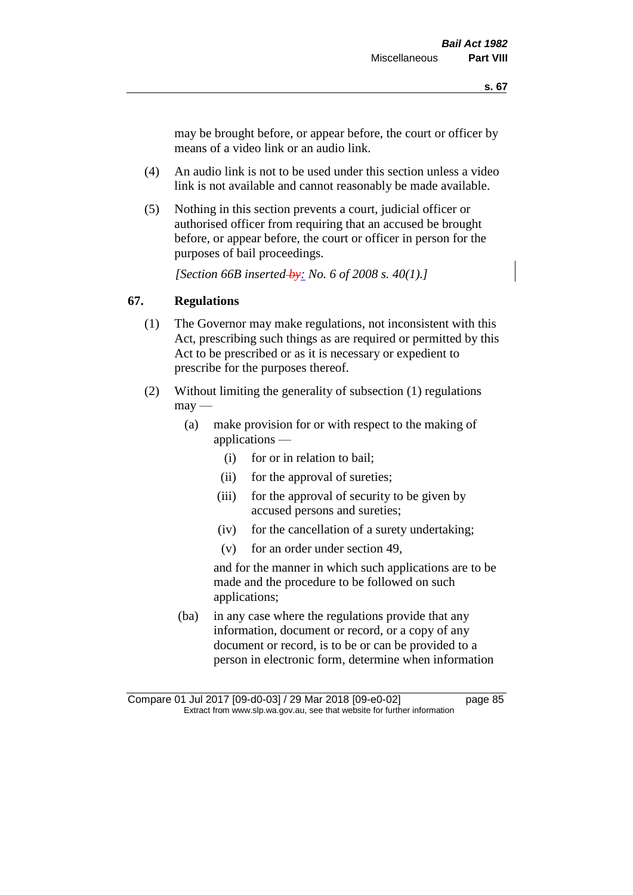may be brought before, or appear before, the court or officer by means of a video link or an audio link.

- (4) An audio link is not to be used under this section unless a video link is not available and cannot reasonably be made available.
- (5) Nothing in this section prevents a court, judicial officer or authorised officer from requiring that an accused be brought before, or appear before, the court or officer in person for the purposes of bail proceedings.

*[Section 66B inserted by: No. 6 of 2008 s. 40(1).]*

# **67. Regulations**

- (1) The Governor may make regulations, not inconsistent with this Act, prescribing such things as are required or permitted by this Act to be prescribed or as it is necessary or expedient to prescribe for the purposes thereof.
- (2) Without limiting the generality of subsection (1) regulations  $\text{max}$  —
	- (a) make provision for or with respect to the making of applications —
		- (i) for or in relation to bail;
		- (ii) for the approval of sureties;
		- (iii) for the approval of security to be given by accused persons and sureties;
		- (iv) for the cancellation of a surety undertaking;
		- (v) for an order under section 49,

and for the manner in which such applications are to be made and the procedure to be followed on such applications;

(ba) in any case where the regulations provide that any information, document or record, or a copy of any document or record, is to be or can be provided to a person in electronic form, determine when information

Compare 01 Jul 2017 [09-d0-03] / 29 Mar 2018 [09-e0-02] page 85 Extract from www.slp.wa.gov.au, see that website for further information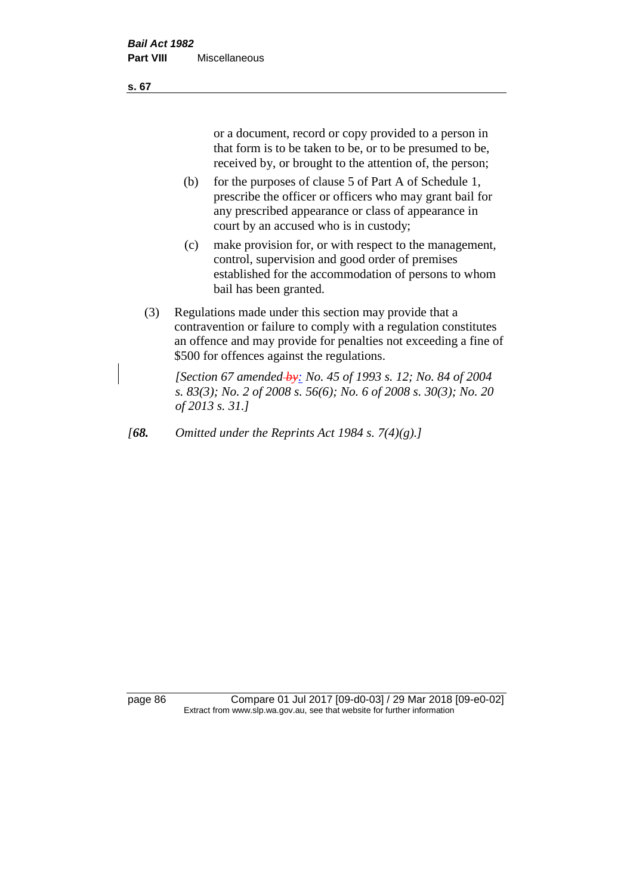or a document, record or copy provided to a person in that form is to be taken to be, or to be presumed to be, received by, or brought to the attention of, the person;

- (b) for the purposes of clause 5 of Part A of Schedule 1, prescribe the officer or officers who may grant bail for any prescribed appearance or class of appearance in court by an accused who is in custody;
- (c) make provision for, or with respect to the management, control, supervision and good order of premises established for the accommodation of persons to whom bail has been granted.
- (3) Regulations made under this section may provide that a contravention or failure to comply with a regulation constitutes an offence and may provide for penalties not exceeding a fine of \$500 for offences against the regulations.

*[Section 67 amended by: No. 45 of 1993 s. 12; No. 84 of 2004 s. 83(3); No. 2 of 2008 s. 56(6); No. 6 of 2008 s. 30(3); No. 20 of 2013 s. 31.]* 

*[68. Omitted under the Reprints Act 1984 s. 7(4)(g).]*

page 86 Compare 01 Jul 2017 [09-d0-03] / 29 Mar 2018 [09-e0-02] Extract from www.slp.wa.gov.au, see that website for further information

**s. 67**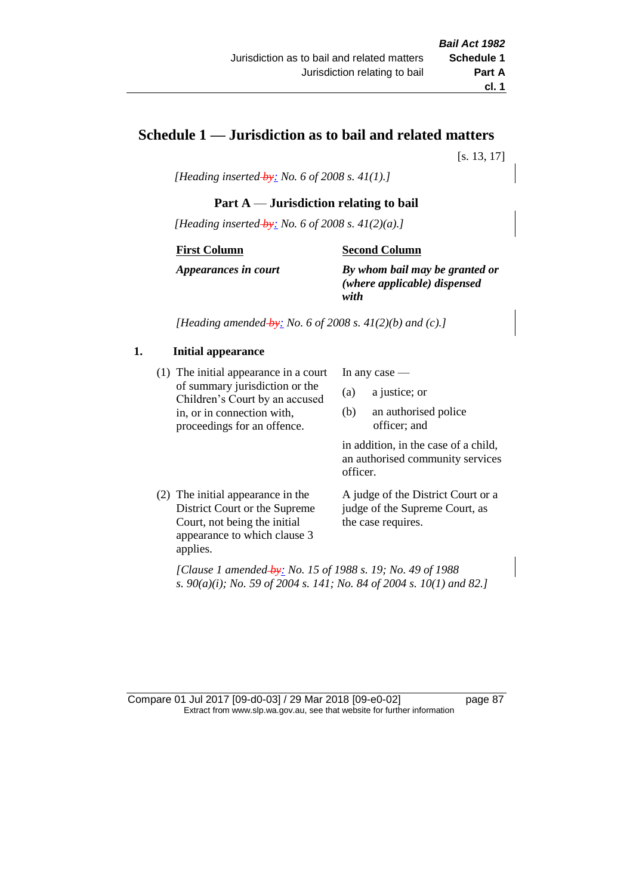# **Schedule 1 — Jurisdiction as to bail and related matters**

[s. 13, 17]

*[Heading inserted by: No. 6 of 2008 s. 41(1).]*

# **Part A** — **Jurisdiction relating to bail**

*[Heading inserted by: No. 6 of 2008 s. 41(2)(a).]*

#### **First Column**

#### **Second Column**

*Appearances in court*

*By whom bail may be granted or (where applicable) dispensed with*

*[Heading amended by: No. 6 of 2008 s. 41(2)(b) and (c).]*

#### **1. Initial appearance**

(1) The initial appearance in a court of summary jurisdiction or the Children's Court by an accused in, or in connection with, proceedings for an offence.

In any case —

- (a) a justice; or
- (b) an authorised police officer; and

in addition, in the case of a child, an authorised community services officer.

(2) The initial appearance in the District Court or the Supreme Court, not being the initial appearance to which clause 3 applies.

A judge of the District Court or a judge of the Supreme Court, as the case requires.

*[Clause 1 amended by: No. 15 of 1988 s. 19; No. 49 of 1988 s. 90(a)(i); No. 59 of 2004 s. 141; No. 84 of 2004 s. 10(1) and 82.]*

Compare 01 Jul 2017 [09-d0-03] / 29 Mar 2018 [09-e0-02] page 87 Extract from www.slp.wa.gov.au, see that website for further information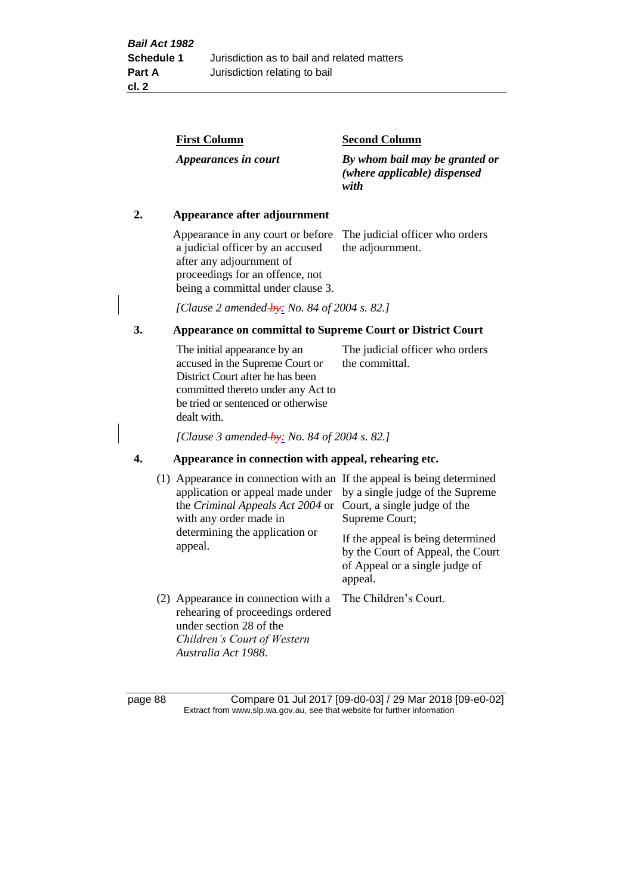| <b>First Column</b>          | <b>Second Column</b>                                                   |
|------------------------------|------------------------------------------------------------------------|
| Appearances in court         | By whom bail may be granted or<br>(where applicable) dispensed<br>with |
| Appearance after adjournment |                                                                        |

Appearance in any court or before The judicial officer who orders a judicial officer by an accused after any adjournment of proceedings for an offence, not being a committal under clause 3.

the adjournment.

*[Clause 2 amended by: No. 84 of 2004 s. 82.]*

# **3. Appearance on committal to Supreme Court or District Court**

The initial appearance by an accused in the Supreme Court or District Court after he has been committed thereto under any Act to be tried or sentenced or otherwise dealt with. The judicial officer who orders the committal.

*[Clause 3 amended by: No. 84 of 2004 s. 82.]*

### **4. Appearance in connection with appeal, rehearing etc.**

| (1) Appearance in connection with an If the appeal is being determined<br>application or appeal made under<br>the Criminal Appeals Act 2004 or<br>with any order made in<br>determining the application or<br>appeal. | by a single judge of the Supreme<br>Court, a single judge of the<br>Supreme Court;<br>If the appeal is being determined<br>by the Court of Appeal, the Court<br>of Appeal or a single judge of<br>appeal. |
|-----------------------------------------------------------------------------------------------------------------------------------------------------------------------------------------------------------------------|-----------------------------------------------------------------------------------------------------------------------------------------------------------------------------------------------------------|
| (2) Appearance in connection with a<br>rehearing of proceedings ordered<br>under section 28 of the<br>Children's Court of Western<br>Australia Act 1988.                                                              | The Children's Court.                                                                                                                                                                                     |

page 88 Compare 01 Jul 2017 [09-d0-03] / 29 Mar 2018 [09-e0-02] Extract from www.slp.wa.gov.au, see that website for further information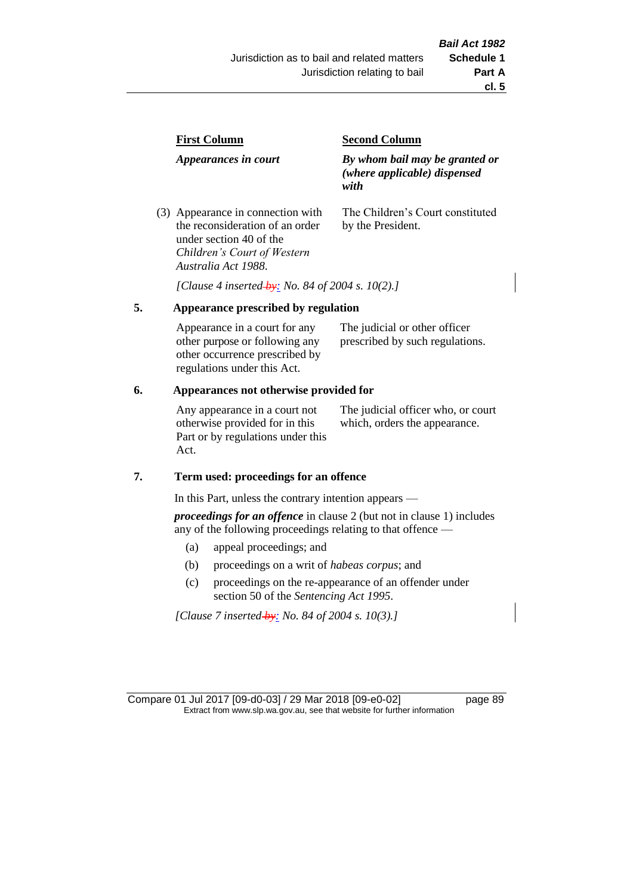| <b>First Column</b>                                                                             | <b>Second Column</b>                                                   |  |
|-------------------------------------------------------------------------------------------------|------------------------------------------------------------------------|--|
| Appearances in court                                                                            | By whom bail may be granted or<br>(where applicable) dispensed<br>with |  |
| (3) Appearance in connection with<br>the reconsideration of an order<br>under section 40 of the | The Children's Court constituted<br>by the President.                  |  |

*[Clause 4 inserted by: No. 84 of 2004 s. 10(2).]*

#### **5. Appearance prescribed by regulation**

*Children's Court of Western* 

*Australia Act 1988*.

| Appearance in a court for any  | The judicial or other officer   |
|--------------------------------|---------------------------------|
| other purpose or following any | prescribed by such regulations. |
| other occurrence prescribed by |                                 |
| regulations under this Act.    |                                 |

### **6. Appearances not otherwise provided for**

Any appearance in a court not otherwise provided for in this Part or by regulations under this Act.

The judicial officer who, or court which, orders the appearance.

#### **7. Term used: proceedings for an offence**

In this Part, unless the contrary intention appears —

*proceedings for an offence* in clause 2 (but not in clause 1) includes any of the following proceedings relating to that offence —

- (a) appeal proceedings; and
- (b) proceedings on a writ of *habeas corpus*; and
- (c) proceedings on the re-appearance of an offender under section 50 of the *Sentencing Act 1995*.

*[Clause 7 inserted by: No. 84 of 2004 s. 10(3).]*

Compare 01 Jul 2017 [09-d0-03] / 29 Mar 2018 [09-e0-02] page 89 Extract from www.slp.wa.gov.au, see that website for further information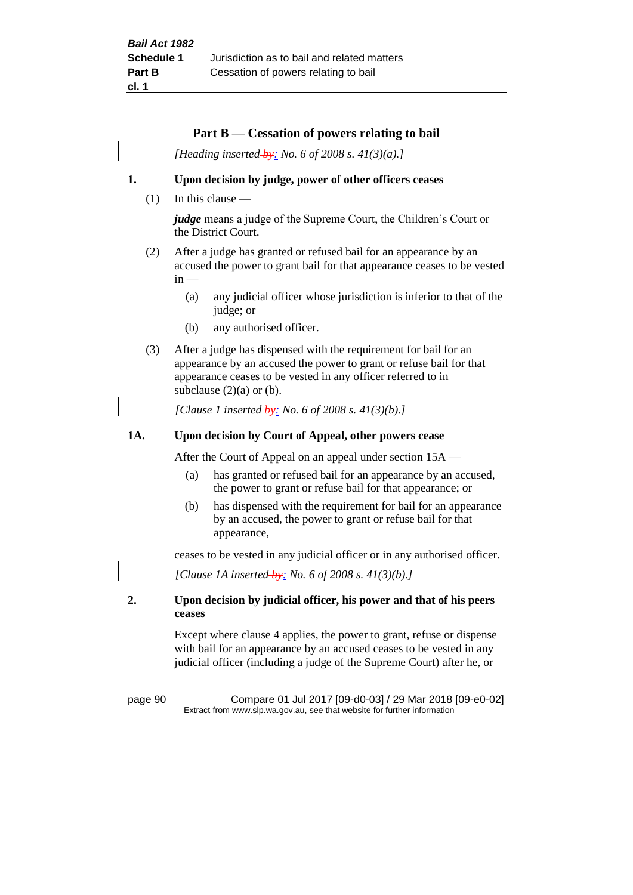### **Part B** — **Cessation of powers relating to bail**

*[Heading inserted by: No. 6 of 2008 s. 41(3)(a).]*

### **1. Upon decision by judge, power of other officers ceases**

(1) In this clause —

*judge* means a judge of the Supreme Court, the Children's Court or the District Court.

- (2) After a judge has granted or refused bail for an appearance by an accused the power to grant bail for that appearance ceases to be vested  $in -$ 
	- (a) any judicial officer whose jurisdiction is inferior to that of the judge; or
	- (b) any authorised officer.
- (3) After a judge has dispensed with the requirement for bail for an appearance by an accused the power to grant or refuse bail for that appearance ceases to be vested in any officer referred to in subclause  $(2)(a)$  or  $(b)$ .

*[Clause 1 inserted by: No. 6 of 2008 s. 41(3)(b).]*

### **1A. Upon decision by Court of Appeal, other powers cease**

After the Court of Appeal on an appeal under section 15A —

- (a) has granted or refused bail for an appearance by an accused, the power to grant or refuse bail for that appearance; or
- (b) has dispensed with the requirement for bail for an appearance by an accused, the power to grant or refuse bail for that appearance,

ceases to be vested in any judicial officer or in any authorised officer.

*[Clause 1A inserted by: No. 6 of 2008 s. 41(3)(b).]*

# **2. Upon decision by judicial officer, his power and that of his peers ceases**

Except where clause 4 applies, the power to grant, refuse or dispense with bail for an appearance by an accused ceases to be vested in any judicial officer (including a judge of the Supreme Court) after he, or

page 90 Compare 01 Jul 2017 [09-d0-03] / 29 Mar 2018 [09-e0-02] Extract from www.slp.wa.gov.au, see that website for further information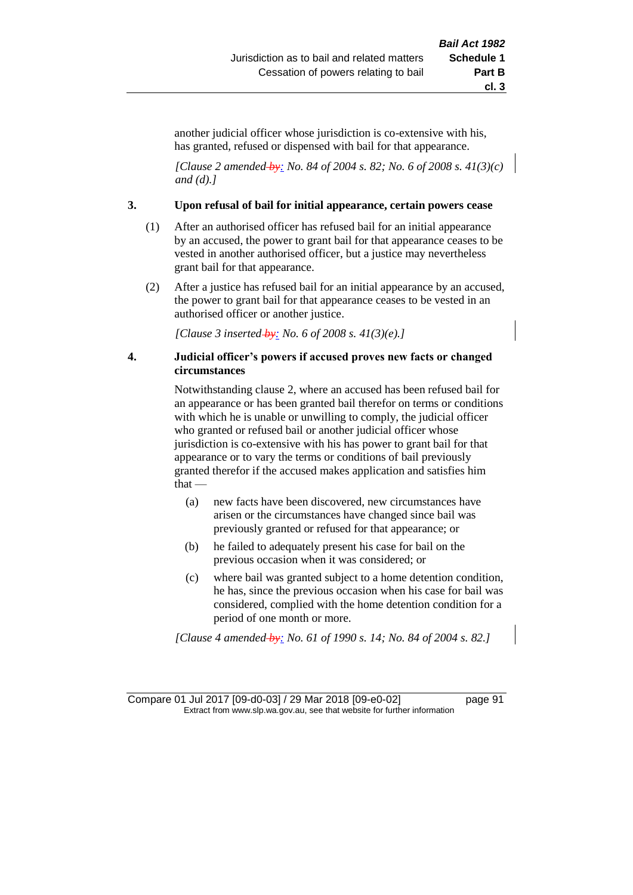another judicial officer whose jurisdiction is co-extensive with his, has granted, refused or dispensed with bail for that appearance.

*[Clause 2 amended by: No. 84 of 2004 s. 82; No. 6 of 2008 s. 41(3)(c) and (d).]*

#### **3. Upon refusal of bail for initial appearance, certain powers cease**

- (1) After an authorised officer has refused bail for an initial appearance by an accused, the power to grant bail for that appearance ceases to be vested in another authorised officer, but a justice may nevertheless grant bail for that appearance.
- (2) After a justice has refused bail for an initial appearance by an accused, the power to grant bail for that appearance ceases to be vested in an authorised officer or another justice.

*[Clause 3 inserted by: No. 6 of 2008 s. 41(3)(e).]*

### **4. Judicial officer's powers if accused proves new facts or changed circumstances**

Notwithstanding clause 2, where an accused has been refused bail for an appearance or has been granted bail therefor on terms or conditions with which he is unable or unwilling to comply, the judicial officer who granted or refused bail or another judicial officer whose jurisdiction is co-extensive with his has power to grant bail for that appearance or to vary the terms or conditions of bail previously granted therefor if the accused makes application and satisfies him that —

- (a) new facts have been discovered, new circumstances have arisen or the circumstances have changed since bail was previously granted or refused for that appearance; or
- (b) he failed to adequately present his case for bail on the previous occasion when it was considered; or
- (c) where bail was granted subject to a home detention condition, he has, since the previous occasion when his case for bail was considered, complied with the home detention condition for a period of one month or more.

*[Clause 4 amended by: No. 61 of 1990 s. 14; No. 84 of 2004 s. 82.]*

Compare 01 Jul 2017 [09-d0-03] / 29 Mar 2018 [09-e0-02] page 91 Extract from www.slp.wa.gov.au, see that website for further information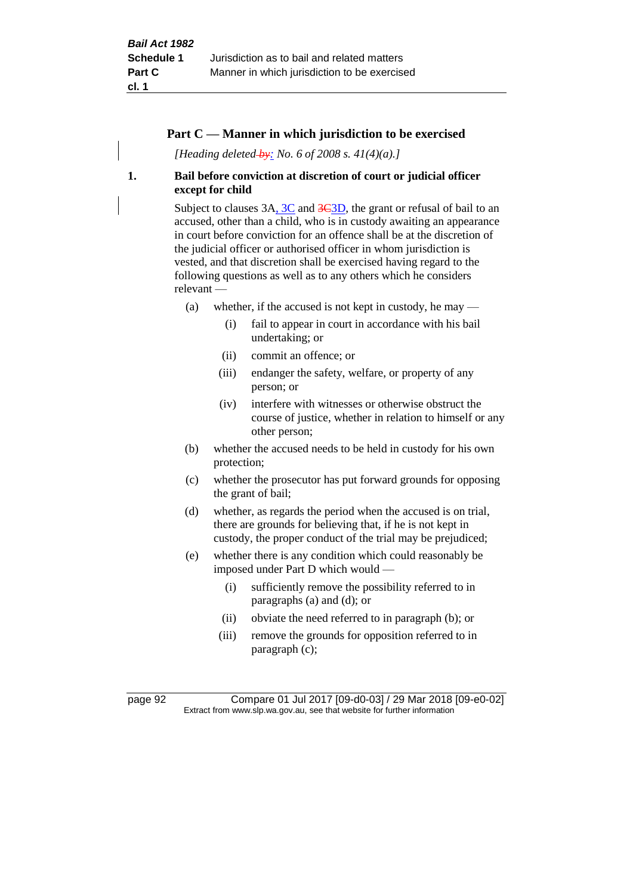# **Part C — Manner in which jurisdiction to be exercised**

*[Heading deleted by: No. 6 of 2008 s. 41(4)(a).]*

# **1. Bail before conviction at discretion of court or judicial officer except for child**

Subject to clauses 3A, 3C and 3C3D, the grant or refusal of bail to an accused, other than a child, who is in custody awaiting an appearance in court before conviction for an offence shall be at the discretion of the judicial officer or authorised officer in whom jurisdiction is vested, and that discretion shall be exercised having regard to the following questions as well as to any others which he considers relevant —

- (a) whether, if the accused is not kept in custody, he may  $-$ 
	- (i) fail to appear in court in accordance with his bail undertaking; or
	- (ii) commit an offence; or
	- (iii) endanger the safety, welfare, or property of any person; or
	- (iv) interfere with witnesses or otherwise obstruct the course of justice, whether in relation to himself or any other person;
- (b) whether the accused needs to be held in custody for his own protection;
- (c) whether the prosecutor has put forward grounds for opposing the grant of bail;
- (d) whether, as regards the period when the accused is on trial, there are grounds for believing that, if he is not kept in custody, the proper conduct of the trial may be prejudiced;
- (e) whether there is any condition which could reasonably be imposed under Part D which would —
	- (i) sufficiently remove the possibility referred to in paragraphs (a) and (d); or
	- (ii) obviate the need referred to in paragraph (b); or
	- (iii) remove the grounds for opposition referred to in paragraph (c);

page 92 Compare 01 Jul 2017 [09-d0-03] / 29 Mar 2018 [09-e0-02] Extract from www.slp.wa.gov.au, see that website for further information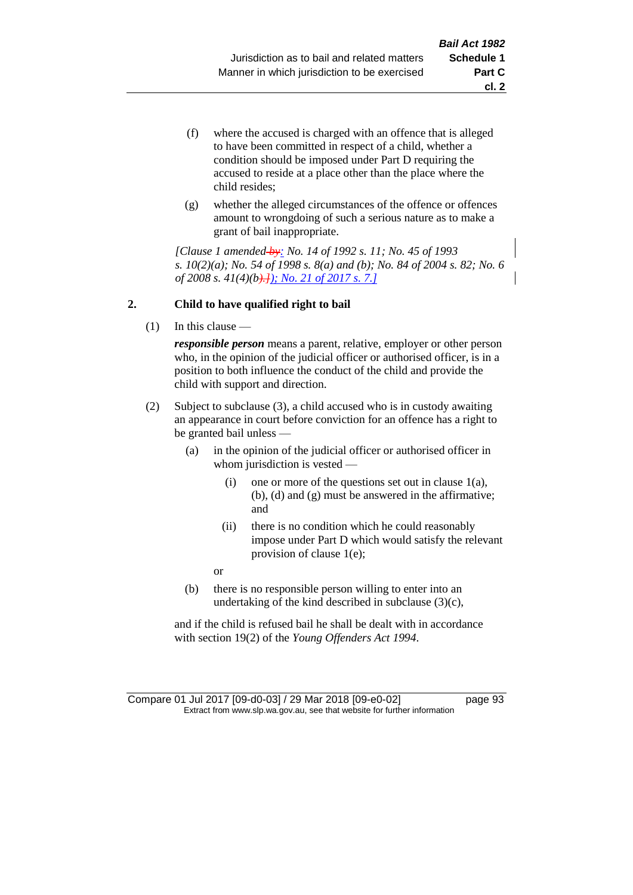- (f) where the accused is charged with an offence that is alleged to have been committed in respect of a child, whether a condition should be imposed under Part D requiring the accused to reside at a place other than the place where the child resides;
- (g) whether the alleged circumstances of the offence or offences amount to wrongdoing of such a serious nature as to make a grant of bail inappropriate.

*[Clause 1 amended by: No. 14 of 1992 s. 11; No. 45 of 1993 s. 10(2)(a); No. 54 of 1998 s. 8(a) and (b); No. 84 of 2004 s. 82; No. 6 of 2008 s. 41(4)(b).]); No. 21 of 2017 s. 7.]*

# **2. Child to have qualified right to bail**

(1) In this clause —

*responsible person* means a parent, relative, employer or other person who, in the opinion of the judicial officer or authorised officer, is in a position to both influence the conduct of the child and provide the child with support and direction.

- (2) Subject to subclause (3), a child accused who is in custody awaiting an appearance in court before conviction for an offence has a right to be granted bail unless —
	- (a) in the opinion of the judicial officer or authorised officer in whom jurisdiction is vested —
		- (i) one or more of the questions set out in clause  $1(a)$ , (b), (d) and (g) must be answered in the affirmative; and
		- (ii) there is no condition which he could reasonably impose under Part D which would satisfy the relevant provision of clause 1(e);

or

(b) there is no responsible person willing to enter into an undertaking of the kind described in subclause (3)(c),

and if the child is refused bail he shall be dealt with in accordance with section 19(2) of the *Young Offenders Act 1994*.

Compare 01 Jul 2017 [09-d0-03] / 29 Mar 2018 [09-e0-02] page 93 Extract from www.slp.wa.gov.au, see that website for further information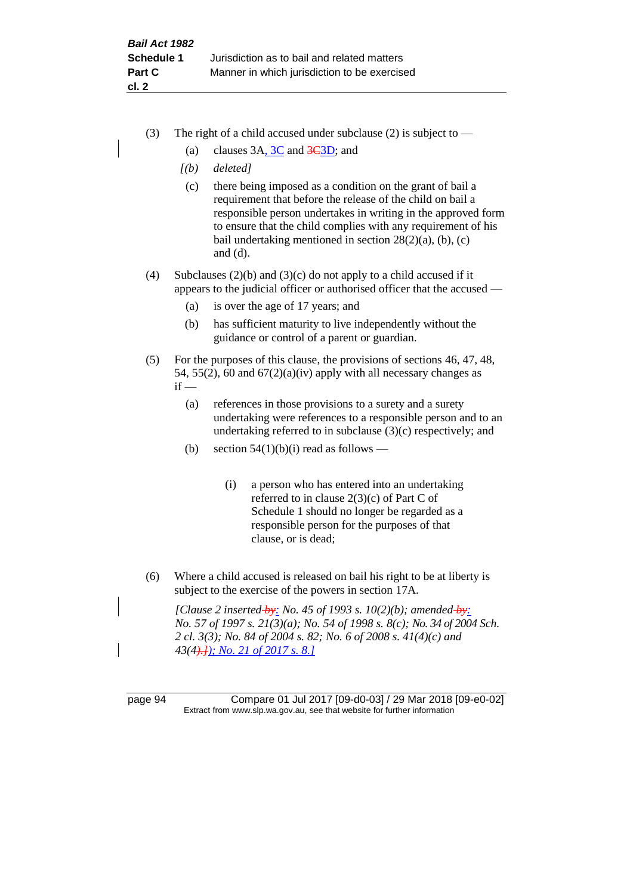- (3) The right of a child accused under subclause (2) is subject to  $-$ 
	- (a) clauses  $3A$ ,  $3C$  and  $3C$ <sub>3D</sub>; and
	- *[(b) deleted]*
	- (c) there being imposed as a condition on the grant of bail a requirement that before the release of the child on bail a responsible person undertakes in writing in the approved form to ensure that the child complies with any requirement of his bail undertaking mentioned in section  $28(2)(a)$ , (b), (c) and (d).
- (4) Subclauses (2)(b) and (3)(c) do not apply to a child accused if it appears to the judicial officer or authorised officer that the accused —
	- (a) is over the age of 17 years; and
	- (b) has sufficient maturity to live independently without the guidance or control of a parent or guardian.
- (5) For the purposes of this clause, the provisions of sections 46, 47, 48, 54, 55(2), 60 and  $67(2)(a)(iv)$  apply with all necessary changes as  $if -$ 
	- (a) references in those provisions to a surety and a surety undertaking were references to a responsible person and to an undertaking referred to in subclause (3)(c) respectively; and
	- (b) section  $54(1)(b)(i)$  read as follows
		- (i) a person who has entered into an undertaking referred to in clause 2(3)(c) of Part C of Schedule 1 should no longer be regarded as a responsible person for the purposes of that clause, or is dead;
- (6) Where a child accused is released on bail his right to be at liberty is subject to the exercise of the powers in section 17A.

*[Clause 2 inserted by: No. 45 of 1993 s. 10(2)(b); amended by: No. 57 of 1997 s. 21(3)(a); No. 54 of 1998 s. 8(c); No. 34 of 2004 Sch. 2 cl. 3(3); No. 84 of 2004 s. 82; No. 6 of 2008 s. 41(4)(c) and 43(4).]); No. 21 of 2017 s. 8.]*

page 94 Compare 01 Jul 2017 [09-d0-03] / 29 Mar 2018 [09-e0-02] Extract from www.slp.wa.gov.au, see that website for further information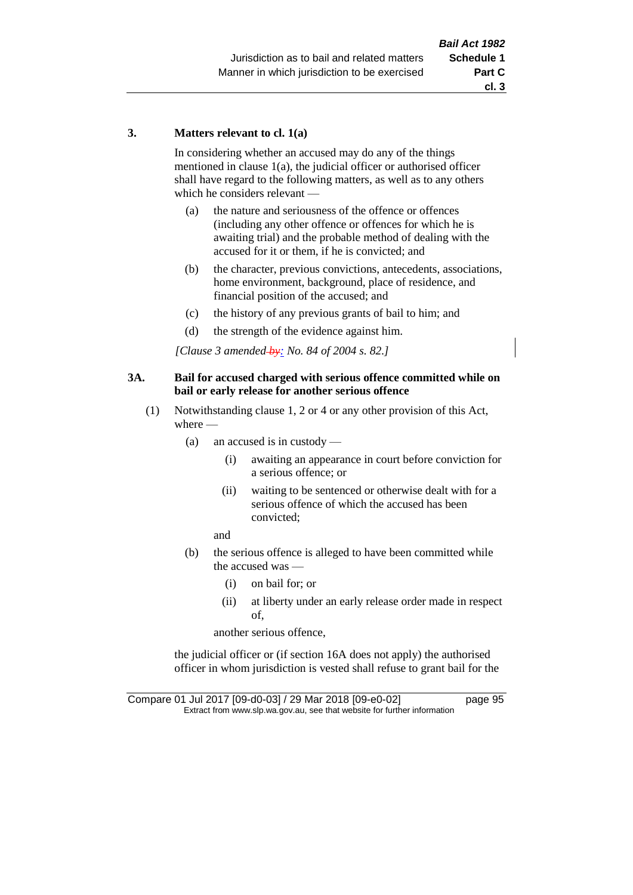### **3. Matters relevant to cl. 1(a)**

In considering whether an accused may do any of the things mentioned in clause 1(a), the judicial officer or authorised officer shall have regard to the following matters, as well as to any others which he considers relevant —

- (a) the nature and seriousness of the offence or offences (including any other offence or offences for which he is awaiting trial) and the probable method of dealing with the accused for it or them, if he is convicted; and
- (b) the character, previous convictions, antecedents, associations, home environment, background, place of residence, and financial position of the accused; and
- (c) the history of any previous grants of bail to him; and
- (d) the strength of the evidence against him.

*[Clause 3 amended by: No. 84 of 2004 s. 82.]*

### **3A. Bail for accused charged with serious offence committed while on bail or early release for another serious offence**

- (1) Notwithstanding clause 1, 2 or 4 or any other provision of this Act, where —
	- (a) an accused is in custody
		- (i) awaiting an appearance in court before conviction for a serious offence; or
		- (ii) waiting to be sentenced or otherwise dealt with for a serious offence of which the accused has been convicted;

and

- (b) the serious offence is alleged to have been committed while the accused was —
	- (i) on bail for; or
	- (ii) at liberty under an early release order made in respect of,

another serious offence,

the judicial officer or (if section 16A does not apply) the authorised officer in whom jurisdiction is vested shall refuse to grant bail for the

Compare 01 Jul 2017 [09-d0-03] / 29 Mar 2018 [09-e0-02] page 95 Extract from www.slp.wa.gov.au, see that website for further information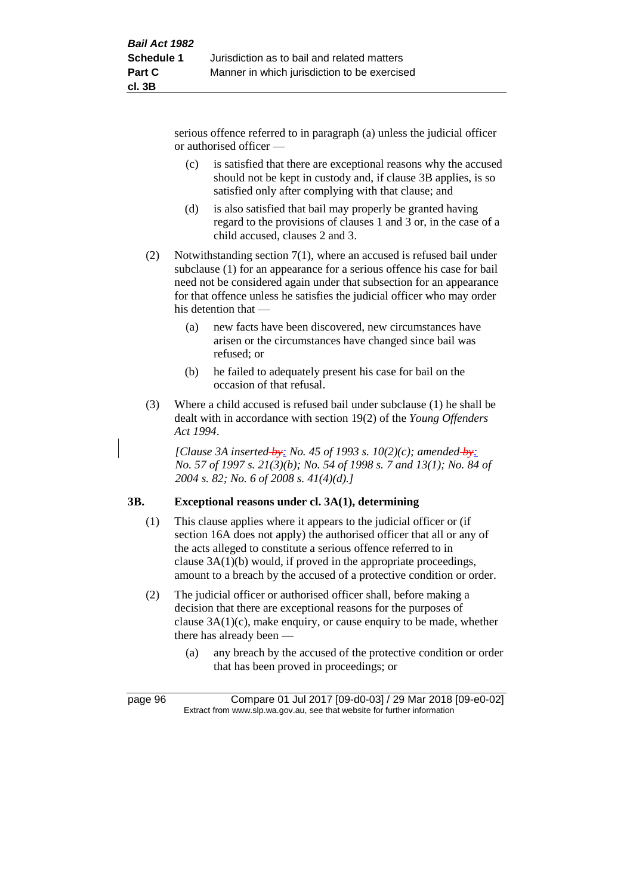serious offence referred to in paragraph (a) unless the judicial officer or authorised officer —

- (c) is satisfied that there are exceptional reasons why the accused should not be kept in custody and, if clause 3B applies, is so satisfied only after complying with that clause; and
- (d) is also satisfied that bail may properly be granted having regard to the provisions of clauses 1 and 3 or, in the case of a child accused, clauses 2 and 3.
- (2) Notwithstanding section 7(1), where an accused is refused bail under subclause (1) for an appearance for a serious offence his case for bail need not be considered again under that subsection for an appearance for that offence unless he satisfies the judicial officer who may order his detention that —
	- (a) new facts have been discovered, new circumstances have arisen or the circumstances have changed since bail was refused; or
	- (b) he failed to adequately present his case for bail on the occasion of that refusal.
- (3) Where a child accused is refused bail under subclause (1) he shall be dealt with in accordance with section 19(2) of the *Young Offenders Act 1994*.

*[Clause 3A inserted by: No. 45 of 1993 s. 10(2)(c); amended by: No. 57 of 1997 s. 21(3)(b); No. 54 of 1998 s. 7 and 13(1); No. 84 of 2004 s. 82; No. 6 of 2008 s. 41(4)(d).]*

# **3B. Exceptional reasons under cl. 3A(1), determining**

- (1) This clause applies where it appears to the judicial officer or (if section 16A does not apply) the authorised officer that all or any of the acts alleged to constitute a serious offence referred to in clause 3A(1)(b) would, if proved in the appropriate proceedings, amount to a breach by the accused of a protective condition or order.
- (2) The judicial officer or authorised officer shall, before making a decision that there are exceptional reasons for the purposes of clause 3A(1)(c), make enquiry, or cause enquiry to be made, whether there has already been —
	- (a) any breach by the accused of the protective condition or order that has been proved in proceedings; or

page 96 Compare 01 Jul 2017 [09-d0-03] / 29 Mar 2018 [09-e0-02] Extract from www.slp.wa.gov.au, see that website for further information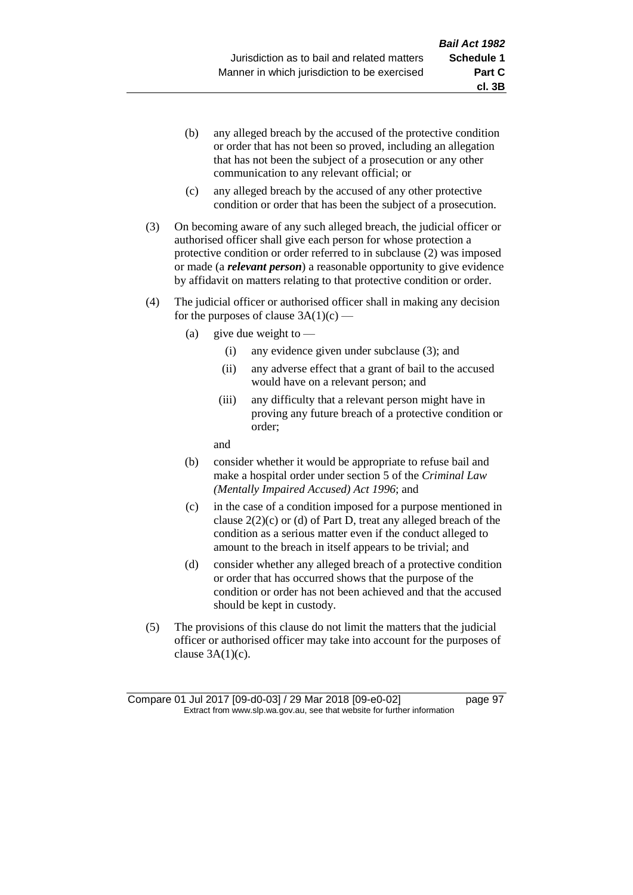- (b) any alleged breach by the accused of the protective condition or order that has not been so proved, including an allegation that has not been the subject of a prosecution or any other communication to any relevant official; or
- (c) any alleged breach by the accused of any other protective condition or order that has been the subject of a prosecution.
- (3) On becoming aware of any such alleged breach, the judicial officer or authorised officer shall give each person for whose protection a protective condition or order referred to in subclause (2) was imposed or made (a *relevant person*) a reasonable opportunity to give evidence by affidavit on matters relating to that protective condition or order.
- (4) The judicial officer or authorised officer shall in making any decision for the purposes of clause  $3A(1)(c)$  —
	- (a) give due weight to  $-$ 
		- (i) any evidence given under subclause (3); and
		- (ii) any adverse effect that a grant of bail to the accused would have on a relevant person; and
		- (iii) any difficulty that a relevant person might have in proving any future breach of a protective condition or order;

and

- (b) consider whether it would be appropriate to refuse bail and make a hospital order under section 5 of the *Criminal Law (Mentally Impaired Accused) Act 1996*; and
- (c) in the case of a condition imposed for a purpose mentioned in clause  $2(2)(c)$  or (d) of Part D, treat any alleged breach of the condition as a serious matter even if the conduct alleged to amount to the breach in itself appears to be trivial; and
- (d) consider whether any alleged breach of a protective condition or order that has occurred shows that the purpose of the condition or order has not been achieved and that the accused should be kept in custody.
- (5) The provisions of this clause do not limit the matters that the judicial officer or authorised officer may take into account for the purposes of clause  $3A(1)(c)$ .

**cl. 3B**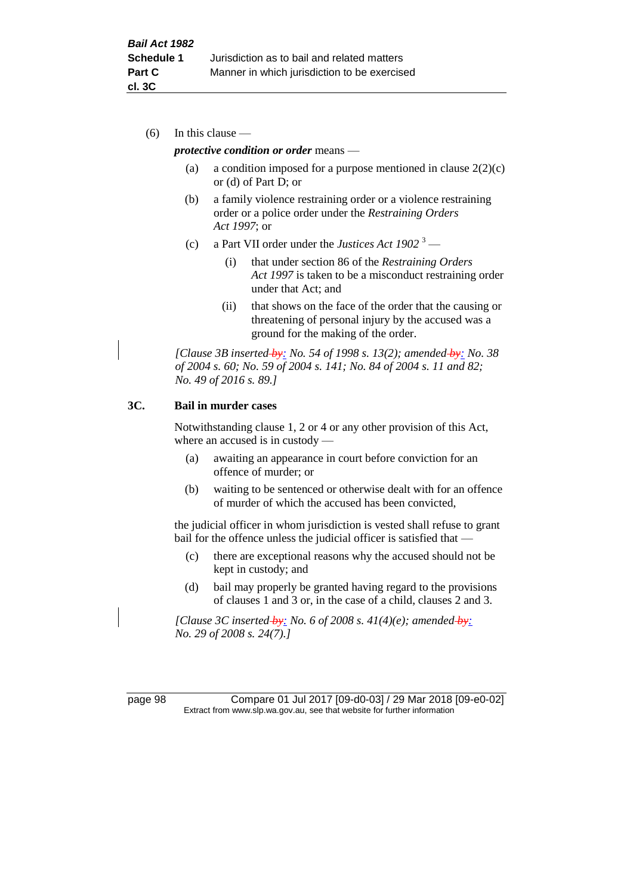(6) In this clause —

#### *protective condition or order* means —

- (a) a condition imposed for a purpose mentioned in clause  $2(2)(c)$ or (d) of Part D; or
- (b) a family violence restraining order or a violence restraining order or a police order under the *Restraining Orders Act 1997*; or
- (c) a Part VII order under the *Justices Act 1902* <sup>3</sup>
	- (i) that under section 86 of the *Restraining Orders Act 1997* is taken to be a misconduct restraining order under that Act; and
	- (ii) that shows on the face of the order that the causing or threatening of personal injury by the accused was a ground for the making of the order.

*[Clause 3B inserted by: No. 54 of 1998 s. 13(2); amended by: No. 38 of 2004 s. 60; No. 59 of 2004 s. 141; No. 84 of 2004 s. 11 and 82; No. 49 of 2016 s. 89.]*

### **3C. Bail in murder cases**

Notwithstanding clause 1, 2 or 4 or any other provision of this Act, where an accused is in custody —

- (a) awaiting an appearance in court before conviction for an offence of murder; or
- (b) waiting to be sentenced or otherwise dealt with for an offence of murder of which the accused has been convicted,

the judicial officer in whom jurisdiction is vested shall refuse to grant bail for the offence unless the judicial officer is satisfied that —

- (c) there are exceptional reasons why the accused should not be kept in custody; and
- (d) bail may properly be granted having regard to the provisions of clauses 1 and 3 or, in the case of a child, clauses 2 and 3.

*[Clause 3C inserted by: No. 6 of 2008 s. 41(4)(e); amended by: No. 29 of 2008 s. 24(7).]*

page 98 Compare 01 Jul 2017 [09-d0-03] / 29 Mar 2018 [09-e0-02] Extract from www.slp.wa.gov.au, see that website for further information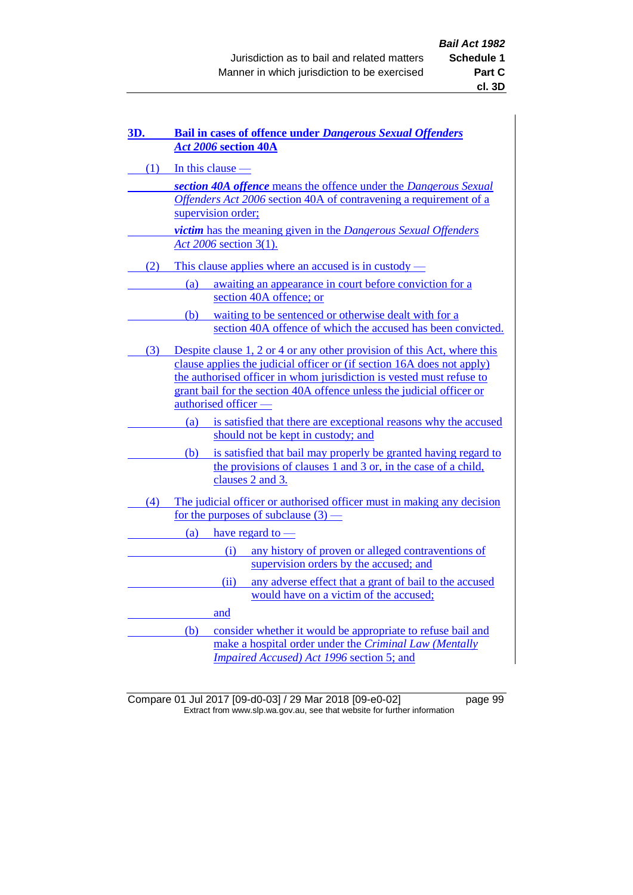| 3D.                                                                    | <b>Bail in cases of offence under Dangerous Sexual Offenders</b><br>Act 2006 section 40A                     |  |  |  |
|------------------------------------------------------------------------|--------------------------------------------------------------------------------------------------------------|--|--|--|
|                                                                        | $(1)$ In this clause -<br>section 40A offence means the offence under the Dangerous Sexual                   |  |  |  |
|                                                                        |                                                                                                              |  |  |  |
|                                                                        | Offenders Act 2006 section 40A of contravening a requirement of a                                            |  |  |  |
|                                                                        | supervision order;<br>victim has the meaning given in the Dangerous Sexual Offenders                         |  |  |  |
|                                                                        |                                                                                                              |  |  |  |
|                                                                        | Act 2006 section 3(1).                                                                                       |  |  |  |
| (2)                                                                    | This clause applies where an accused is in custody —                                                         |  |  |  |
|                                                                        | awaiting an appearance in court before conviction for a<br>(a)<br>section 40A offence; or                    |  |  |  |
|                                                                        | (b) waiting to be sentenced or otherwise dealt with for a                                                    |  |  |  |
|                                                                        | section 40A offence of which the accused has been convicted.                                                 |  |  |  |
|                                                                        | (3) Despite clause 1, 2 or 4 or any other provision of this Act, where this                                  |  |  |  |
| clause applies the judicial officer or (if section 16A does not apply) |                                                                                                              |  |  |  |
|                                                                        | the authorised officer in whom jurisdiction is vested must refuse to                                         |  |  |  |
|                                                                        | grant bail for the section 40A offence unless the judicial officer or                                        |  |  |  |
|                                                                        | authorised officer -                                                                                         |  |  |  |
|                                                                        | is satisfied that there are exceptional reasons why the accused<br>(a)<br>should not be kept in custody; and |  |  |  |
|                                                                        | is satisfied that bail may properly be granted having regard to<br>(b)                                       |  |  |  |
|                                                                        | the provisions of clauses 1 and 3 or, in the case of a child,<br>clauses 2 and 3.                            |  |  |  |
| (4)                                                                    | The judicial officer or authorised officer must in making any decision                                       |  |  |  |
|                                                                        | for the purposes of subclause $(3)$ —                                                                        |  |  |  |
|                                                                        | have regard to $-$<br>(a)                                                                                    |  |  |  |
|                                                                        | any history of proven or alleged contraventions of<br>(i)                                                    |  |  |  |
|                                                                        | supervision orders by the accused; and                                                                       |  |  |  |
|                                                                        | (ii)<br>any adverse effect that a grant of bail to the accused<br>would have on a victim of the accused;     |  |  |  |
|                                                                        | and                                                                                                          |  |  |  |
|                                                                        | consider whether it would be appropriate to refuse bail and<br>(b)                                           |  |  |  |
|                                                                        | make a hospital order under the Criminal Law (Mentally                                                       |  |  |  |
|                                                                        | Impaired Accused) Act 1996 section 5; and                                                                    |  |  |  |

Compare 01 Jul 2017 [09-d0-03] / 29 Mar 2018 [09-e0-02] page 99 Extract from www.slp.wa.gov.au, see that website for further information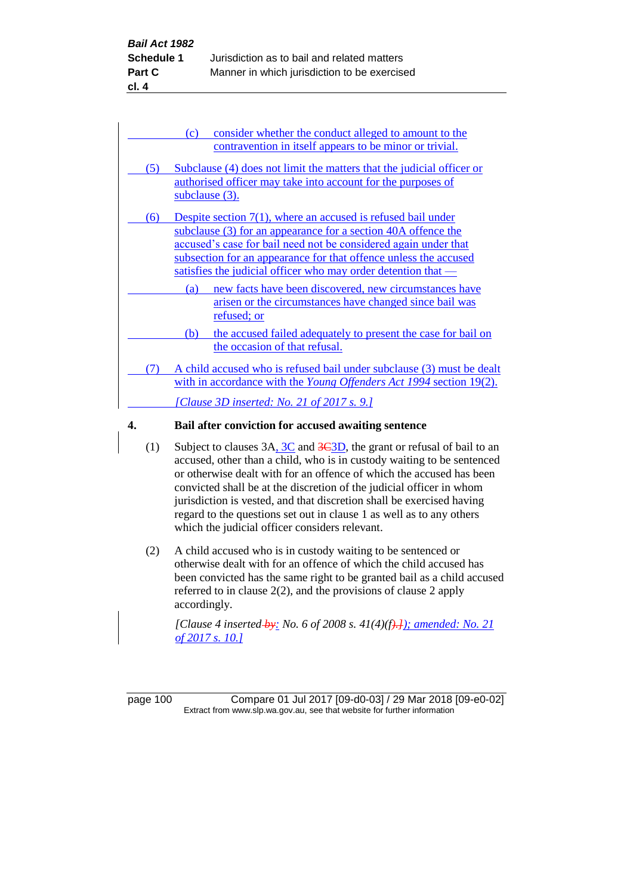|     | contravention in itself appears to be minor or trivial.                                                                                                                                                                                                                                                                                  |
|-----|------------------------------------------------------------------------------------------------------------------------------------------------------------------------------------------------------------------------------------------------------------------------------------------------------------------------------------------|
| (5) | Subclause (4) does not limit the matters that the judicial officer or<br>authorised officer may take into account for the purposes of<br>subclause $(3)$ .                                                                                                                                                                               |
| (6) | Despite section $7(1)$ , where an accused is refused bail under<br>subclause (3) for an appearance for a section 40A offence the<br>accused's case for bail need not be considered again under that<br>subsection for an appearance for that offence unless the accused<br>satisfies the judicial officer who may order detention that — |
|     | new facts have been discovered, new circumstances have<br>(a)<br>arisen or the circumstances have changed since bail was<br>refused; or<br>the accused failed adequately to present the case for bail on<br>(b)                                                                                                                          |
| (7) | the occasion of that refusal.<br>A child accused who is refused bail under subclause (3) must be dealt<br>with in accordance with the <i>Young Offenders Act 1994</i> section 19(2).<br><u>[Clause 3D inserted: No. 21 of 2017 s. 9.]</u>                                                                                                |

- (1) Subject to clauses  $3A_2 \cdot 3C$  and  $3C_3D$ , the grant or refusal of bail to an accused, other than a child, who is in custody waiting to be sentenced or otherwise dealt with for an offence of which the accused has been convicted shall be at the discretion of the judicial officer in whom jurisdiction is vested, and that discretion shall be exercised having regard to the questions set out in clause 1 as well as to any others which the judicial officer considers relevant.
- (2) A child accused who is in custody waiting to be sentenced or otherwise dealt with for an offence of which the child accused has been convicted has the same right to be granted bail as a child accused referred to in clause 2(2), and the provisions of clause 2 apply accordingly.

*[Clause 4 inserted by: No. 6 of 2008 s. 41(4)(f).]); amended: No. 21 of 2017 s. 10.]*

page 100 Compare 01 Jul 2017 [09-d0-03] / 29 Mar 2018 [09-e0-02] Extract from www.slp.wa.gov.au, see that website for further information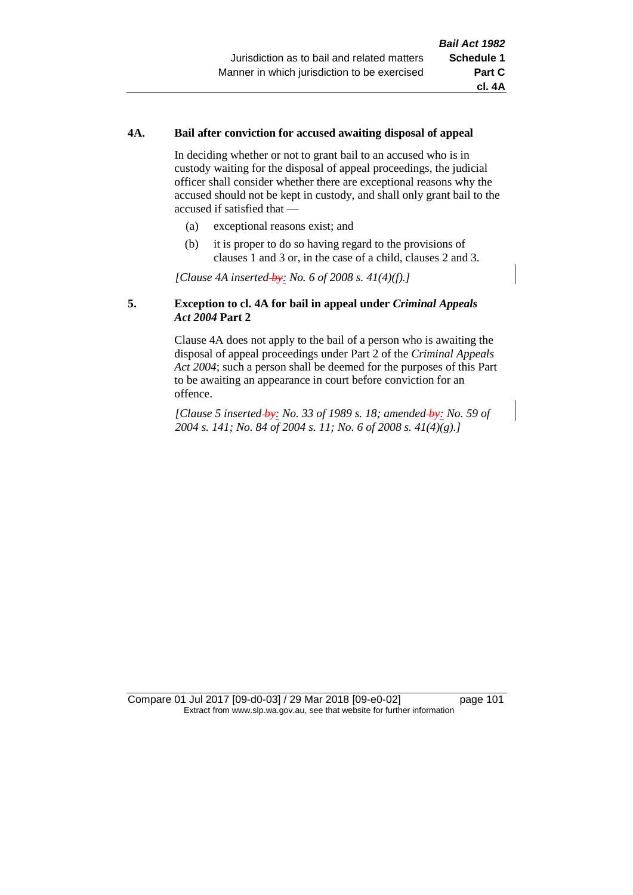### **4A. Bail after conviction for accused awaiting disposal of appeal**

In deciding whether or not to grant bail to an accused who is in custody waiting for the disposal of appeal proceedings, the judicial officer shall consider whether there are exceptional reasons why the accused should not be kept in custody, and shall only grant bail to the accused if satisfied that —

- (a) exceptional reasons exist; and
- (b) it is proper to do so having regard to the provisions of clauses 1 and 3 or, in the case of a child, clauses 2 and 3.

*[Clause 4A inserted by: No. 6 of 2008 s. 41(4)(f).]*

### **5. Exception to cl. 4A for bail in appeal under** *Criminal Appeals Act 2004* **Part 2**

Clause 4A does not apply to the bail of a person who is awaiting the disposal of appeal proceedings under Part 2 of the *Criminal Appeals Act 2004*; such a person shall be deemed for the purposes of this Part to be awaiting an appearance in court before conviction for an offence.

*[Clause 5 inserted by: No. 33 of 1989 s. 18; amended by: No. 59 of 2004 s. 141; No. 84 of 2004 s. 11; No. 6 of 2008 s. 41(4)(g).]*

Compare 01 Jul 2017 [09-d0-03] / 29 Mar 2018 [09-e0-02] page 101 Extract from www.slp.wa.gov.au, see that website for further information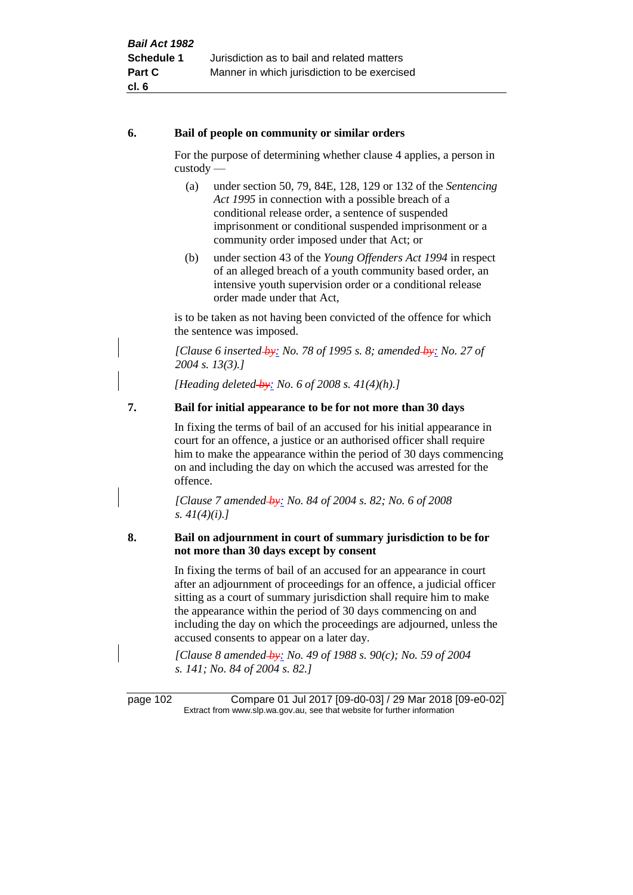### **6. Bail of people on community or similar orders**

For the purpose of determining whether clause 4 applies, a person in custody —

- (a) under section 50, 79, 84E, 128, 129 or 132 of the *Sentencing Act 1995* in connection with a possible breach of a conditional release order, a sentence of suspended imprisonment or conditional suspended imprisonment or a community order imposed under that Act; or
- (b) under section 43 of the *Young Offenders Act 1994* in respect of an alleged breach of a youth community based order, an intensive youth supervision order or a conditional release order made under that Act,

is to be taken as not having been convicted of the offence for which the sentence was imposed.

*[Clause 6 inserted by: No. 78 of 1995 s. 8; amended by: No. 27 of 2004 s. 13(3).]*

*[Heading deleted by: No. 6 of 2008 s. 41(4)(h).]*

# **7. Bail for initial appearance to be for not more than 30 days**

In fixing the terms of bail of an accused for his initial appearance in court for an offence, a justice or an authorised officer shall require him to make the appearance within the period of 30 days commencing on and including the day on which the accused was arrested for the offence.

*[Clause 7 amended by: No. 84 of 2004 s. 82; No. 6 of 2008 s. 41(4)(i).]*

# **8. Bail on adjournment in court of summary jurisdiction to be for not more than 30 days except by consent**

In fixing the terms of bail of an accused for an appearance in court after an adjournment of proceedings for an offence, a judicial officer sitting as a court of summary jurisdiction shall require him to make the appearance within the period of 30 days commencing on and including the day on which the proceedings are adjourned, unless the accused consents to appear on a later day.

*[Clause 8 amended by: No. 49 of 1988 s. 90(c); No. 59 of 2004 s. 141; No. 84 of 2004 s. 82.]*

page 102 Compare 01 Jul 2017 [09-d0-03] / 29 Mar 2018 [09-e0-02] Extract from www.slp.wa.gov.au, see that website for further information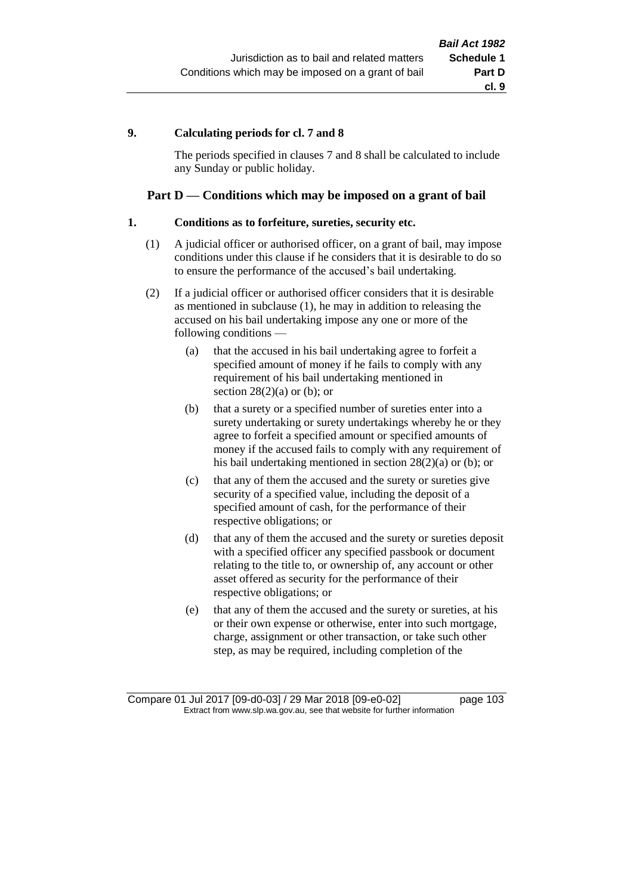### **9. Calculating periods for cl. 7 and 8**

The periods specified in clauses 7 and 8 shall be calculated to include any Sunday or public holiday.

# **Part D — Conditions which may be imposed on a grant of bail**

### **1. Conditions as to forfeiture, sureties, security etc.**

- (1) A judicial officer or authorised officer, on a grant of bail, may impose conditions under this clause if he considers that it is desirable to do so to ensure the performance of the accused's bail undertaking.
- (2) If a judicial officer or authorised officer considers that it is desirable as mentioned in subclause (1), he may in addition to releasing the accused on his bail undertaking impose any one or more of the following conditions —
	- (a) that the accused in his bail undertaking agree to forfeit a specified amount of money if he fails to comply with any requirement of his bail undertaking mentioned in section  $28(2)(a)$  or (b); or
	- (b) that a surety or a specified number of sureties enter into a surety undertaking or surety undertakings whereby he or they agree to forfeit a specified amount or specified amounts of money if the accused fails to comply with any requirement of his bail undertaking mentioned in section 28(2)(a) or (b); or
	- (c) that any of them the accused and the surety or sureties give security of a specified value, including the deposit of a specified amount of cash, for the performance of their respective obligations; or
	- (d) that any of them the accused and the surety or sureties deposit with a specified officer any specified passbook or document relating to the title to, or ownership of, any account or other asset offered as security for the performance of their respective obligations; or
	- (e) that any of them the accused and the surety or sureties, at his or their own expense or otherwise, enter into such mortgage, charge, assignment or other transaction, or take such other step, as may be required, including completion of the

Compare 01 Jul 2017 [09-d0-03] / 29 Mar 2018 [09-e0-02] page 103 Extract from www.slp.wa.gov.au, see that website for further information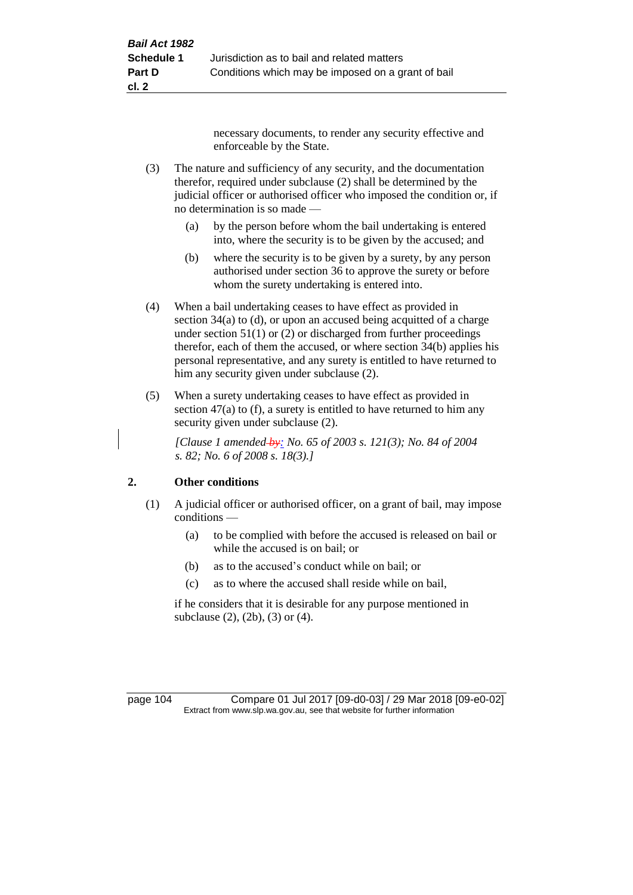necessary documents, to render any security effective and enforceable by the State.

- (3) The nature and sufficiency of any security, and the documentation therefor, required under subclause (2) shall be determined by the judicial officer or authorised officer who imposed the condition or, if no determination is so made —
	- (a) by the person before whom the bail undertaking is entered into, where the security is to be given by the accused; and
	- (b) where the security is to be given by a surety, by any person authorised under section 36 to approve the surety or before whom the surety undertaking is entered into.
- (4) When a bail undertaking ceases to have effect as provided in section 34(a) to (d), or upon an accused being acquitted of a charge under section  $51(1)$  or (2) or discharged from further proceedings therefor, each of them the accused, or where section 34(b) applies his personal representative, and any surety is entitled to have returned to him any security given under subclause (2).
- (5) When a surety undertaking ceases to have effect as provided in section 47(a) to (f), a surety is entitled to have returned to him any security given under subclause  $(2)$ .

*[Clause 1 amended by: No. 65 of 2003 s. 121(3); No. 84 of 2004 s. 82; No. 6 of 2008 s. 18(3).]*

# **2. Other conditions**

- (1) A judicial officer or authorised officer, on a grant of bail, may impose conditions —
	- (a) to be complied with before the accused is released on bail or while the accused is on bail; or
	- (b) as to the accused's conduct while on bail; or
	- (c) as to where the accused shall reside while on bail,

if he considers that it is desirable for any purpose mentioned in subclause (2), (2b), (3) or (4).

page 104 Compare 01 Jul 2017 [09-d0-03] / 29 Mar 2018 [09-e0-02] Extract from www.slp.wa.gov.au, see that website for further information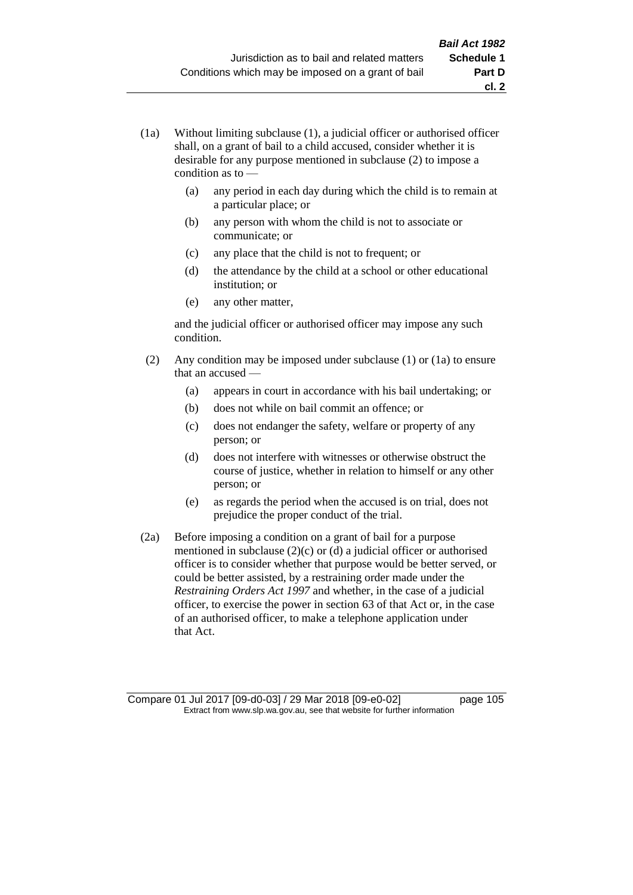- (1a) Without limiting subclause (1), a judicial officer or authorised officer shall, on a grant of bail to a child accused, consider whether it is desirable for any purpose mentioned in subclause (2) to impose a condition as to —
	- (a) any period in each day during which the child is to remain at a particular place; or

**cl. 2**

- (b) any person with whom the child is not to associate or communicate; or
- (c) any place that the child is not to frequent; or
- (d) the attendance by the child at a school or other educational institution; or
- (e) any other matter,

and the judicial officer or authorised officer may impose any such condition.

- (2) Any condition may be imposed under subclause (1) or (1a) to ensure that an accused —
	- (a) appears in court in accordance with his bail undertaking; or
	- (b) does not while on bail commit an offence; or
	- (c) does not endanger the safety, welfare or property of any person; or
	- (d) does not interfere with witnesses or otherwise obstruct the course of justice, whether in relation to himself or any other person; or
	- (e) as regards the period when the accused is on trial, does not prejudice the proper conduct of the trial.
- (2a) Before imposing a condition on a grant of bail for a purpose mentioned in subclause (2)(c) or (d) a judicial officer or authorised officer is to consider whether that purpose would be better served, or could be better assisted, by a restraining order made under the *Restraining Orders Act 1997* and whether, in the case of a judicial officer, to exercise the power in section 63 of that Act or, in the case of an authorised officer, to make a telephone application under that Act.

Compare 01 Jul 2017 [09-d0-03] / 29 Mar 2018 [09-e0-02] page 105 Extract from www.slp.wa.gov.au, see that website for further information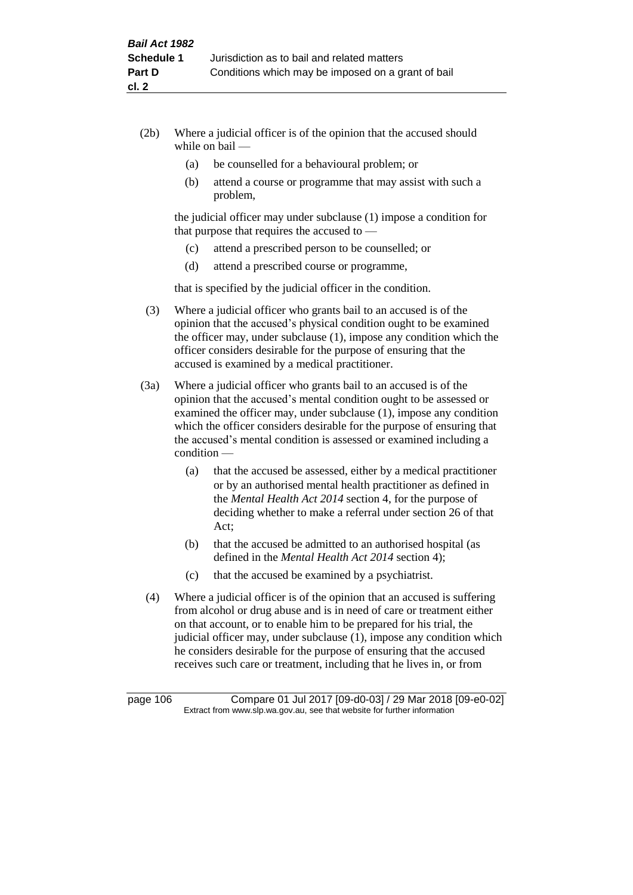- (2b) Where a judicial officer is of the opinion that the accused should while on bail —
	- (a) be counselled for a behavioural problem; or
	- (b) attend a course or programme that may assist with such a problem,

the judicial officer may under subclause (1) impose a condition for that purpose that requires the accused to —

- (c) attend a prescribed person to be counselled; or
- (d) attend a prescribed course or programme,

that is specified by the judicial officer in the condition.

- (3) Where a judicial officer who grants bail to an accused is of the opinion that the accused's physical condition ought to be examined the officer may, under subclause (1), impose any condition which the officer considers desirable for the purpose of ensuring that the accused is examined by a medical practitioner.
- (3a) Where a judicial officer who grants bail to an accused is of the opinion that the accused's mental condition ought to be assessed or examined the officer may, under subclause (1), impose any condition which the officer considers desirable for the purpose of ensuring that the accused's mental condition is assessed or examined including a condition —
	- (a) that the accused be assessed, either by a medical practitioner or by an authorised mental health practitioner as defined in the *Mental Health Act 2014* section 4, for the purpose of deciding whether to make a referral under section 26 of that Act;
	- (b) that the accused be admitted to an authorised hospital (as defined in the *Mental Health Act 2014* section 4);
	- (c) that the accused be examined by a psychiatrist.
- (4) Where a judicial officer is of the opinion that an accused is suffering from alcohol or drug abuse and is in need of care or treatment either on that account, or to enable him to be prepared for his trial, the judicial officer may, under subclause (1), impose any condition which he considers desirable for the purpose of ensuring that the accused receives such care or treatment, including that he lives in, or from

page 106 Compare 01 Jul 2017 [09-d0-03] / 29 Mar 2018 [09-e0-02] Extract from www.slp.wa.gov.au, see that website for further information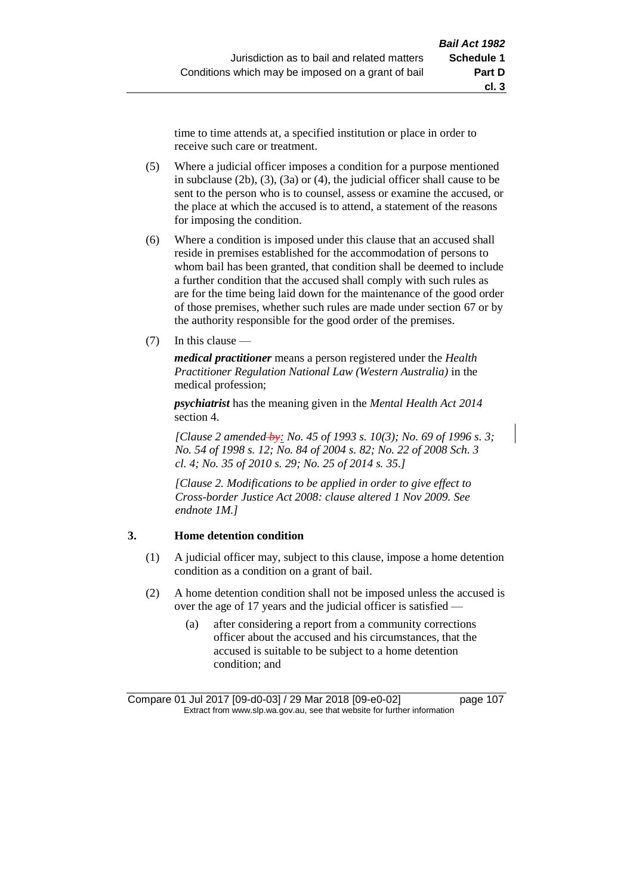time to time attends at, a specified institution or place in order to receive such care or treatment.

- (5) Where a judicial officer imposes a condition for a purpose mentioned in subclause (2b), (3), (3a) or (4), the judicial officer shall cause to be sent to the person who is to counsel, assess or examine the accused, or the place at which the accused is to attend, a statement of the reasons for imposing the condition.
- (6) Where a condition is imposed under this clause that an accused shall reside in premises established for the accommodation of persons to whom bail has been granted, that condition shall be deemed to include a further condition that the accused shall comply with such rules as are for the time being laid down for the maintenance of the good order of those premises, whether such rules are made under section 67 or by the authority responsible for the good order of the premises.
- (7) In this clause —

*medical practitioner* means a person registered under the *Health Practitioner Regulation National Law (Western Australia)* in the medical profession;

*psychiatrist* has the meaning given in the *Mental Health Act 2014* section 4.

*[Clause 2 amended by: No. 45 of 1993 s. 10(3); No. 69 of 1996 s. 3; No. 54 of 1998 s. 12; No. 84 of 2004 s. 82; No. 22 of 2008 Sch. 3 cl. 4; No. 35 of 2010 s. 29; No. 25 of 2014 s. 35.]*

*[Clause 2. Modifications to be applied in order to give effect to Cross-border Justice Act 2008: clause altered 1 Nov 2009. See endnote 1M.]*

### **3. Home detention condition**

- (1) A judicial officer may, subject to this clause, impose a home detention condition as a condition on a grant of bail.
- (2) A home detention condition shall not be imposed unless the accused is over the age of 17 years and the judicial officer is satisfied -
	- (a) after considering a report from a community corrections officer about the accused and his circumstances, that the accused is suitable to be subject to a home detention condition; and

Compare 01 Jul 2017 [09-d0-03] / 29 Mar 2018 [09-e0-02] page 107 Extract from www.slp.wa.gov.au, see that website for further information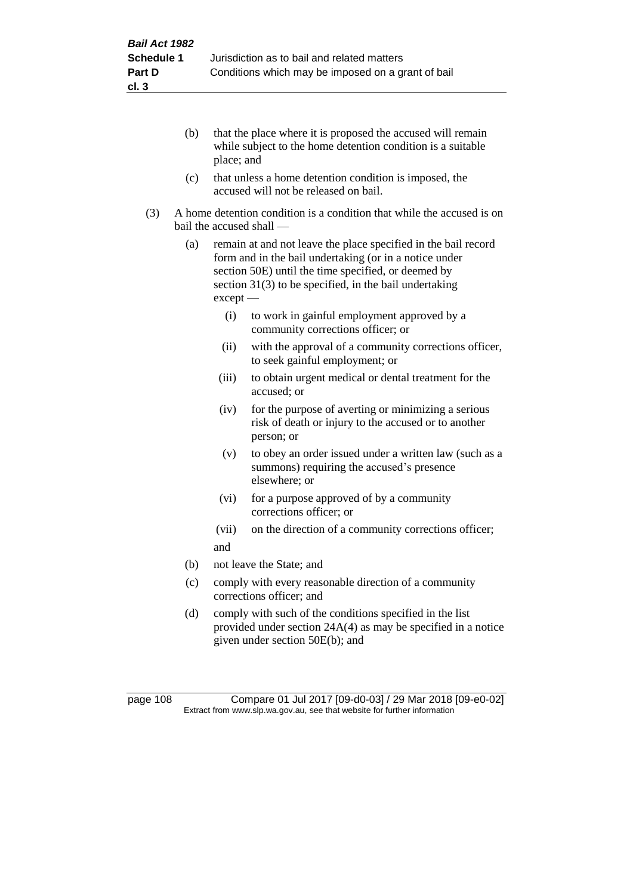- (b) that the place where it is proposed the accused will remain while subject to the home detention condition is a suitable place; and
- (c) that unless a home detention condition is imposed, the accused will not be released on bail.
- (3) A home detention condition is a condition that while the accused is on bail the accused shall —
	- (a) remain at and not leave the place specified in the bail record form and in the bail undertaking (or in a notice under section 50E) until the time specified, or deemed by section 31(3) to be specified, in the bail undertaking except —
		- (i) to work in gainful employment approved by a community corrections officer; or
		- (ii) with the approval of a community corrections officer, to seek gainful employment; or
		- (iii) to obtain urgent medical or dental treatment for the accused; or
		- (iv) for the purpose of averting or minimizing a serious risk of death or injury to the accused or to another person; or
		- (v) to obey an order issued under a written law (such as a summons) requiring the accused's presence elsewhere; or
		- (vi) for a purpose approved of by a community corrections officer; or
		- (vii) on the direction of a community corrections officer; and
	- (b) not leave the State; and
	- (c) comply with every reasonable direction of a community corrections officer; and
	- (d) comply with such of the conditions specified in the list provided under section 24A(4) as may be specified in a notice given under section 50E(b); and

page 108 Compare 01 Jul 2017 [09-d0-03] / 29 Mar 2018 [09-e0-02] Extract from www.slp.wa.gov.au, see that website for further information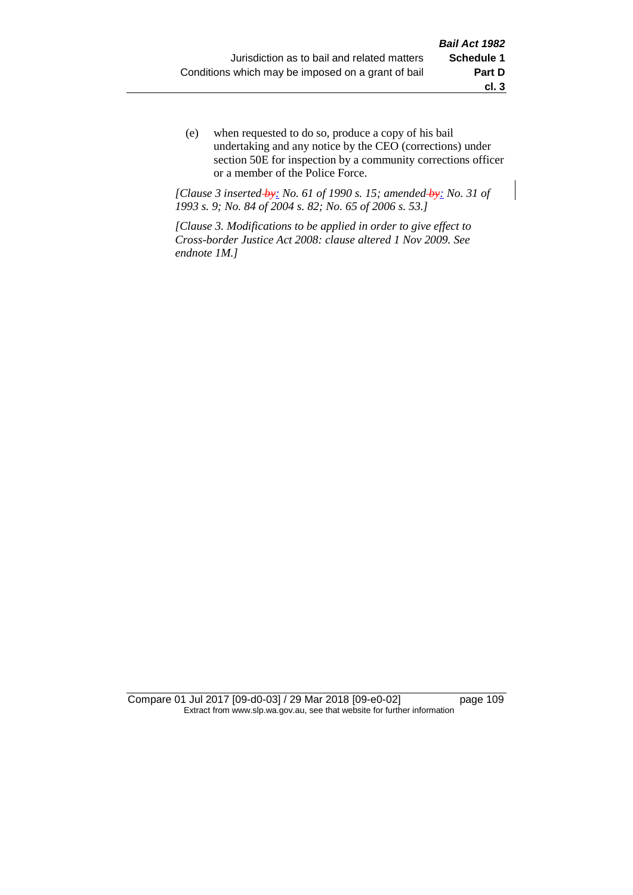(e) when requested to do so, produce a copy of his bail undertaking and any notice by the CEO (corrections) under section 50E for inspection by a community corrections officer or a member of the Police Force.

*[Clause 3 inserted by: No. 61 of 1990 s. 15; amended by: No. 31 of 1993 s. 9; No. 84 of 2004 s. 82; No. 65 of 2006 s. 53.]*

*[Clause 3. Modifications to be applied in order to give effect to Cross-border Justice Act 2008: clause altered 1 Nov 2009. See endnote 1M.]*

Compare 01 Jul 2017 [09-d0-03] / 29 Mar 2018 [09-e0-02] page 109 Extract from www.slp.wa.gov.au, see that website for further information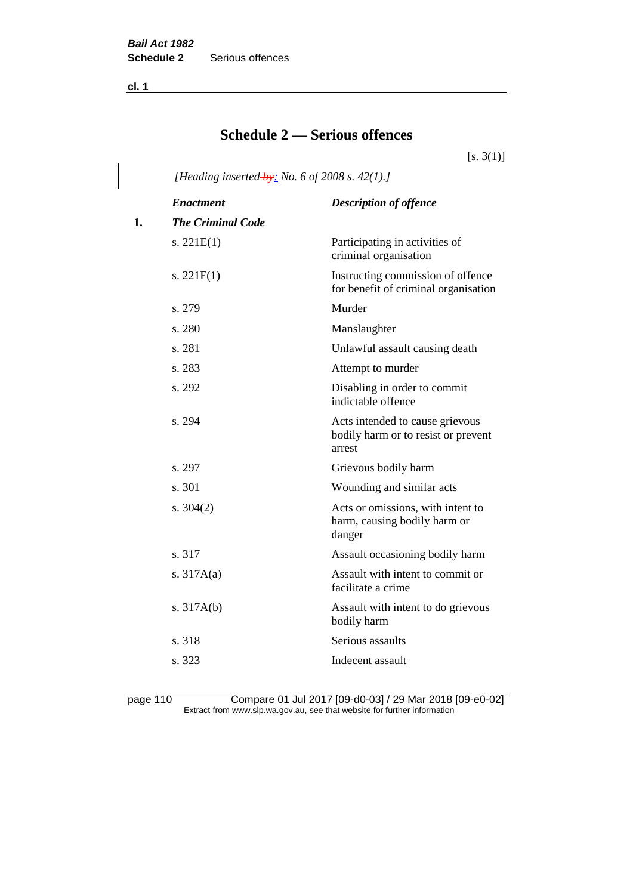**cl. 1**

# **Schedule 2 — Serious offences**

 $[s. 3(1)]$ 

*[Heading inserted by: No. 6 of 2008 s. 42(1).]*

|    | <b>Enactment</b>         | <b>Description of offence</b>                                                    |
|----|--------------------------|----------------------------------------------------------------------------------|
| 1. | <b>The Criminal Code</b> |                                                                                  |
|    | s. $221E(1)$             | Participating in activities of<br>criminal organisation                          |
|    | s. $221F(1)$             | Instructing commission of offence<br>for benefit of criminal organisation        |
|    | s. 279                   | Murder                                                                           |
|    | s. 280                   | Manslaughter                                                                     |
|    | s. 281                   | Unlawful assault causing death                                                   |
|    | s. 283                   | Attempt to murder                                                                |
|    | s. 292                   | Disabling in order to commit<br>indictable offence                               |
|    | s. 294                   | Acts intended to cause grievous<br>bodily harm or to resist or prevent<br>arrest |
|    | s. 297                   | Grievous bodily harm                                                             |
|    | s. 301                   | Wounding and similar acts                                                        |
|    | s. $304(2)$              | Acts or omissions, with intent to<br>harm, causing bodily harm or<br>danger      |
|    | s. 317                   | Assault occasioning bodily harm                                                  |
|    | s. $317A(a)$             | Assault with intent to commit or<br>facilitate a crime                           |
|    | s. $317A(b)$             | Assault with intent to do grievous<br>bodily harm                                |
|    | s. 318                   | Serious assaults                                                                 |
|    | s. 323                   | Indecent assault                                                                 |
|    |                          |                                                                                  |

page 110 Compare 01 Jul 2017 [09-d0-03] / 29 Mar 2018 [09-e0-02] Extract from www.slp.wa.gov.au, see that website for further information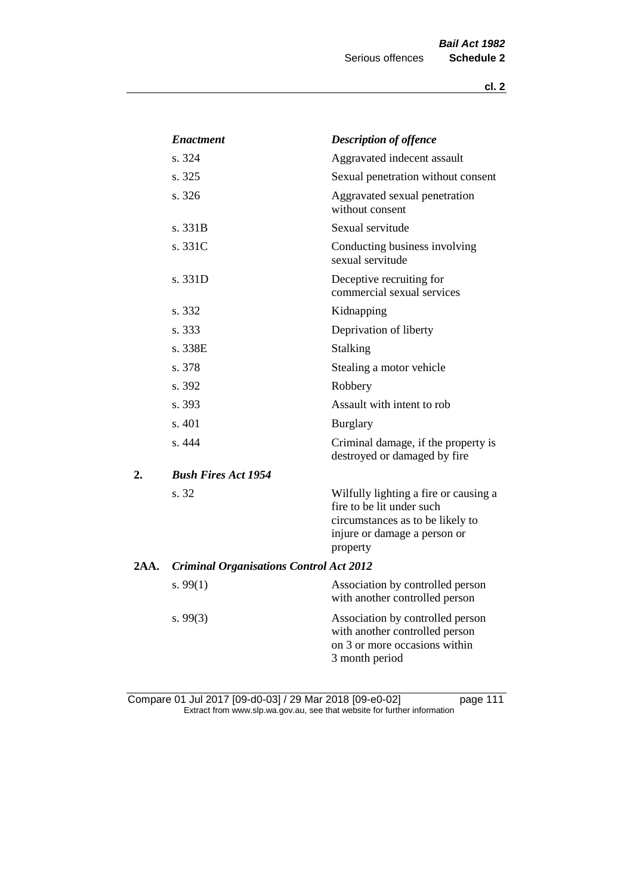|      | <b>Enactment</b>                               | <b>Description of offence</b>                                                                                                                      |
|------|------------------------------------------------|----------------------------------------------------------------------------------------------------------------------------------------------------|
|      | s. 324                                         | Aggravated indecent assault                                                                                                                        |
|      | s. 325                                         | Sexual penetration without consent                                                                                                                 |
|      | s. 326                                         | Aggravated sexual penetration<br>without consent                                                                                                   |
|      | s. 331B                                        | Sexual servitude                                                                                                                                   |
|      | s. 331C                                        | Conducting business involving<br>sexual servitude                                                                                                  |
|      | s. 331D                                        | Deceptive recruiting for<br>commercial sexual services                                                                                             |
|      | s. 332                                         | Kidnapping                                                                                                                                         |
|      | s. 333                                         | Deprivation of liberty                                                                                                                             |
|      | s. 338E                                        | Stalking                                                                                                                                           |
|      | s. 378                                         | Stealing a motor vehicle                                                                                                                           |
|      | s. 392                                         | Robbery                                                                                                                                            |
|      | s. 393                                         | Assault with intent to rob                                                                                                                         |
|      | s. 401                                         | <b>Burglary</b>                                                                                                                                    |
|      | s. 444                                         | Criminal damage, if the property is<br>destroyed or damaged by fire                                                                                |
| 2.   | <b>Bush Fires Act 1954</b>                     |                                                                                                                                                    |
|      | s. 32                                          | Wilfully lighting a fire or causing a<br>fire to be lit under such<br>circumstances as to be likely to<br>injure or damage a person or<br>property |
| 2AA. | <b>Criminal Organisations Control Act 2012</b> |                                                                                                                                                    |
|      | s. $99(1)$                                     | Association by controlled person<br>with another controlled person                                                                                 |
|      | s.99(3)                                        | Association by controlled person<br>with another controlled person<br>on 3 or more occasions within<br>3 month period                              |

Compare 01 Jul 2017 [09-d0-03] / 29 Mar 2018 [09-e0-02] page 111 Extract from www.slp.wa.gov.au, see that website for further information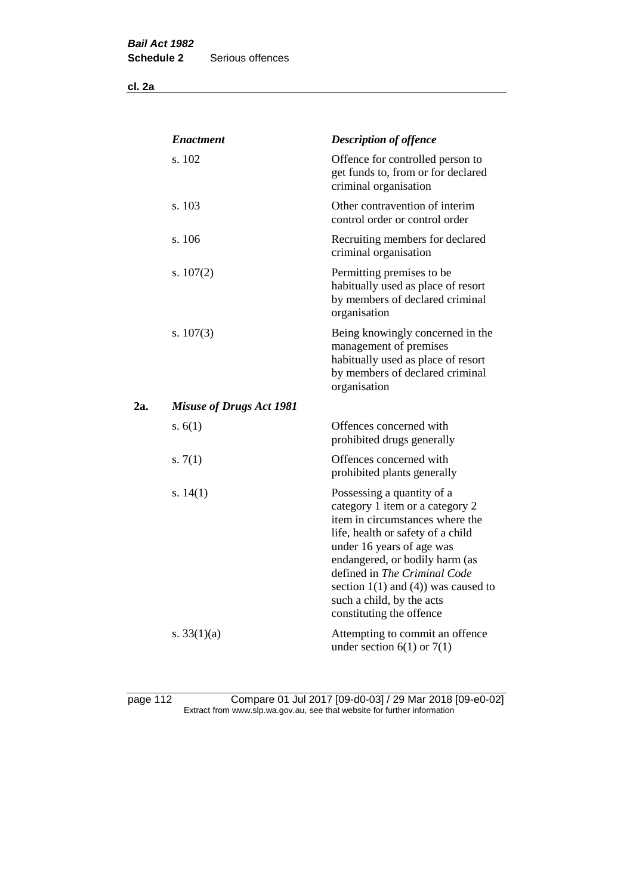|     | <b>Enactment</b>                | <b>Description of offence</b>                                                                                                                                                                                                                                                                                                             |
|-----|---------------------------------|-------------------------------------------------------------------------------------------------------------------------------------------------------------------------------------------------------------------------------------------------------------------------------------------------------------------------------------------|
|     | s. 102                          | Offence for controlled person to<br>get funds to, from or for declared<br>criminal organisation                                                                                                                                                                                                                                           |
|     | s. 103                          | Other contravention of interim<br>control order or control order                                                                                                                                                                                                                                                                          |
|     | s. 106                          | Recruiting members for declared<br>criminal organisation                                                                                                                                                                                                                                                                                  |
|     | s. $107(2)$                     | Permitting premises to be<br>habitually used as place of resort<br>by members of declared criminal<br>organisation                                                                                                                                                                                                                        |
|     | s. $107(3)$                     | Being knowingly concerned in the<br>management of premises<br>habitually used as place of resort<br>by members of declared criminal<br>organisation                                                                                                                                                                                       |
| 2a. | <b>Misuse of Drugs Act 1981</b> |                                                                                                                                                                                                                                                                                                                                           |
|     | s. $6(1)$                       | Offences concerned with<br>prohibited drugs generally                                                                                                                                                                                                                                                                                     |
|     | s. $7(1)$                       | Offences concerned with<br>prohibited plants generally                                                                                                                                                                                                                                                                                    |
|     | s. $14(1)$                      | Possessing a quantity of a<br>category 1 item or a category 2<br>item in circumstances where the<br>life, health or safety of a child<br>under 16 years of age was<br>endangered, or bodily harm (as<br>defined in The Criminal Code<br>section $1(1)$ and $(4)$ ) was caused to<br>such a child, by the acts<br>constituting the offence |
|     | s. $33(1)(a)$                   | Attempting to commit an offence<br>under section $6(1)$ or $7(1)$                                                                                                                                                                                                                                                                         |

page 112 Compare 01 Jul 2017 [09-d0-03] / 29 Mar 2018 [09-e0-02] Extract from www.slp.wa.gov.au, see that website for further information

**cl. 2a**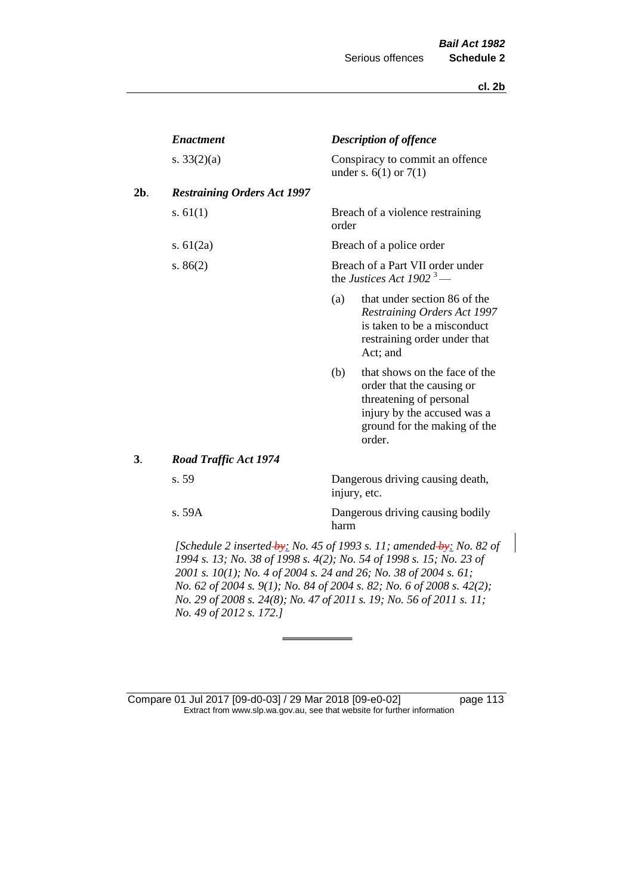|     | <b>Enactment</b>                                                    |       | <b>Description of offence</b>                                                                                                                                  |  |  |
|-----|---------------------------------------------------------------------|-------|----------------------------------------------------------------------------------------------------------------------------------------------------------------|--|--|
|     | s. $33(2)(a)$                                                       |       | Conspiracy to commit an offence<br>under s. $6(1)$ or $7(1)$                                                                                                   |  |  |
| 2b. | <b>Restraining Orders Act 1997</b>                                  |       |                                                                                                                                                                |  |  |
|     | s. $61(1)$                                                          | order | Breach of a violence restraining                                                                                                                               |  |  |
|     | s. $61(2a)$                                                         |       | Breach of a police order                                                                                                                                       |  |  |
|     | s. $86(2)$                                                          |       | Breach of a Part VII order under<br>the Justices Act 1902 <sup>3</sup> —                                                                                       |  |  |
|     |                                                                     | (a)   | that under section 86 of the<br><b>Restraining Orders Act 1997</b><br>is taken to be a misconduct<br>restraining order under that<br>Act; and                  |  |  |
|     |                                                                     | (b)   | that shows on the face of the<br>order that the causing or<br>threatening of personal<br>injury by the accused was a<br>ground for the making of the<br>order. |  |  |
| 3.  | Road Traffic Act 1974                                               |       |                                                                                                                                                                |  |  |
|     | s. 59                                                               |       | Dangerous driving causing death,<br>injury, etc.                                                                                                               |  |  |
|     | s. 59A                                                              | harm  | Dangerous driving causing bodily                                                                                                                               |  |  |
|     | 1994 s. 13; No. 38 of 1998 s. 4(2); No. 54 of 1998 s. 15; No. 23 of |       | [Schedule 2 inserted-by: No. 45 of 1993 s. 11; amended-by: No. 82 of                                                                                           |  |  |

*2001 s. 10(1); No. 4 of 2004 s. 24 and 26; No. 38 of 2004 s. 61; No. 62 of 2004 s. 9(1); No. 84 of 2004 s. 82; No. 6 of 2008 s. 42(2); No. 29 of 2008 s. 24(8); No. 47 of 2011 s. 19; No. 56 of 2011 s. 11; No. 49 of 2012 s. 172.]* 

Compare 01 Jul 2017 [09-d0-03] / 29 Mar 2018 [09-e0-02] page 113 Extract from www.slp.wa.gov.au, see that website for further information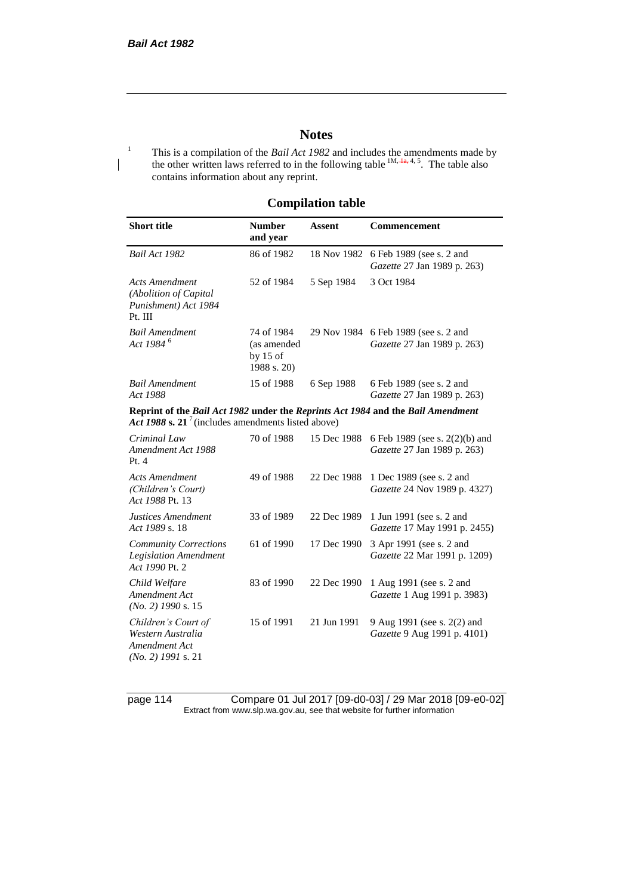## **Notes**

<sup>1</sup> This is a compilation of the *Bail Act 1982* and includes the amendments made by the other written laws referred to in the following table  $^{1M, \frac{1}{4a}, 4, 5}$ . The table also contains information about any reprint.

## **Compilation table**

| <b>Short title</b>                                                                                                                                | <b>Number</b><br>and year                              | <b>Assent</b> | Commencement                                                        |
|---------------------------------------------------------------------------------------------------------------------------------------------------|--------------------------------------------------------|---------------|---------------------------------------------------------------------|
| Bail Act 1982                                                                                                                                     | 86 of 1982                                             | 18 Nov 1982   | 6 Feb 1989 (see s. 2 and<br>Gazette 27 Jan 1989 p. 263)             |
| <b>Acts Amendment</b><br>(Abolition of Capital<br>Punishment) Act 1984<br>Pt. III                                                                 | 52 of 1984                                             | 5 Sep 1984    | 3 Oct 1984                                                          |
| <b>Bail Amendment</b><br>Act 1984 <sup>6</sup>                                                                                                    | 74 of 1984<br>(as amended<br>by $15$ of<br>1988 s. 20) |               | 29 Nov 1984 6 Feb 1989 (see s. 2 and<br>Gazette 27 Jan 1989 p. 263) |
| <b>Bail Amendment</b><br>Act 1988                                                                                                                 | 15 of 1988                                             | 6 Sep 1988    | 6 Feb 1989 (see s. 2 and<br>Gazette 27 Jan 1989 p. 263)             |
| Reprint of the Bail Act 1982 under the Reprints Act 1984 and the Bail Amendment<br>Act 1988 s. 21 <sup>7</sup> (includes amendments listed above) |                                                        |               |                                                                     |
| Criminal Law<br>Amendment Act 1988<br>Pt.4                                                                                                        | 70 of 1988                                             | 15 Dec 1988   | 6 Feb 1989 (see s. 2(2)(b) and<br>Gazette 27 Jan 1989 p. 263)       |
| <b>Acts Amendment</b><br>(Children's Court)<br>Act 1988 Pt. 13                                                                                    | 49 of 1988                                             | 22 Dec 1988   | 1 Dec 1989 (see s. 2 and<br>Gazette 24 Nov 1989 p. 4327)            |
| Justices Amendment<br>Act 1989 s. 18                                                                                                              | 33 of 1989                                             | 22 Dec 1989   | 1 Jun 1991 (see s. 2 and<br>Gazette 17 May 1991 p. 2455)            |
| <b>Community Corrections</b><br><b>Legislation Amendment</b><br>Act 1990 Pt. 2                                                                    | 61 of 1990                                             | 17 Dec 1990   | 3 Apr 1991 (see s. 2 and<br>Gazette 22 Mar 1991 p. 1209)            |
| Child Welfare<br>Amendment Act<br>$(No. 2)$ 1990 s. 15                                                                                            | 83 of 1990                                             | 22 Dec 1990   | 1 Aug 1991 (see s. 2 and<br>Gazette 1 Aug 1991 p. 3983)             |
| Children's Court of<br>Western Australia<br>Amendment Act<br>$(No. 2)$ 1991 s. 21                                                                 | 15 of 1991                                             | 21 Jun 1991   | 9 Aug 1991 (see s. 2(2) and<br>Gazette 9 Aug 1991 p. 4101)          |

page 114 Compare 01 Jul 2017 [09-d0-03] / 29 Mar 2018 [09-e0-02] Extract from www.slp.wa.gov.au, see that website for further information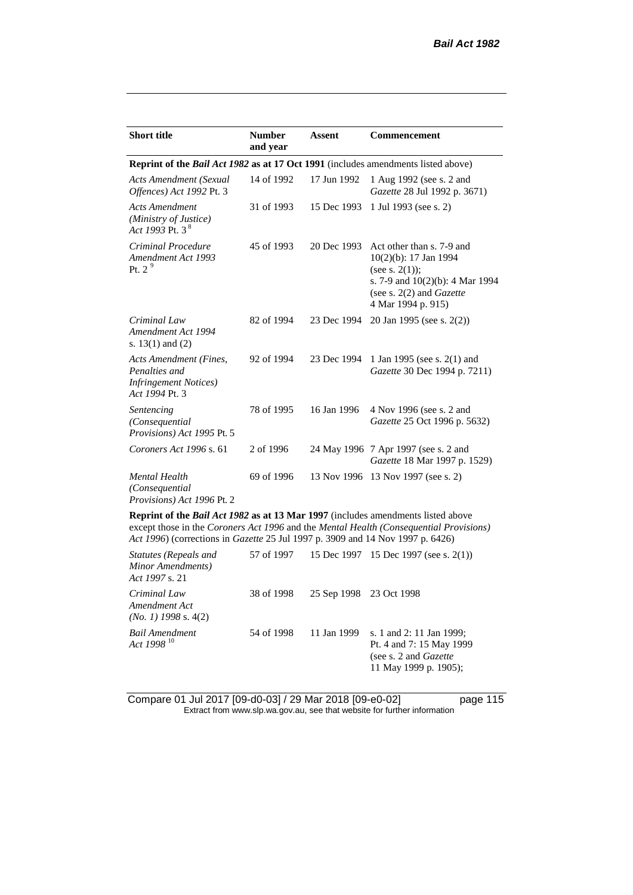| <b>Short title</b>                                                                             | <b>Number</b><br>and year | <b>Assent</b> | <b>Commencement</b>                                                                                                                                                   |
|------------------------------------------------------------------------------------------------|---------------------------|---------------|-----------------------------------------------------------------------------------------------------------------------------------------------------------------------|
| <b>Reprint of the Bail Act 1982 as at 17 Oct 1991</b> (includes amendments listed above)       |                           |               |                                                                                                                                                                       |
| <b>Acts Amendment (Sexual</b><br>Offences) Act 1992 Pt. 3                                      | 14 of 1992                | 17 Jun 1992   | 1 Aug 1992 (see s. 2 and<br>Gazette 28 Jul 1992 p. 3671)                                                                                                              |
| <b>Acts Amendment</b><br>(Ministry of Justice)<br>Act 1993 Pt. 3 <sup>8</sup>                  | 31 of 1993                | 15 Dec 1993   | 1 Jul 1993 (see s. 2)                                                                                                                                                 |
| Criminal Procedure<br>Amendment Act 1993<br>Pt. 2 $9$                                          | 45 of 1993                | 20 Dec 1993   | Act other than s. 7-9 and<br>10(2)(b): 17 Jan 1994<br>(see s. $2(1)$ );<br>s. 7-9 and 10(2)(b): 4 Mar 1994<br>(see s. $2(2)$ and <i>Gazette</i><br>4 Mar 1994 p. 915) |
| Criminal Law<br>Amendment Act 1994<br>s. $13(1)$ and $(2)$                                     | 82 of 1994                | 23 Dec 1994   | 20 Jan 1995 (see s. 2(2))                                                                                                                                             |
| Acts Amendment (Fines,<br>Penalties and<br><i>Infringement Notices</i> )<br>Act 1994 Pt. 3     | 92 of 1994                | 23 Dec 1994   | 1 Jan 1995 (see s. 2(1) and<br>Gazette 30 Dec 1994 p. 7211)                                                                                                           |
| Sentencing<br>(Consequential<br>Provisions) Act 1995 Pt. 5                                     | 78 of 1995                | 16 Jan 1996   | 4 Nov 1996 (see s. 2 and<br>Gazette 25 Oct 1996 p. 5632)                                                                                                              |
| Coroners Act 1996 s. 61                                                                        | 2 of 1996                 |               | 24 May 1996 7 Apr 1997 (see s. 2 and<br>Gazette 18 Mar 1997 p. 1529)                                                                                                  |
| Mental Health<br>(Consequential)<br>Provisions) Act 1996 Pt. 2                                 | 69 of 1996                |               | 13 Nov 1996 13 Nov 1997 (see s. 2)                                                                                                                                    |
| <b>Reprint of the <i>Rail Act 1982</i> as at 13 Mar 1997</b> (includes amendments listed above |                           |               |                                                                                                                                                                       |

**Reprint of the** *Bail Act 1982* **as at 13 Mar 1997** (includes amendments listed above except those in the *Coroners Act 1996* and the *Mental Health (Consequential Provisions) Act 1996*) (corrections in *Gazette* 25 Jul 1997 p. 3909 and 14 Nov 1997 p. 6426)

| Statutes (Repeals and<br>Minor Amendments)<br>Act 1997 s. 21 |            |                         | 57 of 1997 15 Dec 1997 15 Dec 1997 (see s. 2(1))                                                                |
|--------------------------------------------------------------|------------|-------------------------|-----------------------------------------------------------------------------------------------------------------|
| Criminal Law<br>Amendment Act<br>$(No. 1)$ 1998 s. 4(2)      | 38 of 1998 | 25 Sep 1998 23 Oct 1998 |                                                                                                                 |
| Bail Amendment<br>Act 1998 <sup>10</sup>                     | 54 of 1998 | 11 Jan 1999             | s. 1 and 2: 11 Jan 1999;<br>Pt. 4 and 7: 15 May 1999<br>(see s. 2 and <i>Gazette</i> )<br>11 May 1999 p. 1905); |

Compare 01 Jul 2017 [09-d0-03] / 29 Mar 2018 [09-e0-02] page 115 Extract from www.slp.wa.gov.au, see that website for further information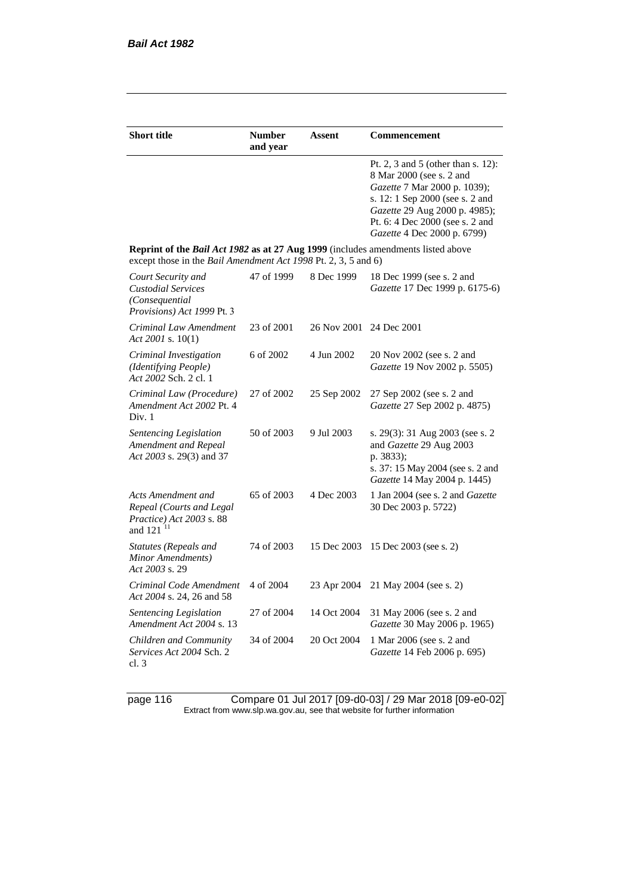| <b>Short title</b>                                                                                                                                 | <b>Number</b><br>and year | Assent                  | Commencement                                                                                                                                                                                                                         |
|----------------------------------------------------------------------------------------------------------------------------------------------------|---------------------------|-------------------------|--------------------------------------------------------------------------------------------------------------------------------------------------------------------------------------------------------------------------------------|
|                                                                                                                                                    |                           |                         | Pt. 2, 3 and 5 (other than s. 12):<br>8 Mar 2000 (see s. 2 and<br>Gazette 7 Mar 2000 p. 1039);<br>s. 12: 1 Sep 2000 (see s. 2 and<br>Gazette 29 Aug 2000 p. 4985);<br>Pt. 6: 4 Dec 2000 (see s. 2 and<br>Gazette 4 Dec 2000 p. 6799) |
| Reprint of the Bail Act 1982 as at 27 Aug 1999 (includes amendments listed above<br>except those in the Bail Amendment Act 1998 Pt. 2, 3, 5 and 6) |                           |                         |                                                                                                                                                                                                                                      |
| Court Security and<br><b>Custodial Services</b><br>(Consequential<br>Provisions) Act 1999 Pt. 3                                                    | 47 of 1999                | 8 Dec 1999              | 18 Dec 1999 (see s. 2 and<br>Gazette 17 Dec 1999 p. 6175-6)                                                                                                                                                                          |
| Criminal Law Amendment<br>Act 2001 s. $10(1)$                                                                                                      | 23 of 2001                | 26 Nov 2001 24 Dec 2001 |                                                                                                                                                                                                                                      |
| Criminal Investigation<br>(Identifying People)<br>Act 2002 Sch. 2 cl. 1                                                                            | 6 of 2002                 | 4 Jun 2002              | 20 Nov 2002 (see s. 2 and<br>Gazette 19 Nov 2002 p. 5505)                                                                                                                                                                            |
| Criminal Law (Procedure)<br>Amendment Act 2002 Pt. 4<br>Div. 1                                                                                     | 27 of 2002                | 25 Sep 2002             | 27 Sep 2002 (see s. 2 and<br>Gazette 27 Sep 2002 p. 4875)                                                                                                                                                                            |
| <b>Sentencing Legislation</b><br>Amendment and Repeal<br>Act 2003 s. 29(3) and 37                                                                  | 50 of 2003                | 9 Jul 2003              | s. 29(3): 31 Aug 2003 (see s. 2)<br>and Gazette 29 Aug 2003<br>p. 3833);<br>s. 37: 15 May 2004 (see s. 2 and<br>Gazette 14 May 2004 p. 1445)                                                                                         |
| Acts Amendment and<br>Repeal (Courts and Legal<br>Practice) Act 2003 s. 88<br>and 121 <sup>11</sup>                                                | 65 of 2003                | 4 Dec 2003              | 1 Jan 2004 (see s. 2 and Gazette<br>30 Dec 2003 p. 5722)                                                                                                                                                                             |
| Statutes (Repeals and<br>Minor Amendments)<br>Act 2003 s. 29                                                                                       | 74 of 2003                | 15 Dec 2003             | 15 Dec 2003 (see s. 2)                                                                                                                                                                                                               |
| Criminal Code Amendment<br>Act 2004 s. 24, 26 and 58                                                                                               | 4 of 2004                 | 23 Apr 2004             | 21 May 2004 (see s. 2)                                                                                                                                                                                                               |
| <b>Sentencing Legislation</b><br>Amendment Act 2004 s. 13                                                                                          | 27 of 2004                | 14 Oct 2004             | 31 May 2006 (see s. 2 and<br>Gazette 30 May 2006 p. 1965)                                                                                                                                                                            |
| Children and Community<br>Services Act 2004 Sch. 2<br>cl. 3                                                                                        | 34 of 2004                | 20 Oct 2004             | 1 Mar 2006 (see s. 2 and<br>Gazette 14 Feb 2006 p. 695)                                                                                                                                                                              |

page 116 Compare 01 Jul 2017 [09-d0-03] / 29 Mar 2018 [09-e0-02] Extract from www.slp.wa.gov.au, see that website for further information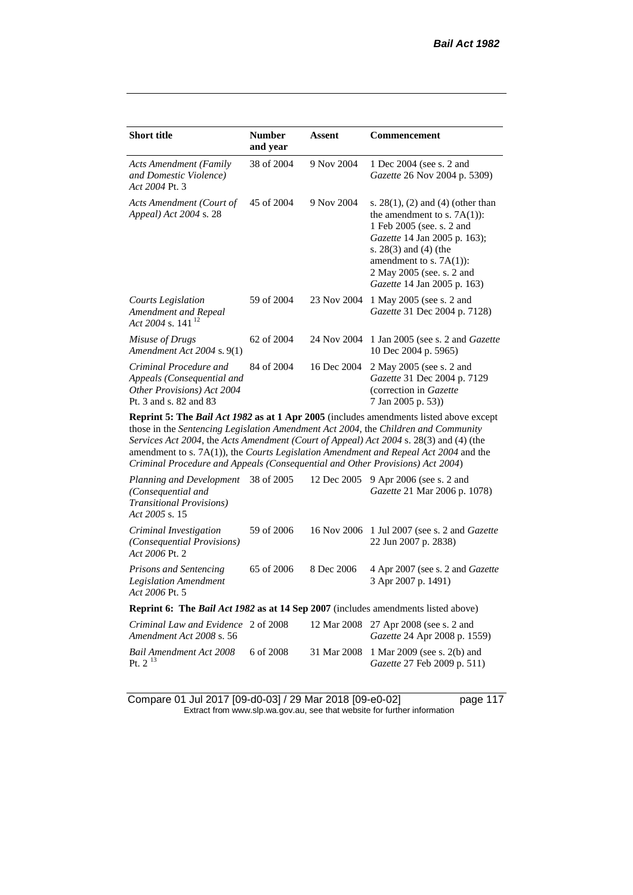| <b>Short title</b>                                                                                           | <b>Number</b><br>and year | Assent      | Commencement                                                                                                                                                                                                                                                           |
|--------------------------------------------------------------------------------------------------------------|---------------------------|-------------|------------------------------------------------------------------------------------------------------------------------------------------------------------------------------------------------------------------------------------------------------------------------|
| <b>Acts Amendment (Family</b><br>and Domestic Violence)<br>Act 2004 Pt. 3                                    | 38 of 2004                | 9 Nov 2004  | 1 Dec 2004 (see s. 2 and<br>Gazette 26 Nov 2004 p. 5309)                                                                                                                                                                                                               |
| Acts Amendment (Court of<br>Appeal) Act 2004 s. 28                                                           | 45 of 2004                | 9 Nov 2004  | s. $28(1)$ , (2) and (4) (other than<br>the amendment to s. $7A(1)$ :<br>1 Feb 2005 (see. s. 2 and<br><i>Gazette</i> 14 Jan 2005 p. 163);<br>s. $28(3)$ and $(4)$ (the<br>amendment to s. $7A(1)$ :<br>2 May 2005 (see. s. 2 and<br><i>Gazette</i> 14 Jan 2005 p. 163) |
| Courts Legislation<br>Amendment and Repeal<br>Act 2004 s. 141 <sup>12</sup>                                  | 59 of 2004                | 23 Nov 2004 | 1 May 2005 (see s. 2 and<br>Gazette 31 Dec 2004 p. 7128)                                                                                                                                                                                                               |
| Misuse of Drugs<br>Amendment Act $2004$ s. $9(1)$                                                            | 62 of 2004                | 24 Nov 2004 | 1 Jan 2005 (see s. 2 and <i>Gazette</i><br>10 Dec 2004 p. 5965)                                                                                                                                                                                                        |
| Criminal Procedure and<br>Appeals (Consequential and<br>Other Provisions) Act 2004<br>Pt. 3 and s. 82 and 83 | 84 of 2004                | 16 Dec 2004 | 2 May 2005 (see s. 2 and<br>Gazette 31 Dec 2004 p. 7129<br>(correction in Gazette<br>7 Jan 2005 p. 53))                                                                                                                                                                |

**Reprint 5: The** *Bail Act 1982* **as at 1 Apr 2005** (includes amendments listed above except those in the *Sentencing Legislation Amendment Act 2004*, the *Children and Community Services Act 2004*, the *Acts Amendment (Court of Appeal) Act 2004* s. 28(3) and (4) (the amendment to s. 7A(1)), the *Courts Legislation Amendment and Repeal Act 2004* and the *Criminal Procedure and Appeals (Consequential and Other Provisions) Act 2004*)

| Planning and Development 38 of 2005<br>(Consequential and<br><i>Transitional Provisions</i> )<br>Act 2005 s. 15 |            |            | 12 Dec 2005 9 Apr 2006 (see s. 2 and<br>Gazette 21 Mar 2006 p. 1078)          |
|-----------------------------------------------------------------------------------------------------------------|------------|------------|-------------------------------------------------------------------------------|
| Criminal Investigation<br>(Consequential Provisions)<br>Act 2006 Pt. 2                                          | 59 of 2006 |            | 16 Nov 2006 1 Jul 2007 (see s. 2 and <i>Gazette</i><br>22 Jun 2007 p. 2838)   |
| Prisons and Sentencing<br><b>Legislation Amendment</b><br>Act 2006 Pt. 5                                        | 65 of 2006 | 8 Dec 2006 | 4 Apr 2007 (see s. 2 and Gazette<br>3 Apr 2007 p. 1491)                       |
| <b>Reprint 6:</b> The <i>Bail Act 1982</i> as at 14 Sep 2007 (includes amendments listed above)                 |            |            |                                                                               |
| Criminal Law and Evidence 2 of 2008<br>Amendment Act 2008 s. 56                                                 |            |            | 12 Mar 2008 27 Apr 2008 (see s. 2 and<br><i>Gazette</i> 24 Apr 2008 p. 1559)  |
| Bail Amendment Act 2008<br>Pt. $2^{13}$                                                                         | 6 of 2008  |            | 31 Mar 2008 1 Mar 2009 (see s. 2(b) and<br><i>Gazette</i> 27 Feb 2009 p. 511) |

Compare 01 Jul 2017 [09-d0-03] / 29 Mar 2018 [09-e0-02] page 117 Extract from www.slp.wa.gov.au, see that website for further information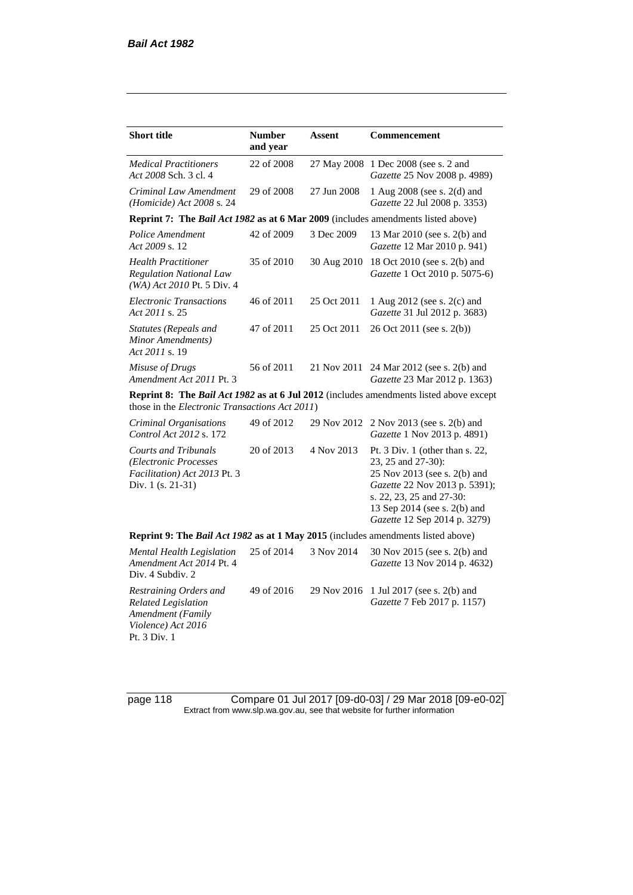| <b>Short title</b>                                                                                              | <b>Number</b><br>and year | Assent      | Commencement                                                                                                                                                                                                         |
|-----------------------------------------------------------------------------------------------------------------|---------------------------|-------------|----------------------------------------------------------------------------------------------------------------------------------------------------------------------------------------------------------------------|
| <b>Medical Practitioners</b><br>Act 2008 Sch. 3 cl. 4                                                           | 22 of 2008                | 27 May 2008 | 1 Dec 2008 (see s. 2 and<br>Gazette 25 Nov 2008 p. 4989)                                                                                                                                                             |
| Criminal Law Amendment<br>(Homicide) Act 2008 s. 24                                                             | 29 of 2008                | 27 Jun 2008 | 1 Aug 2008 (see s. 2(d) and<br>Gazette 22 Jul 2008 p. 3353)                                                                                                                                                          |
| Reprint 7: The Bail Act 1982 as at 6 Mar 2009 (includes amendments listed above)                                |                           |             |                                                                                                                                                                                                                      |
| Police Amendment<br>Act 2009 s. 12                                                                              | 42 of 2009                | 3 Dec 2009  | 13 Mar 2010 (see s. 2(b) and<br>Gazette 12 Mar 2010 p. 941)                                                                                                                                                          |
| <b>Health Practitioner</b><br><b>Regulation National Law</b><br>(WA) Act 2010 Pt. 5 Div. 4                      | 35 of 2010                | 30 Aug 2010 | 18 Oct 2010 (see s. 2(b) and<br>Gazette 1 Oct 2010 p. 5075-6)                                                                                                                                                        |
| <b>Electronic Transactions</b><br>Act 2011 s. 25                                                                | 46 of 2011                | 25 Oct 2011 | 1 Aug 2012 (see s. 2(c) and<br>Gazette 31 Jul 2012 p. 3683)                                                                                                                                                          |
| <b>Statutes (Repeals and</b><br>Minor Amendments)<br>Act 2011 s. 19                                             | 47 of 2011                | 25 Oct 2011 | 26 Oct 2011 (see s. 2(b))                                                                                                                                                                                            |
| Misuse of Drugs<br>Amendment Act 2011 Pt. 3                                                                     | 56 of 2011                | 21 Nov 2011 | 24 Mar 2012 (see s. 2(b) and<br>Gazette 23 Mar 2012 p. 1363)                                                                                                                                                         |
| those in the <i>Electronic Transactions Act 2011</i> )                                                          |                           |             | Reprint 8: The Bail Act 1982 as at 6 Jul 2012 (includes amendments listed above except                                                                                                                               |
| Criminal Organisations<br>Control Act 2012 s. 172                                                               | 49 of 2012                | 29 Nov 2012 | 2 Nov 2013 (see s. 2(b) and<br>Gazette 1 Nov 2013 p. 4891)                                                                                                                                                           |
| <b>Courts and Tribunals</b><br>(Electronic Processes<br>Facilitation) Act 2013 Pt. 3<br>Div. 1 (s. 21-31)       | 20 of 2013                | 4 Nov 2013  | Pt. $3$ Div. 1 (other than s. 22,<br>23, 25 and 27-30):<br>25 Nov 2013 (see s. 2(b) and<br>Gazette 22 Nov 2013 p. 5391);<br>s. 22, 23, 25 and 27-30:<br>13 Sep 2014 (see s. 2(b) and<br>Gazette 12 Sep 2014 p. 3279) |
| Reprint 9: The Bail Act 1982 as at 1 May 2015 (includes amendments listed above)                                |                           |             |                                                                                                                                                                                                                      |
| <b>Mental Health Legislation</b><br>Amendment Act 2014 Pt. 4<br>Div. 4 Subdiv. 2                                | 25 of 2014                | 3 Nov 2014  | 30 Nov 2015 (see s. 2(b) and<br>Gazette 13 Nov 2014 p. 4632)                                                                                                                                                         |
| Restraining Orders and<br><b>Related Legislation</b><br>Amendment (Family<br>Violence) Act 2016<br>Pt. 3 Div. 1 | 49 of 2016                | 29 Nov 2016 | 1 Jul 2017 (see s. 2(b) and<br>Gazette 7 Feb 2017 p. 1157)                                                                                                                                                           |

page 118 Compare 01 Jul 2017 [09-d0-03] / 29 Mar 2018 [09-e0-02] Extract from www.slp.wa.gov.au, see that website for further information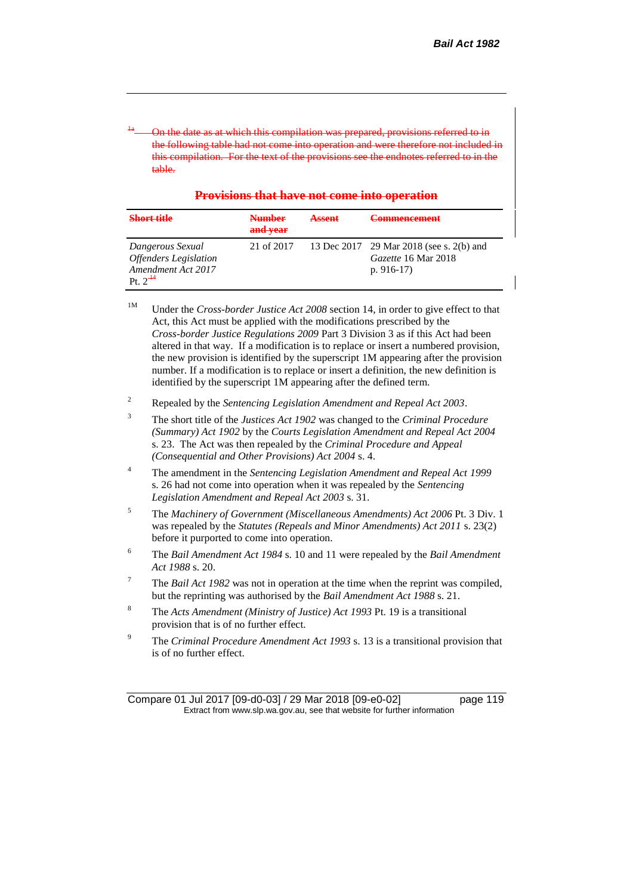<sup>1a</sup> - On the date as at which this compilation was prepared, provisions referred to in the following table had not come into operation and were therefore included included included included included included included included included included included included included included included included included in this compilation table.

| Provisions that have not come into operation         |  |  |
|------------------------------------------------------|--|--|
|                                                      |  |  |
| <u>I TOYIMUIN URAL HAVU HUU COHIG HIIO OPOTAHOIN</u> |  |  |

| <b>Short title</b>                                                                                  | <b>Number</b><br>and vear | <b>Assent</b> | Commoncomont<br>$\sqrt{2}$                                                     |
|-----------------------------------------------------------------------------------------------------|---------------------------|---------------|--------------------------------------------------------------------------------|
| Dangerous Sexual<br><b>Offenders</b> Legislation<br>Amendment Act 2017<br>$P_1 \t 2^{\frac{14}{3}}$ | 21 of 2017                |               | 13 Dec 2017 29 Mar 2018 (see s. 2(b) and<br>Gazette 16 Mar 2018<br>p. $916-17$ |

<sup>1M</sup> Under the *Cross-border Justice Act 2008* section 14, in order to give effect to that Act, this Act must be applied with the modifications prescribed by the *Cross-border Justice Regulations 2009* Part 3 Division 3 as if this Act had been altered in that way. If a modification is to replace or insert a numbered provision, the new provision is identified by the superscript 1M appearing after the provision number. If a modification is to replace or insert a definition, the new definition is identified by the superscript 1M appearing after the defined term.

- <sup>2</sup> Repealed by the *Sentencing Legislation Amendment and Repeal Act 2003*.
- <sup>3</sup> The short title of the *Justices Act 1902* was changed to the *Criminal Procedure (Summary) Act 1902* by the *Courts Legislation Amendment and Repeal Act 2004*  s. 23. The Act was then repealed by the *Criminal Procedure and Appeal (Consequential and Other Provisions) Act 2004* s. 4.
- <sup>4</sup> The amendment in the *Sentencing Legislation Amendment and Repeal Act 1999* s. 26 had not come into operation when it was repealed by the *Sentencing Legislation Amendment and Repeal Act 2003* s. 31.
- <sup>5</sup> The *Machinery of Government (Miscellaneous Amendments) Act 2006* Pt. 3 Div. 1 was repealed by the *Statutes (Repeals and Minor Amendments) Act 2011* s. 23(2) before it purported to come into operation.
- <sup>6</sup> The *Bail Amendment Act 1984* s. 10 and 11 were repealed by the *Bail Amendment Act 1988* s. 20.
- <sup>7</sup> The *Bail Act 1982* was not in operation at the time when the reprint was compiled, but the reprinting was authorised by the *Bail Amendment Act 1988* s. 21.
- <sup>8</sup> The *Acts Amendment (Ministry of Justice) Act 1993* Pt. 19 is a transitional provision that is of no further effect.
- <sup>9</sup> The *Criminal Procedure Amendment Act 1993* s. 13 is a transitional provision that is of no further effect.

Compare 01 Jul 2017 [09-d0-03] / 29 Mar 2018 [09-e0-02] page 119 Extract from www.slp.wa.gov.au, see that website for further information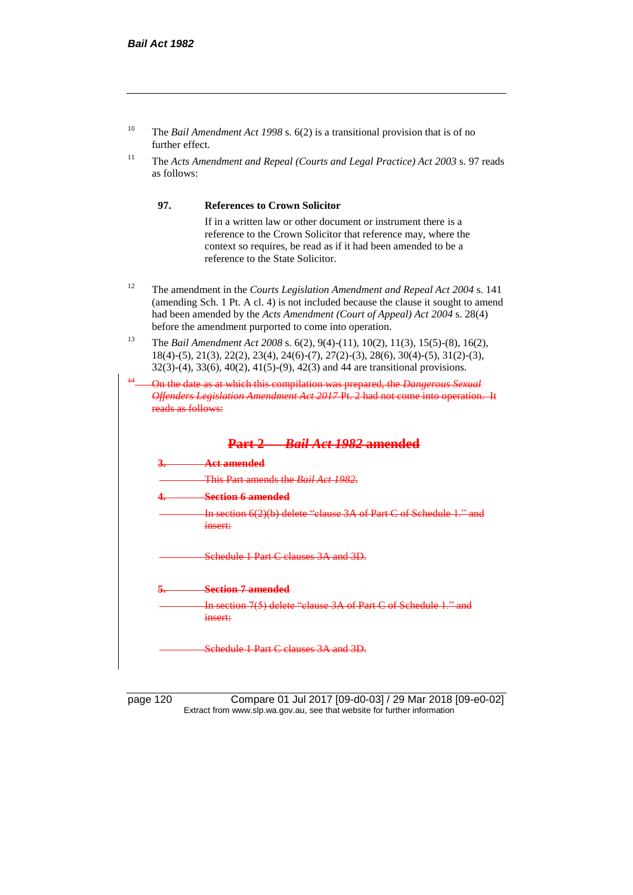| The <i>Bail Amendment Act 1998</i> s. $6(2)$ is a transitional provision that is of no |
|----------------------------------------------------------------------------------------|
| further effect.                                                                        |

<sup>11</sup> The *Acts Amendment and Repeal (Courts and Legal Practice) Act 2003* s. 97 reads as follows:

#### **97. References to Crown Solicitor**

If in a written law or other document or instrument there is a reference to the Crown Solicitor that reference may, where the context so requires, be read as if it had been amended to be a reference to the State Solicitor.

- <sup>12</sup> The amendment in the *Courts Legislation Amendment and Repeal Act 2004* s. 141 (amending Sch. 1 Pt. A cl. 4) is not included because the clause it sought to amend had been amended by the *Acts Amendment (Court of Appeal) Act 2004* s. 28(4) before the amendment purported to come into operation.
- <sup>13</sup> The *Bail Amendment Act 2008* s. 6(2), 9(4)-(11), 10(2), 11(3), 15(5)-(8), 16(2), 18(4)-(5), 21(3), 22(2), 23(4), 24(6)-(7), 27(2)-(3), 28(6), 30(4)-(5), 31(2)-(3), 32(3)-(4), 33(6), 40(2), 41(5)-(9), 42(3) and 44 are transitional provisions.
- <sup>14</sup> On the date as at which this compilation was prepared, the *Dangerous Sexual Offenders Legislation Amendment Act 2017* Pt. 2 had not come into operation. It reads as follows:



page 120 Compare 01 Jul 2017 [09-d0-03] / 29 Mar 2018 [09-e0-02] Extract from www.slp.wa.gov.au, see that website for further information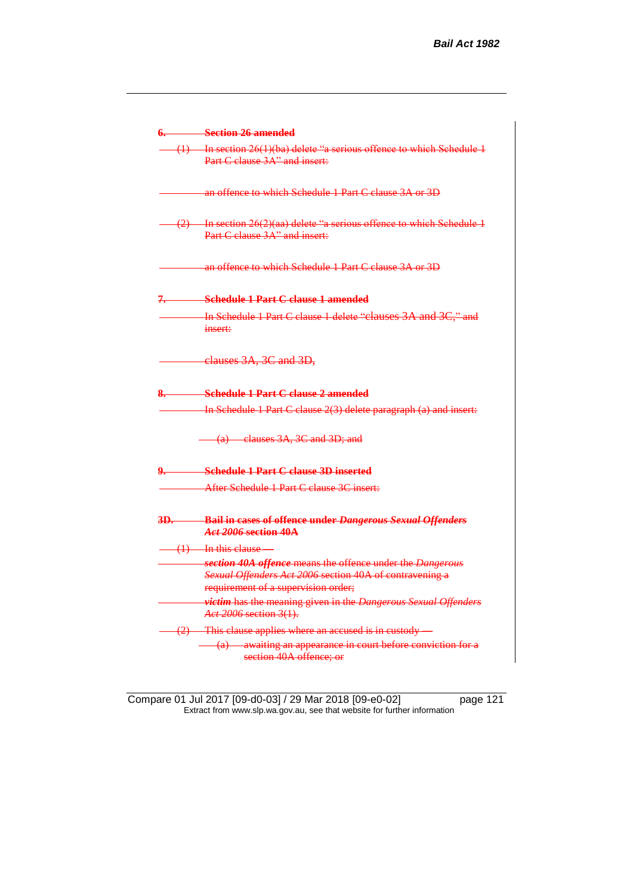|     | 6. Section 26 amended                                                                                     |
|-----|-----------------------------------------------------------------------------------------------------------|
|     | $(1)$ In section 26(1)(ba) delete "a serious offence to which Schedule 1<br>Part C clause 3A" and insert: |
|     | an offence to which Schedule 1 Part C clause 3A or 3D                                                     |
|     | $(2)$ In section 26(2)(aa) delete "a serious offence to which Schedule 1<br>Part C clause 3A" and insert: |
|     | an offence to which Schedule 1 Part C clause 3A or 3D                                                     |
|     | 7. Schedule 1 Part C clause 1 amended                                                                     |
|     | In Schedule 1 Part C clause 1 delete "clauses 3A and 3C," and<br>insert:                                  |
|     | elauses 3A, 3C and 3D,                                                                                    |
|     | <b>Schedule 1 Part C clause 2 amended</b>                                                                 |
|     | In Schedule 1 Part C clause 2(3) delete paragraph (a) and insert:                                         |
|     | (a) clauses 3A, 3C and 3D; and                                                                            |
|     | 9. Schedule 1 Part C clause 3D inserted                                                                   |
|     | After Schedule 1 Part C clause 3C insert:                                                                 |
| 3D. | <b>Bail in cases of offence under Dangerous Sexual Offenders</b><br>Act 2006 section 40A                  |
|     | $(1)$ In this clause                                                                                      |
|     | section 40A offence means the offence under the Dangerous                                                 |
|     | Sexual Offenders Act 2006 section 40A of contravening a<br>requirement of a supervision order;            |
|     | victim has the meaning given in the Dangerous Sexual Offenders                                            |
|     | Act 2006 section 3(1).                                                                                    |
|     | (2) This clause applies where an accused is in custody —                                                  |
|     | (a) awaiting an appearance in court before conviction for a<br>section 40A offence; or                    |

Compare 01 Jul 2017 [09-d0-03] / 29 Mar 2018 [09-e0-02] page 121 Extract from www.slp.wa.gov.au, see that website for further information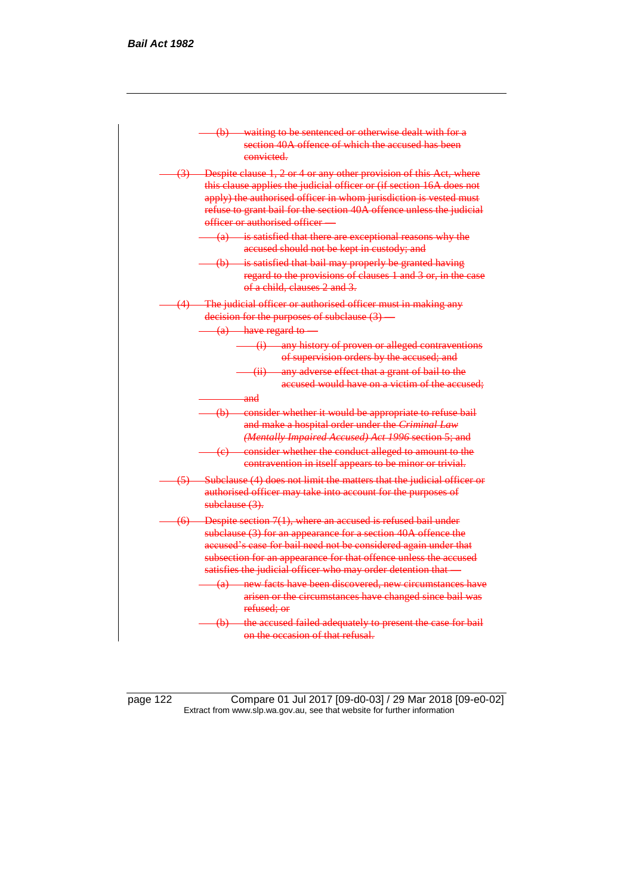

page 122 Compare 01 Jul 2017 [09-d0-03] / 29 Mar 2018 [09-e0-02] Extract from www.slp.wa.gov.au, see that website for further information